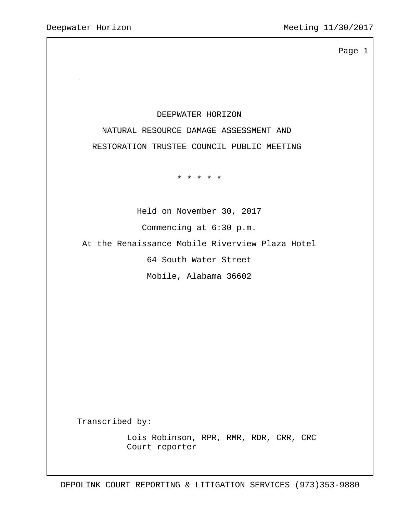## DEEPWATER HORIZON

 NATURAL RESOURCE DAMAGE ASSESSMENT AND RESTORATION TRUSTEE COUNCIL PUBLIC MEETING

\* \* \* \* \*

 Held on November 30, 2017 Commencing at 6:30 p.m.

At the Renaissance Mobile Riverview Plaza Hotel

64 South Water Street

Mobile, Alabama 36602

Transcribed by:

 Lois Robinson, RPR, RMR, RDR, CRR, CRC Court reporter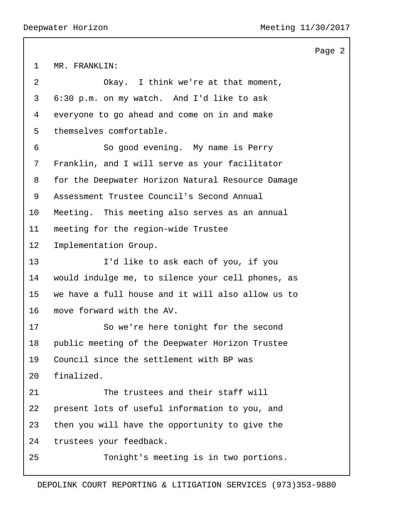MR. FRANKLIN: 2 Okay. I think we're at that moment, 6:30 p.m. on my watch. And I'd like to ask everyone to go ahead and come on in and make themselves comfortable. 6 So good evening. My name is Perry Franklin, and I will serve as your facilitator for the Deepwater Horizon Natural Resource Damage Assessment Trustee Council's Second Annual Meeting. This meeting also serves as an annual meeting for the region-wide Trustee Implementation Group. 13 I'd like to ask each of you, if you would indulge me, to silence your cell phones, as we have a full house and it will also allow us to move forward with the AV. 17 So we're here tonight for the second public meeting of the Deepwater Horizon Trustee Council since the settlement with BP was finalized. 21 The trustees and their staff will present lots of useful information to you, and then you will have the opportunity to give the trustees your feedback. 25 Tonight's meeting is in two portions.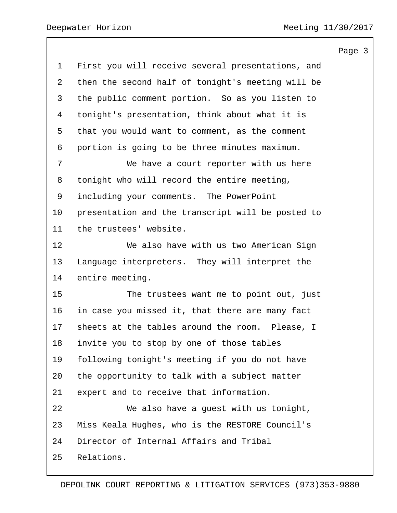|                 |                                                   | Page 3 |  |
|-----------------|---------------------------------------------------|--------|--|
| $\mathbf 1$     | First you will receive several presentations, and |        |  |
| $\overline{2}$  | then the second half of tonight's meeting will be |        |  |
| 3               | the public comment portion. So as you listen to   |        |  |
| 4               | tonight's presentation, think about what it is    |        |  |
| 5               | that you would want to comment, as the comment    |        |  |
| 6               | portion is going to be three minutes maximum.     |        |  |
| 7               | We have a court reporter with us here             |        |  |
| 8               | tonight who will record the entire meeting,       |        |  |
| 9               | including your comments. The PowerPoint           |        |  |
| 10              | presentation and the transcript will be posted to |        |  |
| 11              | the trustees' website.                            |        |  |
| 12 <sup>°</sup> | We also have with us two American Sign            |        |  |
| 13              | Language interpreters. They will interpret the    |        |  |
| 14              | entire meeting.                                   |        |  |
| 15              | The trustees want me to point out, just           |        |  |
| 16              | in case you missed it, that there are many fact   |        |  |
| 17              | sheets at the tables around the room. Please, I   |        |  |
| 18              | invite you to stop by one of those tables         |        |  |
| 19              | following tonight's meeting if you do not have    |        |  |
| 20              | the opportunity to talk with a subject matter     |        |  |
| 21              | expert and to receive that information.           |        |  |
| 22              | We also have a quest with us tonight,             |        |  |
| 23              | Miss Keala Hughes, who is the RESTORE Council's   |        |  |
| 24              | Director of Internal Affairs and Tribal           |        |  |
| 25              | Relations.                                        |        |  |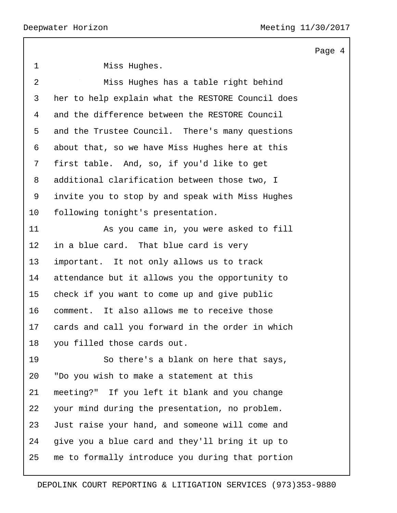| $\mathbf 1$    | Miss Hughes.                                      |
|----------------|---------------------------------------------------|
| $\overline{a}$ | Miss Hughes has a table right behind              |
| 3              | her to help explain what the RESTORE Council does |
| 4              | and the difference between the RESTORE Council    |
| 5              | and the Trustee Council. There's many questions   |
| 6              | about that, so we have Miss Hughes here at this   |
| 7              | first table. And, so, if you'd like to get        |
| 8              | additional clarification between those two, I     |
| 9              | invite you to stop by and speak with Miss Hughes  |
| 10             | following tonight's presentation.                 |
| 11             | As you came in, you were asked to fill            |
| 12             | in a blue card. That blue card is very            |
| 13             | important. It not only allows us to track         |
| 14             | attendance but it allows you the opportunity to   |
| 15             | check if you want to come up and give public      |
| 16             | comment. It also allows me to receive those       |
| 17             | cards and call you forward in the order in which  |
| 18             | you filled those cards out.                       |
| 19             | So there's a blank on here that says,             |
| 20             | "Do you wish to make a statement at this          |
| 21             | meeting?" If you left it blank and you change     |
| 22             | your mind during the presentation, no problem.    |
| 23             | Just raise your hand, and someone will come and   |
| 24             | give you a blue card and they'll bring it up to   |
| 25             | me to formally introduce you during that portion  |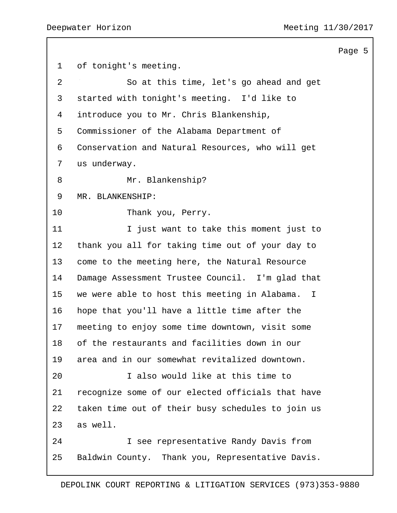of tonight's meeting. 2 So at this time, let's go ahead and get started with tonight's meeting. I'd like to introduce you to Mr. Chris Blankenship, Commissioner of the Alabama Department of Conservation and Natural Resources, who will get us underway. 8 Mr. Blankenship? MR. BLANKENSHIP: 10 Thank you, Perry. 11 11 I just want to take this moment just to thank you all for taking time out of your day to come to the meeting here, the Natural Resource Damage Assessment Trustee Council. I'm glad that we were able to host this meeting in Alabama. I hope that you'll have a little time after the meeting to enjoy some time downtown, visit some of the restaurants and facilities down in our area and in our somewhat revitalized downtown. 20 I also would like at this time to recognize some of our elected officials that have taken time out of their busy schedules to join us as well. 24 I see representative Randy Davis from Baldwin County. Thank you, Representative Davis.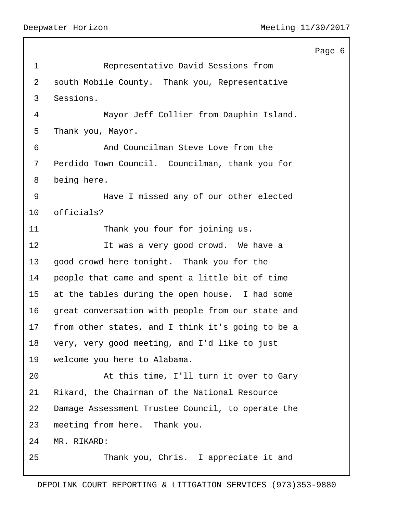|                |                                                   | Page 6 |
|----------------|---------------------------------------------------|--------|
| $\mathbf 1$    | Representative David Sessions from                |        |
| $\overline{2}$ | south Mobile County. Thank you, Representative    |        |
| 3              | Sessions.                                         |        |
| 4              | Mayor Jeff Collier from Dauphin Island.           |        |
| 5              | Thank you, Mayor.                                 |        |
| 6              | And Councilman Steve Love from the                |        |
| 7              | Perdido Town Council. Councilman, thank you for   |        |
| 8              | being here.                                       |        |
| 9              | Have I missed any of our other elected            |        |
| 10             | officials?                                        |        |
| 11             | Thank you four for joining us.                    |        |
| 12             | It was a very good crowd. We have a               |        |
| 13             | good crowd here tonight. Thank you for the        |        |
| 14             | people that came and spent a little bit of time   |        |
| 15             | at the tables during the open house. I had some   |        |
| 16             | great conversation with people from our state and |        |
| 17             | from other states, and I think it's going to be a |        |
| 18             | very, very good meeting, and I'd like to just     |        |
| 19             | welcome you here to Alabama.                      |        |
| 20             | At this time, I'll turn it over to Gary           |        |
| 21             | Rikard, the Chairman of the National Resource     |        |
| 22             | Damage Assessment Trustee Council, to operate the |        |
| 23             | meeting from here. Thank you.                     |        |
| 24             | MR. RIKARD:                                       |        |
| 25             | Thank you, Chris. I appreciate it and             |        |
|                |                                                   |        |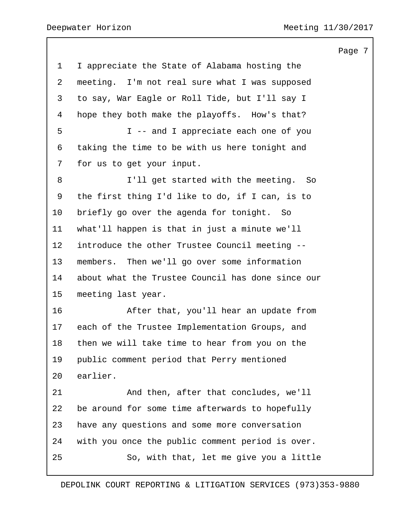I appreciate the State of Alabama hosting the meeting. I'm not real sure what I was supposed to say, War Eagle or Roll Tide, but I'll say I hope they both make the playoffs. How's that? 5 I -- and I appreciate each one of you taking the time to be with us here tonight and for us to get your input. 8 I'll get started with the meeting. So the first thing I'd like to do, if I can, is to briefly go over the agenda for tonight. So what'll happen is that in just a minute we'll introduce the other Trustee Council meeting -- members. Then we'll go over some information about what the Trustee Council has done since our meeting last year. 16 After that, you'll hear an update from each of the Trustee Implementation Groups, and then we will take time to hear from you on the public comment period that Perry mentioned earlier. 21 And then, after that concludes, we'll be around for some time afterwards to hopefully have any questions and some more conversation with you once the public comment period is over. 25 So, with that, let me give you a little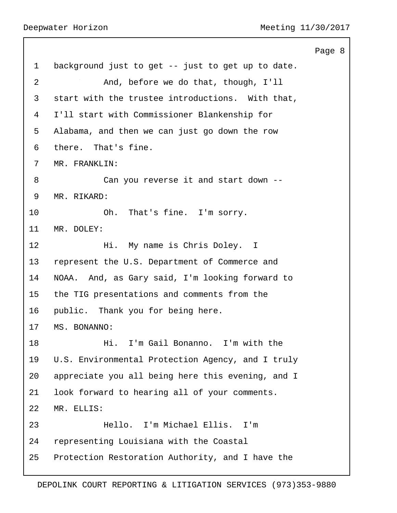|                |                                                   | Page 8 |  |
|----------------|---------------------------------------------------|--------|--|
| $\mathbf 1$    | background just to get -- just to get up to date. |        |  |
| $\overline{2}$ | And, before we do that, though, I'll              |        |  |
| 3              | start with the trustee introductions. With that,  |        |  |
| 4              | I'll start with Commissioner Blankenship for      |        |  |
| 5              | Alabama, and then we can just go down the row     |        |  |
| 6              | there. That's fine.                               |        |  |
| 7              | MR. FRANKLIN:                                     |        |  |
| 8              | Can you reverse it and start down --              |        |  |
| 9              | MR. RIKARD:                                       |        |  |
| 10             | Oh. That's fine. I'm sorry.                       |        |  |
| 11             | MR. DOLEY:                                        |        |  |
| 12             | Hi. My name is Chris Doley. I                     |        |  |
| 13             | represent the U.S. Department of Commerce and     |        |  |
| 14             | NOAA. And, as Gary said, I'm looking forward to   |        |  |
| 15             | the TIG presentations and comments from the       |        |  |
| 16             | public. Thank you for being here.                 |        |  |
| 17             | MS. BONANNO:                                      |        |  |
| 18             | I'm Gail Bonanno. I'm with the<br>Hi.             |        |  |
| 19             | U.S. Environmental Protection Agency, and I truly |        |  |
| 20             | appreciate you all being here this evening, and I |        |  |
| 21             | look forward to hearing all of your comments.     |        |  |
| 22             | MR. ELLIS:                                        |        |  |
| 23             | Hello. I'm Michael Ellis. I'm                     |        |  |
| 24             | representing Louisiana with the Coastal           |        |  |
| 25             | Protection Restoration Authority, and I have the  |        |  |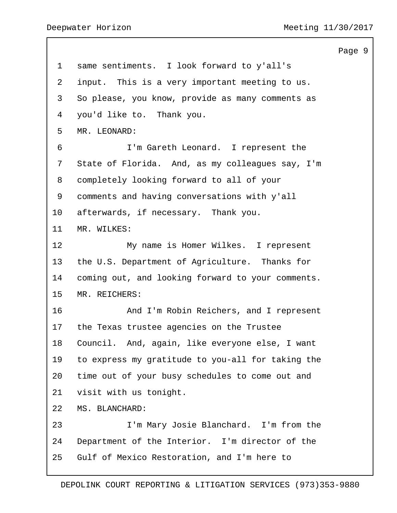same sentiments. I look forward to y'all's input. This is a very important meeting to us. So please, you know, provide as many comments as you'd like to. Thank you. MR. LEONARD: 6 I'm Gareth Leonard. I represent the State of Florida. And, as my colleagues say, I'm completely looking forward to all of your comments and having conversations with y'all afterwards, if necessary. Thank you. MR. WILKES: 12 My name is Homer Wilkes. I represent the U.S. Department of Agriculture. Thanks for coming out, and looking forward to your comments. MR. REICHERS: 16 And I'm Robin Reichers, and I represent the Texas trustee agencies on the Trustee Council. And, again, like everyone else, I want to express my gratitude to you-all for taking the time out of your busy schedules to come out and visit with us tonight. MS. BLANCHARD: 23 I'm Mary Josie Blanchard. I'm from the Department of the Interior. I'm director of the Gulf of Mexico Restoration, and I'm here to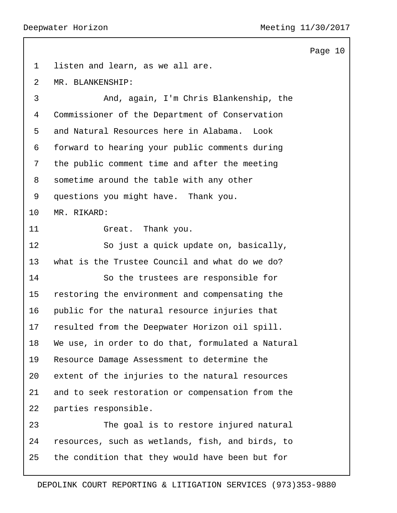|             |                                                   | Page 10 |  |
|-------------|---------------------------------------------------|---------|--|
| $\mathbf 1$ | listen and learn, as we all are.                  |         |  |
| 2           | MR. BLANKENSHIP:                                  |         |  |
| 3           | And, again, I'm Chris Blankenship, the            |         |  |
| 4           | Commissioner of the Department of Conservation    |         |  |
| 5           | and Natural Resources here in Alabama.<br>Look    |         |  |
| 6           | forward to hearing your public comments during    |         |  |
| 7           | the public comment time and after the meeting     |         |  |
| 8           | sometime around the table with any other          |         |  |
| 9           | questions you might have. Thank you.              |         |  |
| 10          | MR. RIKARD:                                       |         |  |
| 11          | Great. Thank you.                                 |         |  |
| 12          | So just a quick update on, basically,             |         |  |
| 13          | what is the Trustee Council and what do we do?    |         |  |
| 14          | So the trustees are responsible for               |         |  |
| 15          | restoring the environment and compensating the    |         |  |
| 16          | public for the natural resource injuries that     |         |  |
| 17          | resulted from the Deepwater Horizon oil spill.    |         |  |
| 18          | We use, in order to do that, formulated a Natural |         |  |
| 19          | Resource Damage Assessment to determine the       |         |  |
| 20          | extent of the injuries to the natural resources   |         |  |
| 21          | and to seek restoration or compensation from the  |         |  |
| 22          | parties responsible.                              |         |  |
| 23          | The goal is to restore injured natural            |         |  |
| 24          | resources, such as wetlands, fish, and birds, to  |         |  |
| 25          | the condition that they would have been but for   |         |  |
|             |                                                   |         |  |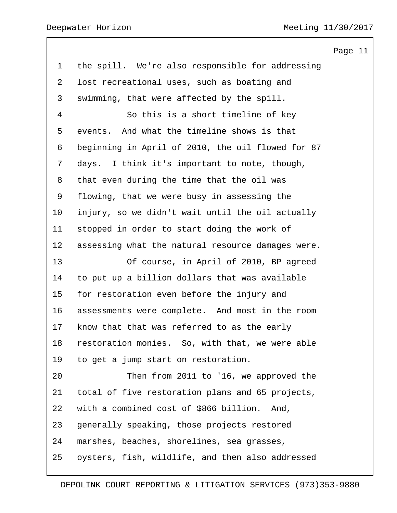the spill. We're also responsible for addressing lost recreational uses, such as boating and swimming, that were affected by the spill. 4 So this is a short timeline of key events. And what the timeline shows is that beginning in April of 2010, the oil flowed for 87 days. I think it's important to note, though, that even during the time that the oil was flowing, that we were busy in assessing the injury, so we didn't wait until the oil actually stopped in order to start doing the work of assessing what the natural resource damages were. 13 Of course, in April of 2010, BP agreed to put up a billion dollars that was available for restoration even before the injury and assessments were complete. And most in the room know that that was referred to as the early restoration monies. So, with that, we were able to get a jump start on restoration. 20 Then from 2011 to '16, we approved the total of five restoration plans and 65 projects, with a combined cost of \$866 billion. And, generally speaking, those projects restored marshes, beaches, shorelines, sea grasses, oysters, fish, wildlife, and then also addressed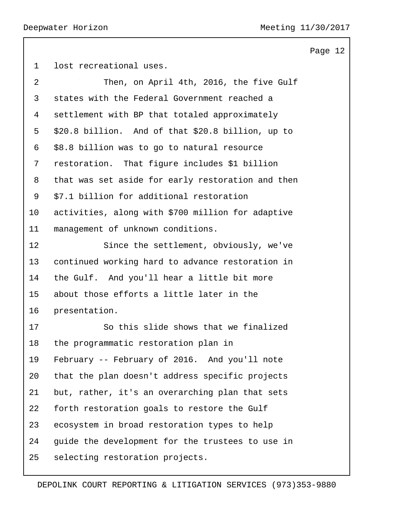```
Page 12
```
lost recreational uses.

| 2  | Then, on April 4th, 2016, the five Gulf           |
|----|---------------------------------------------------|
| 3  | states with the Federal Government reached a      |
| 4  | settlement with BP that totaled approximately     |
| 5  | \$20.8 billion. And of that \$20.8 billion, up to |
| 6  | \$8.8 billion was to go to natural resource       |
| 7  | restoration. That figure includes \$1 billion     |
| 8  | that was set aside for early restoration and then |
| 9  | \$7.1 billion for additional restoration          |
| 10 | activities, along with \$700 million for adaptive |
| 11 | management of unknown conditions.                 |
| 12 | Since the settlement, obviously, we've            |
| 13 | continued working hard to advance restoration in  |
| 14 | the Gulf. And you'll hear a little bit more       |
| 15 | about those efforts a little later in the         |
| 16 | presentation.                                     |
| 17 | So this slide shows that we finalized             |
| 18 | the programmatic restoration plan in              |
| 19 | February -- February of 2016. And you'll note     |
| 20 | that the plan doesn't address specific projects   |
| 21 | but, rather, it's an overarching plan that sets   |
| 22 | forth restoration goals to restore the Gulf       |
| 23 | ecosystem in broad restoration types to help      |
| 24 | guide the development for the trustees to use in  |
| 25 | selecting restoration projects.                   |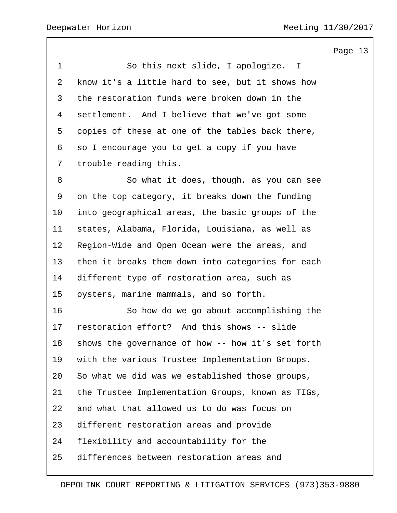| $\mathbf 1$    | So this next slide, I apologize. I                |
|----------------|---------------------------------------------------|
| $\overline{2}$ | know it's a little hard to see, but it shows how  |
| 3              | the restoration funds were broken down in the     |
| 4              | settlement. And I believe that we've got some     |
| 5              | copies of these at one of the tables back there,  |
| 6              | so I encourage you to get a copy if you have      |
| 7              | trouble reading this.                             |
| 8              | So what it does, though, as you can see           |
| 9              | on the top category, it breaks down the funding   |
| 10             | into geographical areas, the basic groups of the  |
| 11             | states, Alabama, Florida, Louisiana, as well as   |
| 12             | Region-Wide and Open Ocean were the areas, and    |
| 13             | then it breaks them down into categories for each |
| 14             | different type of restoration area, such as       |
| 15             | oysters, marine mammals, and so forth.            |
| 16             | So how do we go about accomplishing the           |
| 17             | restoration effort? And this shows -- slide       |
| 18             | shows the governance of how -- how it's set forth |
| 19             | with the various Trustee Implementation Groups.   |
| 20             | So what we did was we established those groups,   |
| 21             | the Trustee Implementation Groups, known as TIGs, |
| 22             | and what that allowed us to do was focus on       |
| 23             | different restoration areas and provide           |
| 24             | flexibility and accountability for the            |
| 25             | differences between restoration areas and         |
|                |                                                   |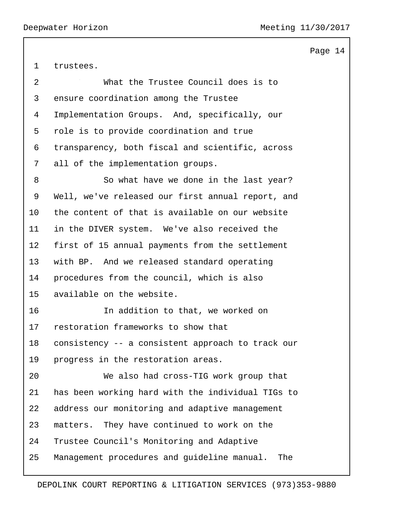trustees.

| $\overline{2}$ | What the Trustee Council does is to                |
|----------------|----------------------------------------------------|
| 3              | ensure coordination among the Trustee              |
| 4              | Implementation Groups. And, specifically, our      |
| 5              | role is to provide coordination and true           |
| 6              | transparency, both fiscal and scientific, across   |
| 7              | all of the implementation groups.                  |
| 8              | So what have we done in the last year?             |
| 9              | Well, we've released our first annual report, and  |
| 10             | the content of that is available on our website    |
| 11             | in the DIVER system. We've also received the       |
| $12 \,$        | first of 15 annual payments from the settlement    |
| 13             | with BP. And we released standard operating        |
| 14             | procedures from the council, which is also         |
| 15             | available on the website.                          |
| 16             | In addition to that, we worked on                  |
| 17             | restoration frameworks to show that                |
| 18             | consistency -- a consistent approach to track our  |
| 19             | progress in the restoration areas.                 |
| 20             | We also had cross-TIG work group that              |
| 21             | has been working hard with the individual TIGs to  |
| 22             | address our monitoring and adaptive management     |
| 23             | They have continued to work on the<br>matters.     |
| 24             | Trustee Council's Monitoring and Adaptive          |
| 25             | Management procedures and guideline manual.<br>The |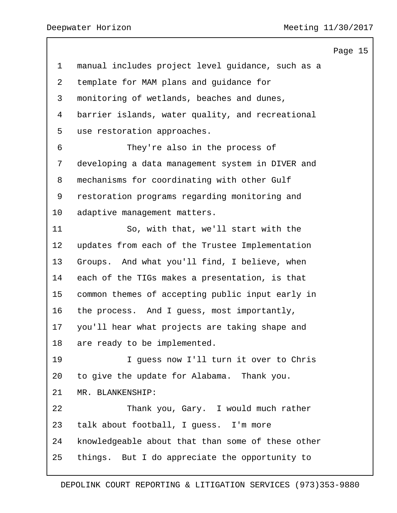Page 15 manual includes project level guidance, such as a template for MAM plans and guidance for monitoring of wetlands, beaches and dunes, barrier islands, water quality, and recreational use restoration approaches. 6 They're also in the process of developing a data management system in DIVER and mechanisms for coordinating with other Gulf restoration programs regarding monitoring and adaptive management matters. 11 So, with that, we'll start with the updates from each of the Trustee Implementation Groups. And what you'll find, I believe, when each of the TIGs makes a presentation, is that common themes of accepting public input early in the process. And I guess, most importantly, you'll hear what projects are taking shape and are ready to be implemented. 19 I guess now I'll turn it over to Chris to give the update for Alabama. Thank you. MR. BLANKENSHIP: 22 Thank you, Gary. I would much rather talk about football, I guess. I'm more knowledgeable about that than some of these other things. But I do appreciate the opportunity to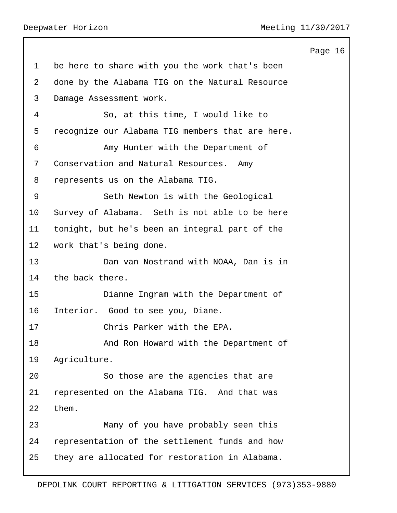Page 16 1 be here to share with you the work that's been 2 done by the Alabama TIG on the Natural Resource 3 Damage Assessment work. 4 So, at this time, I would like to 5 recognize our Alabama TIG members that are here. 6 Amy Hunter with the Department of 7 Conservation and Natural Resources. Amy 8 represents us on the Alabama TIG. 9 Seth Newton is with the Geological 10 Survey of Alabama. Seth is not able to be here 11 tonight, but he's been an integral part of the 12 work that's being done. 13 Dan van Nostrand with NOAA, Dan is in 14 the back there. 15 Dianne Ingram with the Department of 16 Interior. Good to see you, Diane. 17 Chris Parker with the EPA. 18 And Ron Howard with the Department of 19 Agriculture. 20 So those are the agencies that are 21 represented on the Alabama TIG. And that was 22 them. 23 Many of you have probably seen this 24 representation of the settlement funds and how 25 they are allocated for restoration in Alabama.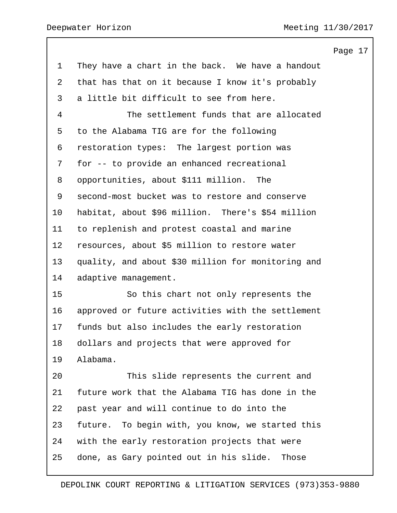|                |                                                     | Page 17 |
|----------------|-----------------------------------------------------|---------|
| $\mathbf 1$    | They have a chart in the back. We have a handout    |         |
| $\overline{2}$ | that has that on it because I know it's probably    |         |
| 3              | a little bit difficult to see from here.            |         |
| 4              | The settlement funds that are allocated             |         |
| 5              | to the Alabama TIG are for the following            |         |
| 6              | restoration types: The largest portion was          |         |
| 7              | for -- to provide an enhanced recreational          |         |
| 8              | opportunities, about \$111 million. The             |         |
| 9              | second-most bucket was to restore and conserve      |         |
| 10             | habitat, about \$96 million. There's \$54 million   |         |
| 11             | to replenish and protest coastal and marine         |         |
| 12             | resources, about \$5 million to restore water       |         |
| 13             | quality, and about \$30 million for monitoring and  |         |
| 14             | adaptive management.                                |         |
| 15             | So this chart not only represents the               |         |
| 16             | approved or future activities with the settlement   |         |
| 17             | funds but also includes the early restoration       |         |
| 18             | dollars and projects that were approved for         |         |
| 19             | Alabama.                                            |         |
| 20             | This slide represents the current and               |         |
| 21             | future work that the Alabama TIG has done in the    |         |
| 22             | past year and will continue to do into the          |         |
| 23             | To begin with, you know, we started this<br>future. |         |
| 24             | with the early restoration projects that were       |         |
| 25             | done, as Gary pointed out in his slide.<br>Those    |         |
|                |                                                     |         |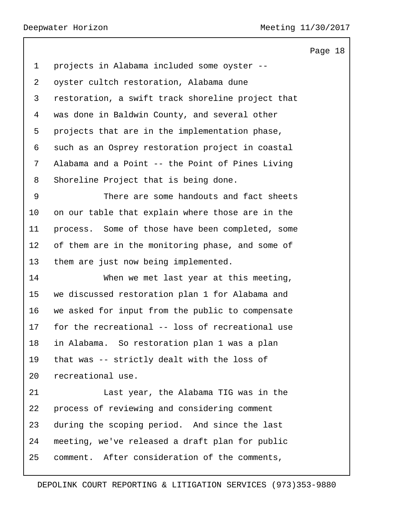projects in Alabama included some oyster -- oyster cultch restoration, Alabama dune restoration, a swift track shoreline project that was done in Baldwin County, and several other projects that are in the implementation phase, such as an Osprey restoration project in coastal Alabama and a Point -- the Point of Pines Living Shoreline Project that is being done. 9 There are some handouts and fact sheets on our table that explain where those are in the process. Some of those have been completed, some of them are in the monitoring phase, and some of them are just now being implemented. 14 When we met last year at this meeting, we discussed restoration plan 1 for Alabama and we asked for input from the public to compensate for the recreational -- loss of recreational use in Alabama. So restoration plan 1 was a plan that was -- strictly dealt with the loss of recreational use. 21 Last year, the Alabama TIG was in the process of reviewing and considering comment during the scoping period. And since the last meeting, we've released a draft plan for public comment. After consideration of the comments,

Page 18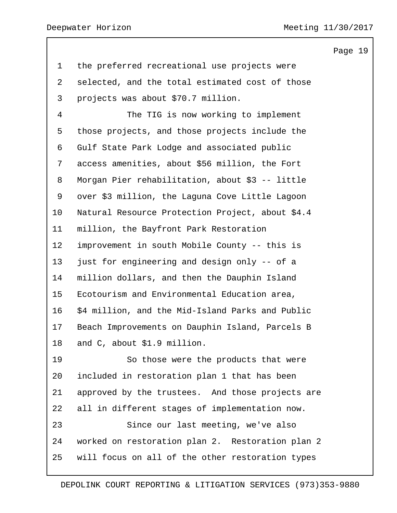| $\mathbf 1$    | the preferred recreational use projects were     |
|----------------|--------------------------------------------------|
| $\overline{2}$ | selected, and the total estimated cost of those  |
| 3              | projects was about \$70.7 million.               |
| $\overline{4}$ | The TIG is now working to implement              |
| 5              | those projects, and those projects include the   |
| 6              | Gulf State Park Lodge and associated public      |
| 7              | access amenities, about \$56 million, the Fort   |
| 8              | Morgan Pier rehabilitation, about \$3 -- little  |
| 9              | over \$3 million, the Laguna Cove Little Lagoon  |
| 10             | Natural Resource Protection Project, about \$4.4 |
| 11             | million, the Bayfront Park Restoration           |
| 12             | improvement in south Mobile County -- this is    |
| 13             | just for engineering and design only -- of a     |
| 14             | million dollars, and then the Dauphin Island     |
| 15             | Ecotourism and Environmental Education area,     |
| 16             | \$4 million, and the Mid-Island Parks and Public |
| 17             | Beach Improvements on Dauphin Island, Parcels B  |
| 18             | and C, about \$1.9 million.                      |
| 19             | So those were the products that were             |
| 20             | included in restoration plan 1 that has been     |
| 21             | approved by the trustees. And those projects are |
| 22             | all in different stages of implementation now.   |
| 23             | Since our last meeting, we've also               |
| 24             | worked on restoration plan 2. Restoration plan 2 |
| 25             | will focus on all of the other restoration types |
|                |                                                  |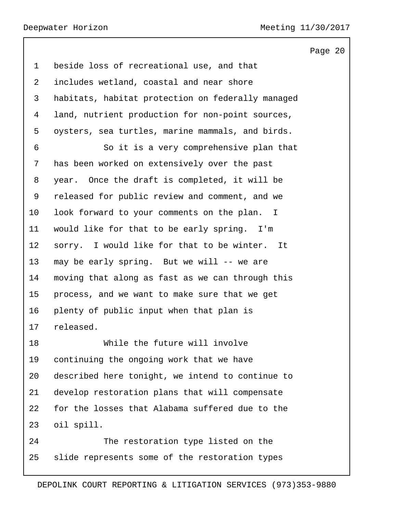Page 20 beside loss of recreational use, and that includes wetland, coastal and near shore habitats, habitat protection on federally managed land, nutrient production for non-point sources, oysters, sea turtles, marine mammals, and birds. 6 So it is a very comprehensive plan that has been worked on extensively over the past year. Once the draft is completed, it will be released for public review and comment, and we look forward to your comments on the plan. I would like for that to be early spring. I'm sorry. I would like for that to be winter. It may be early spring. But we will -- we are moving that along as fast as we can through this process, and we want to make sure that we get plenty of public input when that plan is released. 18 While the future will involve continuing the ongoing work that we have described here tonight, we intend to continue to develop restoration plans that will compensate for the losses that Alabama suffered due to the oil spill. 24 The restoration type listed on the slide represents some of the restoration types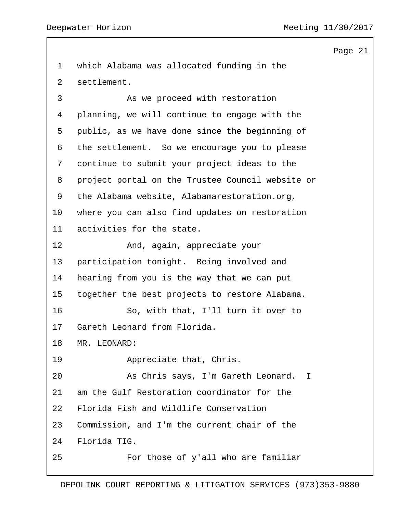which Alabama was allocated funding in the settlement. 3 As we proceed with restoration planning, we will continue to engage with the public, as we have done since the beginning of the settlement. So we encourage you to please continue to submit your project ideas to the project portal on the Trustee Council website or the Alabama website, Alabamarestoration.org, where you can also find updates on restoration activities for the state. 12 And, again, appreciate your participation tonight. Being involved and hearing from you is the way that we can put together the best projects to restore Alabama. 16 So, with that, I'll turn it over to Gareth Leonard from Florida. MR. LEONARD: 19 Appreciate that, Chris. 20 As Chris says, I'm Gareth Leonard. I am the Gulf Restoration coordinator for the Florida Fish and Wildlife Conservation Commission, and I'm the current chair of the Florida TIG. 25 For those of y'all who are familiar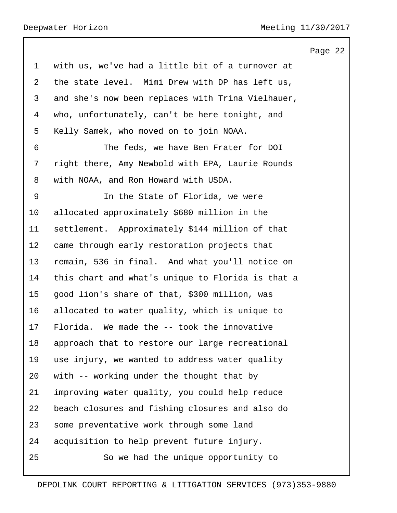with us, we've had a little bit of a turnover at the state level. Mimi Drew with DP has left us, and she's now been replaces with Trina Vielhauer, who, unfortunately, can't be here tonight, and Kelly Samek, who moved on to join NOAA. 6 The feds, we have Ben Frater for DOI right there, Amy Newbold with EPA, Laurie Rounds with NOAA, and Ron Howard with USDA. 9 In the State of Florida, we were allocated approximately \$680 million in the settlement. Approximately \$144 million of that came through early restoration projects that remain, 536 in final. And what you'll notice on this chart and what's unique to Florida is that a good lion's share of that, \$300 million, was allocated to water quality, which is unique to Florida. We made the -- took the innovative approach that to restore our large recreational use injury, we wanted to address water quality with -- working under the thought that by improving water quality, you could help reduce beach closures and fishing closures and also do some preventative work through some land acquisition to help prevent future injury. 25 So we had the unique opportunity to

## DEPOLINK COURT REPORTING & LITIGATION SERVICES (973)353-9880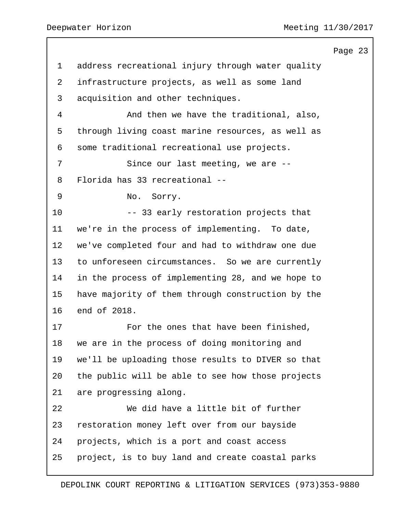|                |                                                   | Page 23 |  |
|----------------|---------------------------------------------------|---------|--|
| $\mathbf 1$    | address recreational injury through water quality |         |  |
| $\overline{2}$ | infrastructure projects, as well as some land     |         |  |
| 3              | acquisition and other techniques.                 |         |  |
| 4              | And then we have the traditional, also,           |         |  |
| 5              | through living coast marine resources, as well as |         |  |
| 6              | some traditional recreational use projects.       |         |  |
| 7              | Since our last meeting, we are --                 |         |  |
| 8              | Florida has 33 recreational --                    |         |  |
| 9              | No.<br>Sorry.                                     |         |  |
| 10             | -- 33 early restoration projects that             |         |  |
| 11             | we're in the process of implementing. To date,    |         |  |
| $12 \,$        | we've completed four and had to withdraw one due  |         |  |
| 13             | to unforeseen circumstances. So we are currently  |         |  |
| 14             | in the process of implementing 28, and we hope to |         |  |
| 15             | have majority of them through construction by the |         |  |
| 16             | end of 2018.                                      |         |  |
| 17             | For the ones that have been finished,             |         |  |
| 18             | we are in the process of doing monitoring and     |         |  |
| 19             | we'll be uploading those results to DIVER so that |         |  |
| 20             | the public will be able to see how those projects |         |  |
| 21             | are progressing along.                            |         |  |
| 22             | We did have a little bit of further               |         |  |
| 23             | restoration money left over from our bayside      |         |  |
| 24             | projects, which is a port and coast access        |         |  |
| 25             | project, is to buy land and create coastal parks  |         |  |
|                |                                                   |         |  |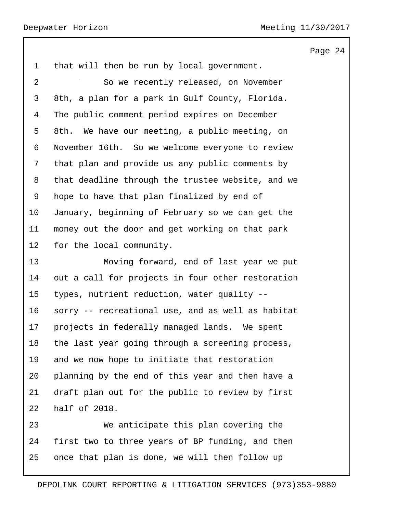that will then be run by local government. 2 So we recently released, on November 8th, a plan for a park in Gulf County, Florida. The public comment period expires on December 8th. We have our meeting, a public meeting, on November 16th. So we welcome everyone to review that plan and provide us any public comments by that deadline through the trustee website, and we hope to have that plan finalized by end of January, beginning of February so we can get the money out the door and get working on that park for the local community. 13 Moving forward, end of last year we put out a call for projects in four other restoration types, nutrient reduction, water quality -- sorry -- recreational use, and as well as habitat projects in federally managed lands. We spent the last year going through a screening process, and we now hope to initiate that restoration planning by the end of this year and then have a draft plan out for the public to review by first half of 2018.

23 We anticipate this plan covering the first two to three years of BP funding, and then once that plan is done, we will then follow up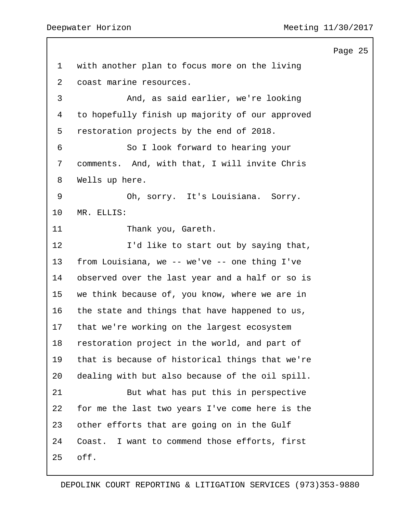Page 25 with another plan to focus more on the living coast marine resources. 3 And, as said earlier, we're looking to hopefully finish up majority of our approved restoration projects by the end of 2018. 6 So I look forward to hearing your comments. And, with that, I will invite Chris Wells up here. 9 Oh, sorry. It's Louisiana. Sorry. MR. ELLIS: 11 Thank you, Gareth. 12 I'd like to start out by saying that, from Louisiana, we -- we've -- one thing I've observed over the last year and a half or so is we think because of, you know, where we are in the state and things that have happened to us, that we're working on the largest ecosystem restoration project in the world, and part of that is because of historical things that we're dealing with but also because of the oil spill. 21 But what has put this in perspective for me the last two years I've come here is the other efforts that are going on in the Gulf Coast. I want to commend those efforts, first off.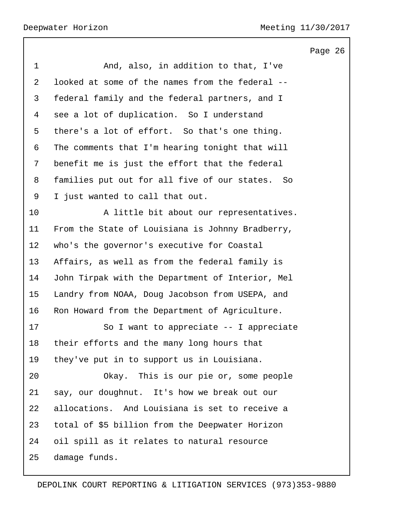Page 26 1 And, also, in addition to that, I've looked at some of the names from the federal -- federal family and the federal partners, and I see a lot of duplication. So I understand there's a lot of effort. So that's one thing. The comments that I'm hearing tonight that will benefit me is just the effort that the federal families put out for all five of our states. So I just wanted to call that out. 10 A little bit about our representatives. From the State of Louisiana is Johnny Bradberry, who's the governor's executive for Coastal Affairs, as well as from the federal family is John Tirpak with the Department of Interior, Mel Landry from NOAA, Doug Jacobson from USEPA, and Ron Howard from the Department of Agriculture. 17 So I want to appreciate -- I appreciate their efforts and the many long hours that they've put in to support us in Louisiana. 20 Okay. This is our pie or, some people say, our doughnut. It's how we break out our allocations. And Louisiana is set to receive a total of \$5 billion from the Deepwater Horizon oil spill as it relates to natural resource damage funds.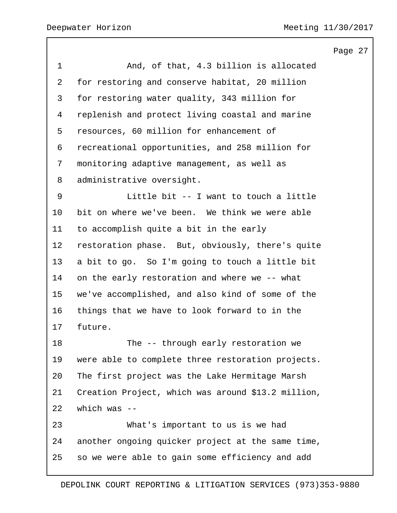|             |                                                    | Page 27 |  |
|-------------|----------------------------------------------------|---------|--|
| $\mathbf 1$ | And, of that, 4.3 billion is allocated             |         |  |
| 2           | for restoring and conserve habitat, 20 million     |         |  |
| 3           | for restoring water quality, 343 million for       |         |  |
| 4           | replenish and protect living coastal and marine    |         |  |
| 5           | resources, 60 million for enhancement of           |         |  |
| 6           | recreational opportunities, and 258 million for    |         |  |
| 7           | monitoring adaptive management, as well as         |         |  |
| 8           | administrative oversight.                          |         |  |
| 9           | Little bit -- I want to touch a little             |         |  |
| 10          | bit on where we've been. We think we were able     |         |  |
| 11          | to accomplish quite a bit in the early             |         |  |
| 12          | restoration phase. But, obviously, there's quite   |         |  |
| 13          | a bit to go. So I'm going to touch a little bit    |         |  |
| 14          | on the early restoration and where we -- what      |         |  |
| 15          | we've accomplished, and also kind of some of the   |         |  |
| 16          | things that we have to look forward to in the      |         |  |
| 17          | future.                                            |         |  |
| 18          | The -- through early restoration we                |         |  |
| 19          | were able to complete three restoration projects.  |         |  |
| 20          | The first project was the Lake Hermitage Marsh     |         |  |
| 21          | Creation Project, which was around \$13.2 million, |         |  |
| 22          | which was $--$                                     |         |  |
| 23          | What's important to us is we had                   |         |  |
| 24          | another ongoing quicker project at the same time,  |         |  |
| 25          | so we were able to gain some efficiency and add    |         |  |
|             |                                                    |         |  |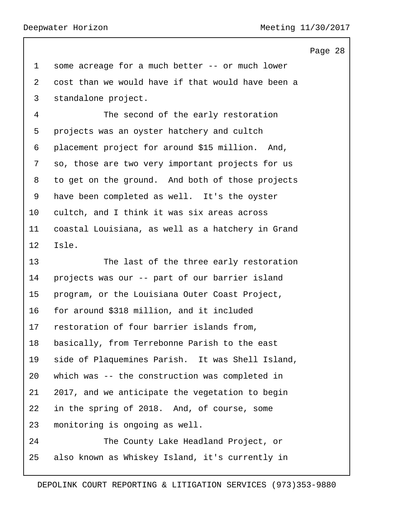some acreage for a much better -- or much lower cost than we would have if that would have been a standalone project.

4 The second of the early restoration projects was an oyster hatchery and cultch placement project for around \$15 million. And, so, those are two very important projects for us to get on the ground. And both of those projects have been completed as well. It's the oyster cultch, and I think it was six areas across coastal Louisiana, as well as a hatchery in Grand Isle.

13 The last of the three early restoration projects was our -- part of our barrier island program, or the Louisiana Outer Coast Project, for around \$318 million, and it included restoration of four barrier islands from, basically, from Terrebonne Parish to the east side of Plaquemines Parish. It was Shell Island, which was -- the construction was completed in 2017, and we anticipate the vegetation to begin in the spring of 2018. And, of course, some monitoring is ongoing as well. 24 The County Lake Headland Project, or

also known as Whiskey Island, it's currently in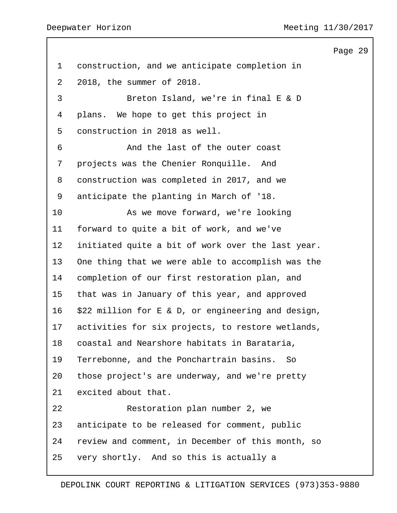construction, and we anticipate completion in 2018, the summer of 2018. 3 Breton Island, we're in final E & D plans. We hope to get this project in construction in 2018 as well. 6 And the last of the outer coast projects was the Chenier Ronquille. And construction was completed in 2017, and we anticipate the planting in March of '18. 10 As we move forward, we're looking forward to quite a bit of work, and we've initiated quite a bit of work over the last year. One thing that we were able to accomplish was the completion of our first restoration plan, and that was in January of this year, and approved \$22 million for E & D, or engineering and design, activities for six projects, to restore wetlands, coastal and Nearshore habitats in Barataria, Terrebonne, and the Ponchartrain basins. So those project's are underway, and we're pretty excited about that. 22 Restoration plan number 2, we anticipate to be released for comment, public review and comment, in December of this month, so very shortly. And so this is actually a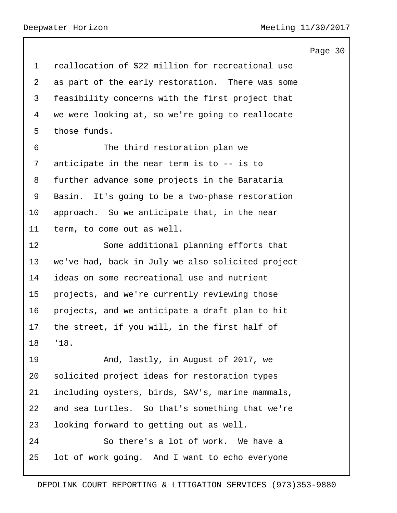Page 30 reallocation of \$22 million for recreational use as part of the early restoration. There was some feasibility concerns with the first project that we were looking at, so we're going to reallocate those funds. 6 The third restoration plan we anticipate in the near term is to -- is to further advance some projects in the Barataria Basin. It's going to be a two-phase restoration approach. So we anticipate that, in the near term, to come out as well. 12 Some additional planning efforts that we've had, back in July we also solicited project ideas on some recreational use and nutrient projects, and we're currently reviewing those projects, and we anticipate a draft plan to hit the street, if you will, in the first half of '18. 19 And, lastly, in August of 2017, we solicited project ideas for restoration types including oysters, birds, SAV's, marine mammals, and sea turtles. So that's something that we're looking forward to getting out as well. 24 So there's a lot of work. We have a lot of work going. And I want to echo everyone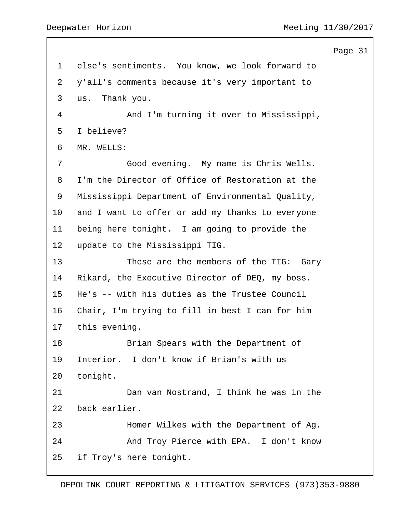Page 31 else's sentiments. You know, we look forward to y'all's comments because it's very important to us. Thank you. 4 And I'm turning it over to Mississippi, I believe? MR. WELLS: 7 Good evening. My name is Chris Wells. I'm the Director of Office of Restoration at the Mississippi Department of Environmental Quality, and I want to offer or add my thanks to everyone being here tonight. I am going to provide the update to the Mississippi TIG. 13 These are the members of the TIG: Gary Rikard, the Executive Director of DEQ, my boss. He's -- with his duties as the Trustee Council Chair, I'm trying to fill in best I can for him this evening. 18 Brian Spears with the Department of Interior. I don't know if Brian's with us tonight. 21 Dan van Nostrand, I think he was in the back earlier. 23 Homer Wilkes with the Department of Ag. 24 And Troy Pierce with EPA. I don't know if Troy's here tonight.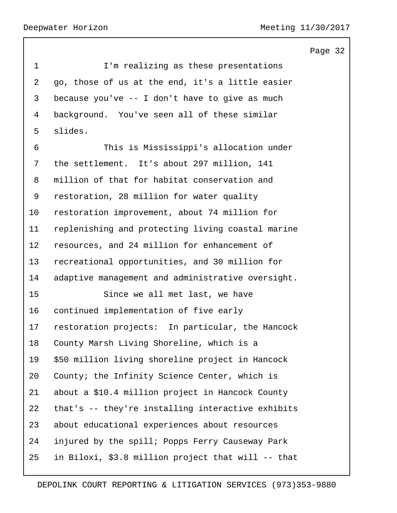Page 32 1 I'm realizing as these presentations go, those of us at the end, it's a little easier because you've -- I don't have to give as much background. You've seen all of these similar slides. 6 This is Mississippi's allocation under the settlement. It's about 297 million, 141 million of that for habitat conservation and restoration, 28 million for water quality restoration improvement, about 74 million for replenishing and protecting living coastal marine resources, and 24 million for enhancement of recreational opportunities, and 30 million for adaptive management and administrative oversight. 15 Since we all met last, we have continued implementation of five early restoration projects: In particular, the Hancock County Marsh Living Shoreline, which is a \$50 million living shoreline project in Hancock County; the Infinity Science Center, which is about a \$10.4 million project in Hancock County that's -- they're installing interactive exhibits about educational experiences about resources injured by the spill; Popps Ferry Causeway Park in Biloxi, \$3.8 million project that will -- that

## DEPOLINK COURT REPORTING & LITIGATION SERVICES (973)353-9880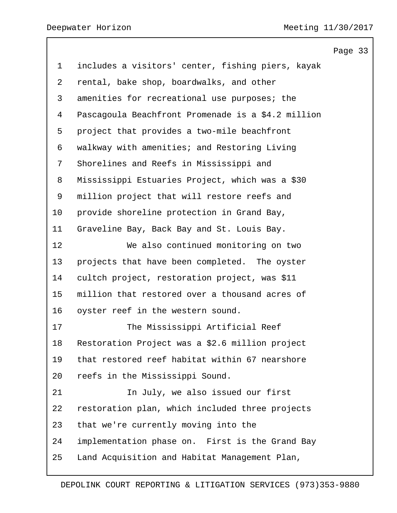|                |                                                    | Page 33 |  |
|----------------|----------------------------------------------------|---------|--|
| $\mathbf 1$    | includes a visitors' center, fishing piers, kayak  |         |  |
| $\overline{a}$ | rental, bake shop, boardwalks, and other           |         |  |
| 3              | amenities for recreational use purposes; the       |         |  |
| 4              | Pascagoula Beachfront Promenade is a \$4.2 million |         |  |
| 5              | project that provides a two-mile beachfront        |         |  |
| 6              | walkway with amenities; and Restoring Living       |         |  |
| 7              | Shorelines and Reefs in Mississippi and            |         |  |
| 8              | Mississippi Estuaries Project, which was a \$30    |         |  |
| 9              | million project that will restore reefs and        |         |  |
| 10             | provide shoreline protection in Grand Bay,         |         |  |
| 11             | Graveline Bay, Back Bay and St. Louis Bay.         |         |  |
| 12             | We also continued monitoring on two                |         |  |
| 13             | projects that have been completed. The oyster      |         |  |
| 14             | cultch project, restoration project, was \$11      |         |  |
| 15             | million that restored over a thousand acres of     |         |  |
| 16             | oyster reef in the western sound.                  |         |  |
| 17             | The Mississippi Artificial Reef                    |         |  |
| 18             | Restoration Project was a \$2.6 million project    |         |  |
| 19             | that restored reef habitat within 67 nearshore     |         |  |
| 20             | reefs in the Mississippi Sound.                    |         |  |
| 21             | In July, we also issued our first                  |         |  |
| 22             | restoration plan, which included three projects    |         |  |
| 23             | that we're currently moving into the               |         |  |
| 24             | implementation phase on. First is the Grand Bay    |         |  |
| 25             | Land Acquisition and Habitat Management Plan,      |         |  |
|                |                                                    |         |  |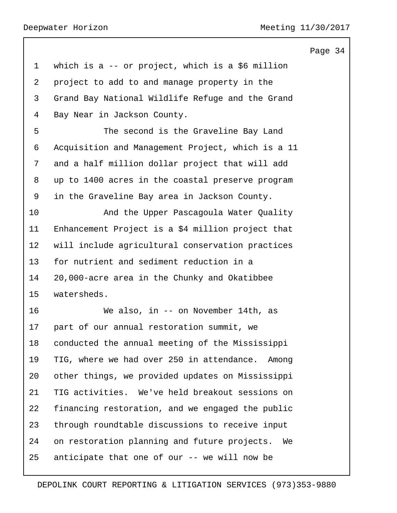| 1  | which is a $-$ or project, which is a \$6 million  |
|----|----------------------------------------------------|
| 2  | project to add to and manage property in the       |
| 3  | Grand Bay National Wildlife Refuge and the Grand   |
| 4  | Bay Near in Jackson County.                        |
| 5  | The second is the Graveline Bay Land               |
| 6  | Acquisition and Management Project, which is a 11  |
| 7  | and a half million dollar project that will add    |
| 8  | up to 1400 acres in the coastal preserve program   |
| 9  | in the Graveline Bay area in Jackson County.       |
| 10 | And the Upper Pascagoula Water Quality             |
| 11 | Enhancement Project is a \$4 million project that  |
| 12 | will include agricultural conservation practices   |
| 13 | for nutrient and sediment reduction in a           |
| 14 | 20,000-acre area in the Chunky and Okatibbee       |
| 15 | watersheds.                                        |
| 16 | We also, in -- on November 14th, as                |
| 17 | part of our annual restoration summit, we          |
| 18 | conducted the annual meeting of the Mississippi    |
| 19 | TIG, where we had over 250 in attendance. Among    |
| 20 | other things, we provided updates on Mississippi   |
| 21 | TIG activities. We've held breakout sessions on    |
| 22 | financing restoration, and we engaged the public   |
| 23 | through roundtable discussions to receive input    |
| 24 | on restoration planning and future projects.<br>We |
| 25 | anticipate that one of our -- we will now be       |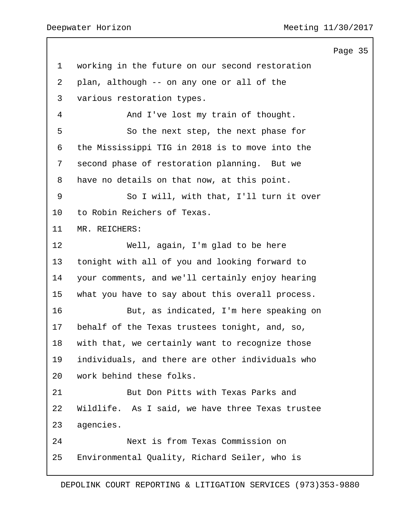working in the future on our second restoration plan, although -- on any one or all of the various restoration types. 4 And I've lost my train of thought. 5 So the next step, the next phase for the Mississippi TIG in 2018 is to move into the second phase of restoration planning. But we have no details on that now, at this point. 9 So I will, with that, I'll turn it over to Robin Reichers of Texas. MR. REICHERS: 12 Well, again, I'm glad to be here tonight with all of you and looking forward to your comments, and we'll certainly enjoy hearing what you have to say about this overall process. 16 But, as indicated, I'm here speaking on behalf of the Texas trustees tonight, and, so, with that, we certainly want to recognize those individuals, and there are other individuals who work behind these folks. 21 But Don Pitts with Texas Parks and Wildlife. As I said, we have three Texas trustee agencies. 24 Next is from Texas Commission on Environmental Quality, Richard Seiler, who is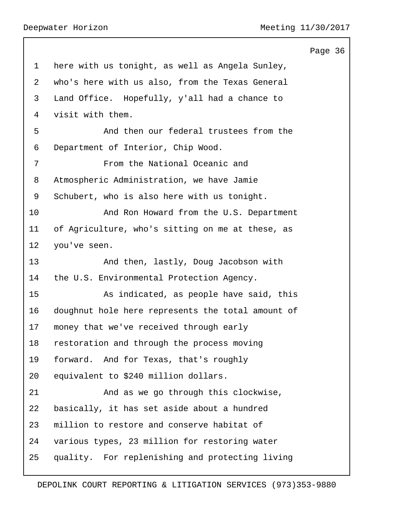|                |                                                   | Page 36 |  |
|----------------|---------------------------------------------------|---------|--|
| $\mathbf{1}$   | here with us tonight, as well as Angela Sunley,   |         |  |
| $\overline{a}$ | who's here with us also, from the Texas General   |         |  |
| 3              | Land Office. Hopefully, y'all had a chance to     |         |  |
| 4              | visit with them.                                  |         |  |
| 5              | And then our federal trustees from the            |         |  |
| 6              | Department of Interior, Chip Wood.                |         |  |
| 7              | From the National Oceanic and                     |         |  |
| 8              | Atmospheric Administration, we have Jamie         |         |  |
| 9              | Schubert, who is also here with us tonight.       |         |  |
| 10             | And Ron Howard from the U.S. Department           |         |  |
| 11             | of Agriculture, who's sitting on me at these, as  |         |  |
| 12             | you've seen.                                      |         |  |
| 13             | And then, lastly, Doug Jacobson with              |         |  |
| 14             | the U.S. Environmental Protection Agency.         |         |  |
| 15             | As indicated, as people have said, this           |         |  |
| 16             | doughnut hole here represents the total amount of |         |  |
| 17             | money that we've received through early           |         |  |
| 18             | restoration and through the process moving        |         |  |
| 19             | forward. And for Texas, that's roughly            |         |  |
| 20             | equivalent to \$240 million dollars.              |         |  |
| 21             | And as we go through this clockwise,              |         |  |
| 22             | basically, it has set aside about a hundred       |         |  |
| 23             | million to restore and conserve habitat of        |         |  |
| 24             | various types, 23 million for restoring water     |         |  |
| 25             | quality. For replenishing and protecting living   |         |  |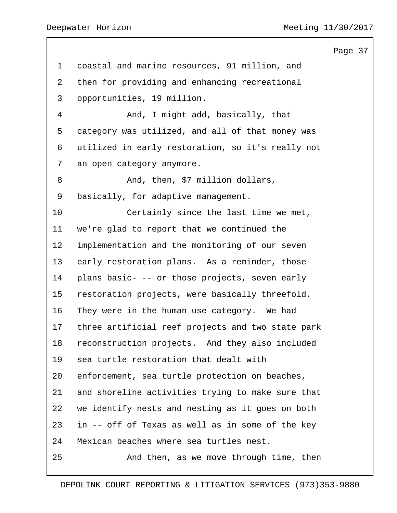coastal and marine resources, 91 million, and then for providing and enhancing recreational opportunities, 19 million. 4 And, I might add, basically, that category was utilized, and all of that money was utilized in early restoration, so it's really not an open category anymore. 8 And, then, \$7 million dollars, basically, for adaptive management. 10 Certainly since the last time we met, we're glad to report that we continued the implementation and the monitoring of our seven early restoration plans. As a reminder, those plans basic- -- or those projects, seven early restoration projects, were basically threefold. They were in the human use category. We had three artificial reef projects and two state park reconstruction projects. And they also included sea turtle restoration that dealt with enforcement, sea turtle protection on beaches, and shoreline activities trying to make sure that we identify nests and nesting as it goes on both in -- off of Texas as well as in some of the key Mexican beaches where sea turtles nest. 25 And then, as we move through time, then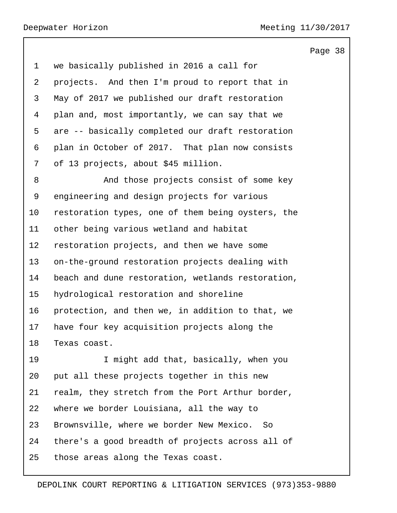we basically published in 2016 a call for projects. And then I'm proud to report that in May of 2017 we published our draft restoration plan and, most importantly, we can say that we are -- basically completed our draft restoration plan in October of 2017. That plan now consists of 13 projects, about \$45 million. 8 And those projects consist of some key engineering and design projects for various restoration types, one of them being oysters, the other being various wetland and habitat restoration projects, and then we have some on-the-ground restoration projects dealing with beach and dune restoration, wetlands restoration, hydrological restoration and shoreline protection, and then we, in addition to that, we have four key acquisition projects along the Texas coast. 19 I might add that, basically, when you put all these projects together in this new realm, they stretch from the Port Arthur border, where we border Louisiana, all the way to Brownsville, where we border New Mexico. So there's a good breadth of projects across all of

those areas along the Texas coast.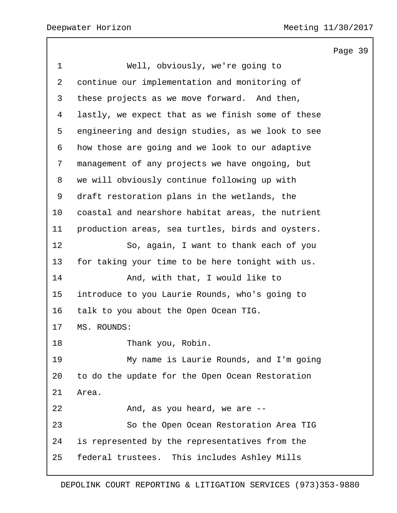Page 39 1 Well, obviously, we're going to continue our implementation and monitoring of these projects as we move forward. And then, lastly, we expect that as we finish some of these engineering and design studies, as we look to see how those are going and we look to our adaptive management of any projects we have ongoing, but we will obviously continue following up with draft restoration plans in the wetlands, the coastal and nearshore habitat areas, the nutrient production areas, sea turtles, birds and oysters. 12 So, again, I want to thank each of you for taking your time to be here tonight with us. 14 And, with that, I would like to introduce to you Laurie Rounds, who's going to talk to you about the Open Ocean TIG. MS. ROUNDS: 18 Thank you, Robin. 19 My name is Laurie Rounds, and I'm going to do the update for the Open Ocean Restoration Area. 22 And, as you heard, we are --23 So the Open Ocean Restoration Area TIG is represented by the representatives from the federal trustees. This includes Ashley Mills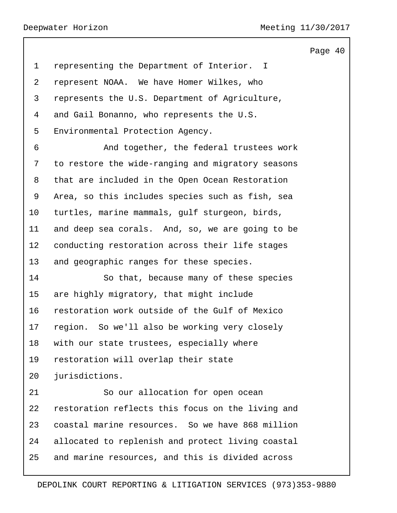|                |                                                   | Page 40 |  |
|----------------|---------------------------------------------------|---------|--|
| $\mathbf{1}$   | representing the Department of Interior. I        |         |  |
| $\overline{2}$ | represent NOAA. We have Homer Wilkes, who         |         |  |
| 3              | represents the U.S. Department of Agriculture,    |         |  |
| 4              | and Gail Bonanno, who represents the U.S.         |         |  |
| 5              | Environmental Protection Agency.                  |         |  |
| 6              | And together, the federal trustees work           |         |  |
| 7              | to restore the wide-ranging and migratory seasons |         |  |
| 8              | that are included in the Open Ocean Restoration   |         |  |
| 9              | Area, so this includes species such as fish, sea  |         |  |
| 10             | turtles, marine mammals, gulf sturgeon, birds,    |         |  |
| 11             | and deep sea corals. And, so, we are going to be  |         |  |
| $12 \,$        | conducting restoration across their life stages   |         |  |
| 13             | and geographic ranges for these species.          |         |  |
| 14             | So that, because many of these species            |         |  |
| 15             | are highly migratory, that might include          |         |  |
| 16             | restoration work outside of the Gulf of Mexico    |         |  |
| 17             | region. So we'll also be working very closely     |         |  |
| 18             | with our state trustees, especially where         |         |  |
| 19             | restoration will overlap their state              |         |  |
| 20             | jurisdictions.                                    |         |  |
| 21             | So our allocation for open ocean                  |         |  |
| 22             | restoration reflects this focus on the living and |         |  |
| 23             | coastal marine resources. So we have 868 million  |         |  |
| 24             | allocated to replenish and protect living coastal |         |  |
| 25             | and marine resources, and this is divided across  |         |  |
|                |                                                   |         |  |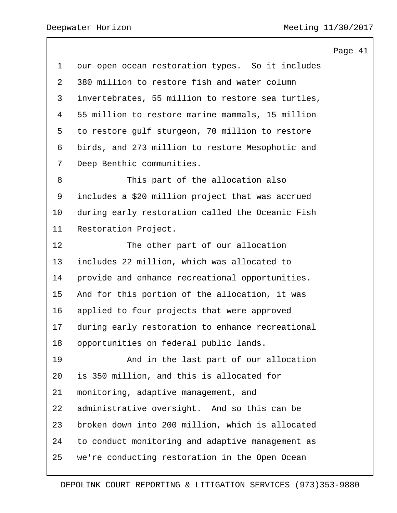|                                                   | Page 41 |  |
|---------------------------------------------------|---------|--|
| our open ocean restoration types. So it includes  |         |  |
| 380 million to restore fish and water column      |         |  |
| invertebrates, 55 million to restore sea turtles, |         |  |
| 55 million to restore marine mammals, 15 million  |         |  |
| to restore gulf sturgeon, 70 million to restore   |         |  |
| birds, and 273 million to restore Mesophotic and  |         |  |
| Deep Benthic communities.                         |         |  |
| This part of the allocation also                  |         |  |
| includes a \$20 million project that was accrued  |         |  |
| during early restoration called the Oceanic Fish  |         |  |
| Restoration Project.                              |         |  |
| The other part of our allocation                  |         |  |
| includes 22 million, which was allocated to       |         |  |
| provide and enhance recreational opportunities.   |         |  |
| And for this portion of the allocation, it was    |         |  |
| applied to four projects that were approved       |         |  |
| during early restoration to enhance recreational  |         |  |
| opportunities on federal public lands.            |         |  |
| And in the last part of our allocation            |         |  |
| is 350 million, and this is allocated for         |         |  |
| monitoring, adaptive management, and              |         |  |
| administrative oversight. And so this can be      |         |  |
| broken down into 200 million, which is allocated  |         |  |
| to conduct monitoring and adaptive management as  |         |  |
| we're conducting restoration in the Open Ocean    |         |  |
|                                                   |         |  |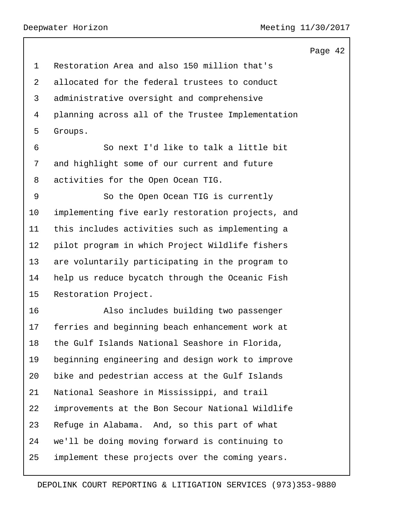|                |                                                   | Page 42 |  |
|----------------|---------------------------------------------------|---------|--|
| $\mathbf{1}$   | Restoration Area and also 150 million that's      |         |  |
| $\overline{2}$ | allocated for the federal trustees to conduct     |         |  |
| 3              | administrative oversight and comprehensive        |         |  |
| 4              | planning across all of the Trustee Implementation |         |  |
| 5              | Groups.                                           |         |  |
| 6              | So next I'd like to talk a little bit             |         |  |
| 7              | and highlight some of our current and future      |         |  |
| 8              | activities for the Open Ocean TIG.                |         |  |
| 9              | So the Open Ocean TIG is currently                |         |  |
| 10             | implementing five early restoration projects, and |         |  |
| 11             | this includes activities such as implementing a   |         |  |
| 12             | pilot program in which Project Wildlife fishers   |         |  |
| 13             | are voluntarily participating in the program to   |         |  |
| 14             | help us reduce bycatch through the Oceanic Fish   |         |  |
| 15             | Restoration Project.                              |         |  |
| 16             | Also includes building two passenger              |         |  |
| 17             | ferries and beginning beach enhancement work at   |         |  |
| 18             | the Gulf Islands National Seashore in Florida,    |         |  |
| 19             | beginning engineering and design work to improve  |         |  |
| 20             | bike and pedestrian access at the Gulf Islands    |         |  |
| 21             | National Seashore in Mississippi, and trail       |         |  |
| 22             | improvements at the Bon Secour National Wildlife  |         |  |
| 23             | Refuge in Alabama. And, so this part of what      |         |  |
| 24             | we'll be doing moving forward is continuing to    |         |  |
| 25             | implement these projects over the coming years.   |         |  |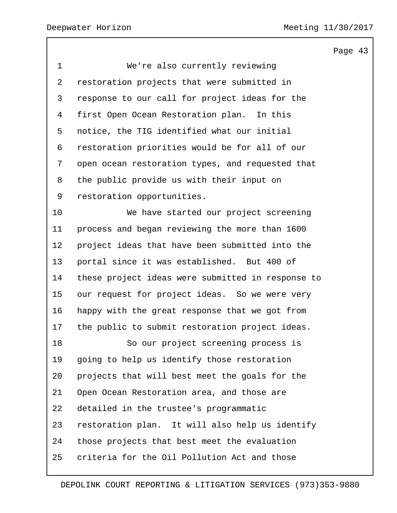1 We're also currently reviewing restoration projects that were submitted in response to our call for project ideas for the first Open Ocean Restoration plan. In this notice, the TIG identified what our initial restoration priorities would be for all of our open ocean restoration types, and requested that the public provide us with their input on restoration opportunities. 10 We have started our project screening process and began reviewing the more than 1600 project ideas that have been submitted into the portal since it was established. But 400 of these project ideas were submitted in response to our request for project ideas. So we were very happy with the great response that we got from the public to submit restoration project ideas. 18 So our project screening process is going to help us identify those restoration projects that will best meet the goals for the Open Ocean Restoration area, and those are detailed in the trustee's programmatic restoration plan. It will also help us identify those projects that best meet the evaluation criteria for the Oil Pollution Act and those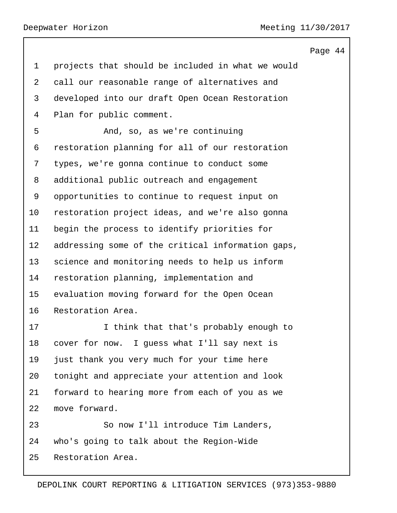| 4<br>Page | 4 |
|-----------|---|
|-----------|---|

 projects that should be included in what we would call our reasonable range of alternatives and developed into our draft Open Ocean Restoration Plan for public comment. 5 And, so, as we're continuing restoration planning for all of our restoration types, we're gonna continue to conduct some additional public outreach and engagement opportunities to continue to request input on restoration project ideas, and we're also gonna begin the process to identify priorities for addressing some of the critical information gaps, science and monitoring needs to help us inform restoration planning, implementation and evaluation moving forward for the Open Ocean Restoration Area. **I** think that that's probably enough to cover for now. I guess what I'll say next is just thank you very much for your time here tonight and appreciate your attention and look forward to hearing more from each of you as we move forward. 23 So now I'll introduce Tim Landers, who's going to talk about the Region-Wide Restoration Area.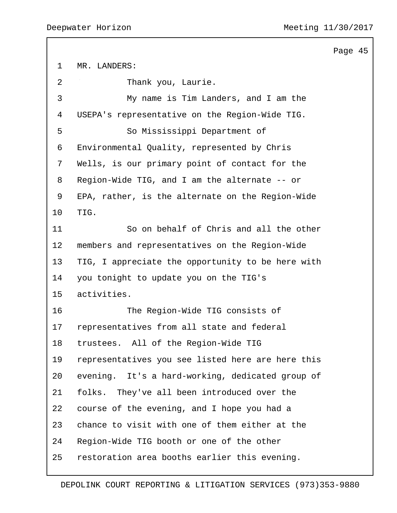Page 45 MR. LANDERS: 2 Thank you, Laurie. 3 My name is Tim Landers, and I am the USEPA's representative on the Region-Wide TIG. 5 So Mississippi Department of Environmental Quality, represented by Chris Wells, is our primary point of contact for the Region-Wide TIG, and I am the alternate -- or EPA, rather, is the alternate on the Region-Wide TIG. 11 So on behalf of Chris and all the other members and representatives on the Region-Wide TIG, I appreciate the opportunity to be here with you tonight to update you on the TIG's activities. 16 The Region-Wide TIG consists of representatives from all state and federal trustees. All of the Region-Wide TIG representatives you see listed here are here this evening. It's a hard-working, dedicated group of folks. They've all been introduced over the course of the evening, and I hope you had a chance to visit with one of them either at the Region-Wide TIG booth or one of the other restoration area booths earlier this evening.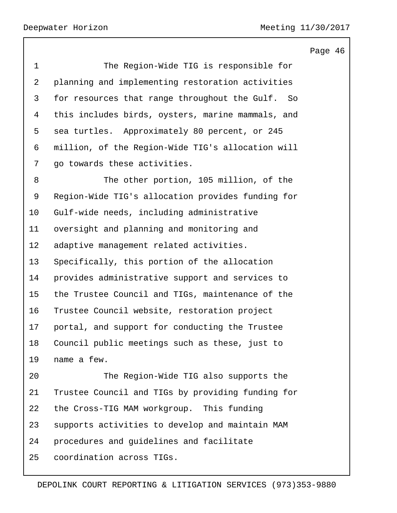1 The Region-Wide TIG is responsible for planning and implementing restoration activities for resources that range throughout the Gulf. So this includes birds, oysters, marine mammals, and sea turtles. Approximately 80 percent, or 245 million, of the Region-Wide TIG's allocation will go towards these activities. 8 The other portion, 105 million, of the Region-Wide TIG's allocation provides funding for Gulf-wide needs, including administrative oversight and planning and monitoring and adaptive management related activities. Specifically, this portion of the allocation provides administrative support and services to the Trustee Council and TIGs, maintenance of the Trustee Council website, restoration project portal, and support for conducting the Trustee Council public meetings such as these, just to name a few. 20 The Region-Wide TIG also supports the Trustee Council and TIGs by providing funding for the Cross-TIG MAM workgroup. This funding supports activities to develop and maintain MAM procedures and guidelines and facilitate

coordination across TIGs.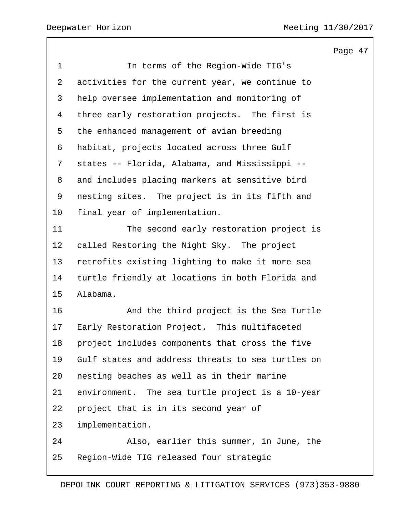Page 47 1 In terms of the Region-Wide TIG's activities for the current year, we continue to help oversee implementation and monitoring of three early restoration projects. The first is the enhanced management of avian breeding habitat, projects located across three Gulf states -- Florida, Alabama, and Mississippi -- and includes placing markers at sensitive bird nesting sites. The project is in its fifth and final year of implementation. 11 The second early restoration project is called Restoring the Night Sky. The project retrofits existing lighting to make it more sea turtle friendly at locations in both Florida and Alabama. 16 And the third project is the Sea Turtle Early Restoration Project. This multifaceted project includes components that cross the five Gulf states and address threats to sea turtles on nesting beaches as well as in their marine environment. The sea turtle project is a 10-year project that is in its second year of implementation. 24 Also, earlier this summer, in June, the Region-Wide TIG released four strategic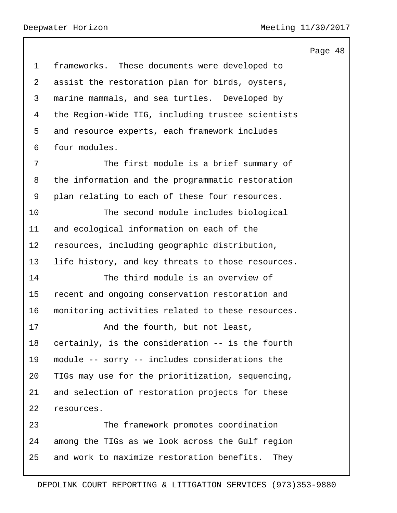|                |                                                    | Page 48 |  |
|----------------|----------------------------------------------------|---------|--|
| $\mathbf 1$    | frameworks. These documents were developed to      |         |  |
| $\overline{a}$ | assist the restoration plan for birds, oysters,    |         |  |
| 3              | marine mammals, and sea turtles. Developed by      |         |  |
| 4              | the Region-Wide TIG, including trustee scientists  |         |  |
| 5              | and resource experts, each framework includes      |         |  |
| 6              | four modules.                                      |         |  |
| 7              | The first module is a brief summary of             |         |  |
| 8              | the information and the programmatic restoration   |         |  |
| 9              | plan relating to each of these four resources.     |         |  |
| 10             | The second module includes biological              |         |  |
| 11             | and ecological information on each of the          |         |  |
| 12             | resources, including geographic distribution,      |         |  |
| 13             | life history, and key threats to those resources.  |         |  |
| 14             | The third module is an overview of                 |         |  |
| 15             | recent and ongoing conservation restoration and    |         |  |
| 16             | monitoring activities related to these resources.  |         |  |
| 17             | And the fourth, but not least,                     |         |  |
| 18             | certainly, is the consideration -- is the fourth   |         |  |
| 19             | module -- sorry -- includes considerations the     |         |  |
| 20             | TIGs may use for the prioritization, sequencing,   |         |  |
| 21             | and selection of restoration projects for these    |         |  |
| 22             | resources.                                         |         |  |
| 23             | The framework promotes coordination                |         |  |
| 24             | among the TIGs as we look across the Gulf region   |         |  |
| 25             | and work to maximize restoration benefits.<br>They |         |  |
|                |                                                    |         |  |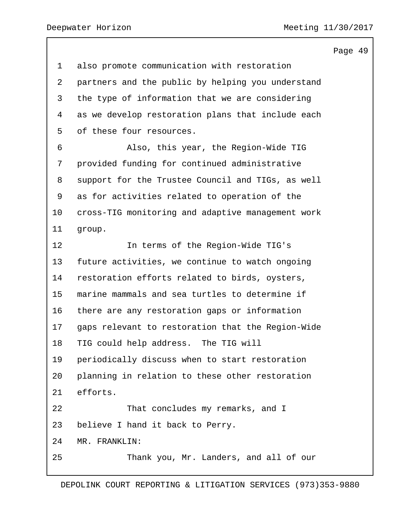Page 49 also promote communication with restoration partners and the public by helping you understand the type of information that we are considering as we develop restoration plans that include each of these four resources. 6 Also, this year, the Region-Wide TIG provided funding for continued administrative support for the Trustee Council and TIGs, as well as for activities related to operation of the cross-TIG monitoring and adaptive management work group. 12 In terms of the Region-Wide TIG's future activities, we continue to watch ongoing restoration efforts related to birds, oysters, marine mammals and sea turtles to determine if there are any restoration gaps or information gaps relevant to restoration that the Region-Wide TIG could help address. The TIG will periodically discuss when to start restoration planning in relation to these other restoration efforts. 22 That concludes my remarks, and I believe I hand it back to Perry. MR. FRANKLIN: 25 Thank you, Mr. Landers, and all of our

DEPOLINK COURT REPORTING & LITIGATION SERVICES (973)353-9880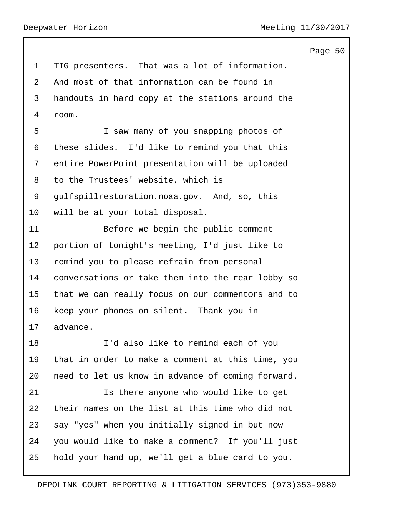Page 50 TIG presenters. That was a lot of information. And most of that information can be found in handouts in hard copy at the stations around the room. 5 I saw many of you snapping photos of these slides. I'd like to remind you that this entire PowerPoint presentation will be uploaded to the Trustees' website, which is gulfspillrestoration.noaa.gov. And, so, this will be at your total disposal. 11 Before we begin the public comment portion of tonight's meeting, I'd just like to remind you to please refrain from personal conversations or take them into the rear lobby so that we can really focus on our commentors and to keep your phones on silent. Thank you in advance. 18 I'd also like to remind each of you that in order to make a comment at this time, you need to let us know in advance of coming forward. 21 Is there anyone who would like to get their names on the list at this time who did not say "yes" when you initially signed in but now you would like to make a comment? If you'll just hold your hand up, we'll get a blue card to you.

## DEPOLINK COURT REPORTING & LITIGATION SERVICES (973)353-9880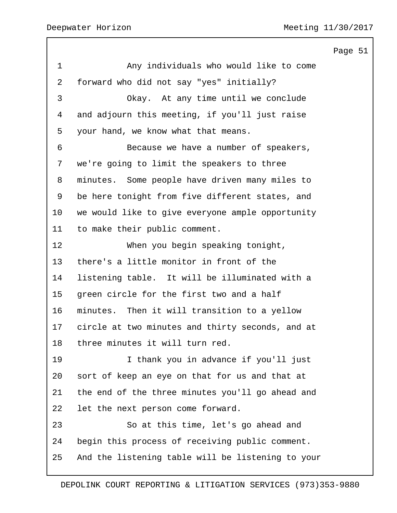|                |                                                   | Page 51 |  |
|----------------|---------------------------------------------------|---------|--|
| $\mathbf 1$    | Any individuals who would like to come            |         |  |
| $\overline{2}$ | forward who did not say "yes" initially?          |         |  |
| 3              | Okay. At any time until we conclude               |         |  |
| 4              | and adjourn this meeting, if you'll just raise    |         |  |
| 5              | your hand, we know what that means.               |         |  |
| 6              | Because we have a number of speakers,             |         |  |
| 7              | we're going to limit the speakers to three        |         |  |
| 8              | minutes. Some people have driven many miles to    |         |  |
| 9              | be here tonight from five different states, and   |         |  |
| 10             | we would like to give everyone ample opportunity  |         |  |
| 11             | to make their public comment.                     |         |  |
| 12             | When you begin speaking tonight,                  |         |  |
| 13             | there's a little monitor in front of the          |         |  |
| 14             | listening table. It will be illuminated with a    |         |  |
| 15             | green circle for the first two and a half         |         |  |
| 16             | minutes. Then it will transition to a yellow      |         |  |
| 17             | circle at two minutes and thirty seconds, and at  |         |  |
| 18             | three minutes it will turn red.                   |         |  |
| 19             | I thank you in advance if you'll just             |         |  |
| 20             | sort of keep an eye on that for us and that at    |         |  |
| 21             | the end of the three minutes you'll go ahead and  |         |  |
| 22             | let the next person come forward.                 |         |  |
| 23             | So at this time, let's go ahead and               |         |  |
| 24             | begin this process of receiving public comment.   |         |  |
| 25             | And the listening table will be listening to your |         |  |
|                |                                                   |         |  |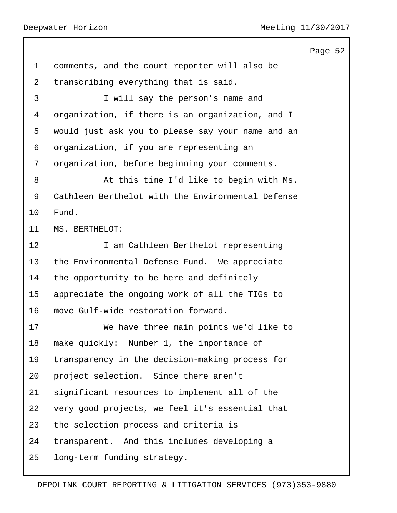|                 |                                                   | Page 52 |  |
|-----------------|---------------------------------------------------|---------|--|
| $\mathbf 1$     | comments, and the court reporter will also be     |         |  |
| $\overline{2}$  | transcribing everything that is said.             |         |  |
| 3               | I will say the person's name and                  |         |  |
| 4               | organization, if there is an organization, and I  |         |  |
| 5               | would just ask you to please say your name and an |         |  |
| 6               | organization, if you are representing an          |         |  |
| 7               | organization, before beginning your comments.     |         |  |
| 8               | At this time I'd like to begin with Ms.           |         |  |
| 9               | Cathleen Berthelot with the Environmental Defense |         |  |
| 10              | Fund.                                             |         |  |
| 11              | MS. BERTHELOT:                                    |         |  |
| 12 <sup>°</sup> | I am Cathleen Berthelot representing              |         |  |
| 13              | the Environmental Defense Fund. We appreciate     |         |  |
| 14              | the opportunity to be here and definitely         |         |  |
| 15              | appreciate the ongoing work of all the TIGs to    |         |  |
| 16              | move Gulf-wide restoration forward.               |         |  |
| 17              | We have three main points we'd like to            |         |  |
| 18              | make quickly: Number 1, the importance of         |         |  |
| 19              | transparency in the decision-making process for   |         |  |
| 20              | project selection. Since there aren't             |         |  |
| 21              | significant resources to implement all of the     |         |  |
| 22              | very good projects, we feel it's essential that   |         |  |
| 23              | the selection process and criteria is             |         |  |
| 24              | transparent. And this includes developing a       |         |  |
| 25              | long-term funding strategy.                       |         |  |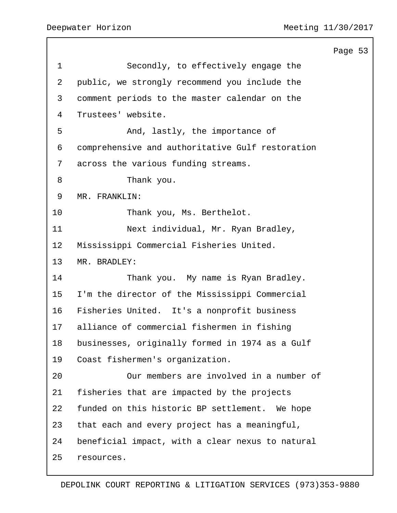|                |                                                  | Page 53 |  |
|----------------|--------------------------------------------------|---------|--|
| $\mathbf 1$    | Secondly, to effectively engage the              |         |  |
| $\overline{a}$ | public, we strongly recommend you include the    |         |  |
| 3              | comment periods to the master calendar on the    |         |  |
| 4              | Trustees' website.                               |         |  |
| 5              | And, lastly, the importance of                   |         |  |
| 6              | comprehensive and authoritative Gulf restoration |         |  |
| 7              | across the various funding streams.              |         |  |
| 8              | Thank you.                                       |         |  |
| 9              | MR. FRANKLIN:                                    |         |  |
| 10             | Thank you, Ms. Berthelot.                        |         |  |
| 11             | Next individual, Mr. Ryan Bradley,               |         |  |
| 12             | Mississippi Commercial Fisheries United.         |         |  |
| 13             | MR. BRADLEY:                                     |         |  |
| 14             | Thank you. My name is Ryan Bradley.              |         |  |
| 15             | I'm the director of the Mississippi Commercial   |         |  |
| 16             | Fisheries United. It's a nonprofit business      |         |  |
| 17             | alliance of commercial fishermen in fishing      |         |  |
| 18             | businesses, originally formed in 1974 as a Gulf  |         |  |
| 19             | Coast fishermen's organization.                  |         |  |
| 20             | Our members are involved in a number of          |         |  |
| 21             | fisheries that are impacted by the projects      |         |  |
| 22             | funded on this historic BP settlement. We hope   |         |  |
| 23             | that each and every project has a meaningful,    |         |  |
| 24             | beneficial impact, with a clear nexus to natural |         |  |
| 25             | resources.                                       |         |  |
|                |                                                  |         |  |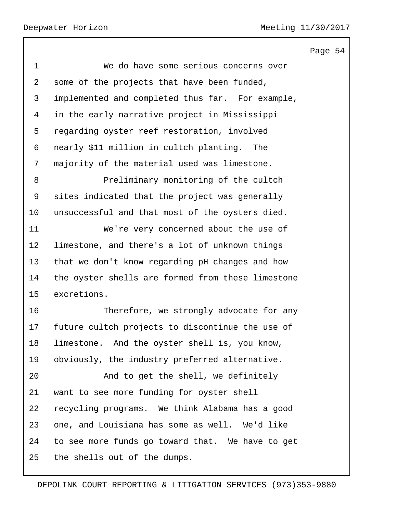Page 54 1 We do have some serious concerns over some of the projects that have been funded, implemented and completed thus far. For example, in the early narrative project in Mississippi regarding oyster reef restoration, involved nearly \$11 million in cultch planting. The majority of the material used was limestone. 8 Preliminary monitoring of the cultch sites indicated that the project was generally unsuccessful and that most of the oysters died. 11 We're very concerned about the use of limestone, and there's a lot of unknown things that we don't know regarding pH changes and how the oyster shells are formed from these limestone excretions. 16 Therefore, we strongly advocate for any future cultch projects to discontinue the use of limestone. And the oyster shell is, you know, obviously, the industry preferred alternative. 20 And to get the shell, we definitely want to see more funding for oyster shell recycling programs. We think Alabama has a good one, and Louisiana has some as well. We'd like to see more funds go toward that. We have to get the shells out of the dumps.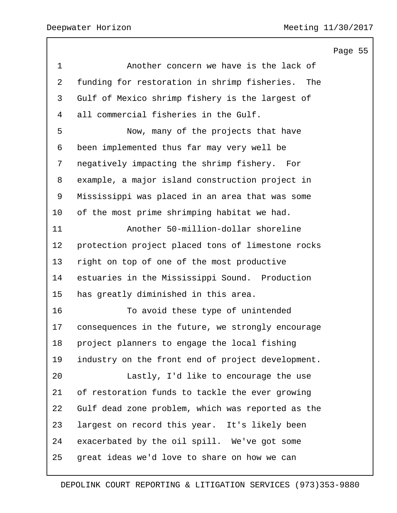Page 55 1 Another concern we have is the lack of funding for restoration in shrimp fisheries. The Gulf of Mexico shrimp fishery is the largest of all commercial fisheries in the Gulf. 5 Now, many of the projects that have been implemented thus far may very well be negatively impacting the shrimp fishery. For example, a major island construction project in Mississippi was placed in an area that was some of the most prime shrimping habitat we had. 11 Another 50-million-dollar shoreline protection project placed tons of limestone rocks right on top of one of the most productive estuaries in the Mississippi Sound. Production has greatly diminished in this area. 16 To avoid these type of unintended consequences in the future, we strongly encourage project planners to engage the local fishing industry on the front end of project development. 20 Lastly, I'd like to encourage the use of restoration funds to tackle the ever growing Gulf dead zone problem, which was reported as the largest on record this year. It's likely been exacerbated by the oil spill. We've got some great ideas we'd love to share on how we can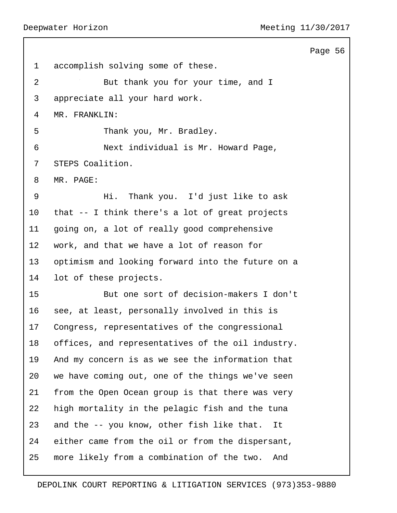Page 56 accomplish solving some of these. 2 But thank you for your time, and I appreciate all your hard work. MR. FRANKLIN: 5 Thank you, Mr. Bradley. 6 Next individual is Mr. Howard Page, STEPS Coalition. MR. PAGE: 9 Hi. Thank you. I'd just like to ask that -- I think there's a lot of great projects going on, a lot of really good comprehensive work, and that we have a lot of reason for optimism and looking forward into the future on a lot of these projects. 15 But one sort of decision-makers I don't see, at least, personally involved in this is Congress, representatives of the congressional offices, and representatives of the oil industry. And my concern is as we see the information that we have coming out, one of the things we've seen from the Open Ocean group is that there was very high mortality in the pelagic fish and the tuna and the -- you know, other fish like that. It either came from the oil or from the dispersant, more likely from a combination of the two. And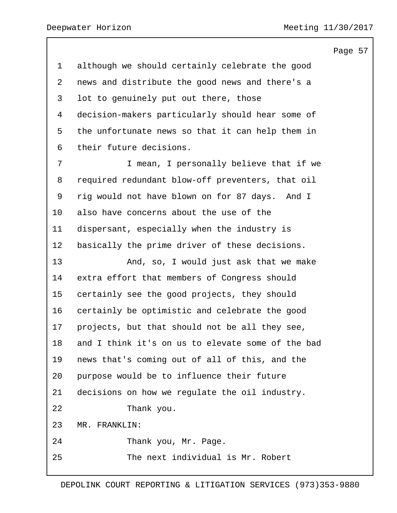although we should certainly celebrate the good news and distribute the good news and there's a lot to genuinely put out there, those decision-makers particularly should hear some of the unfortunate news so that it can help them in their future decisions. **I** mean, I personally believe that if we required redundant blow-off preventers, that oil rig would not have blown on for 87 days. And I also have concerns about the use of the dispersant, especially when the industry is basically the prime driver of these decisions. 13 And, so, I would just ask that we make extra effort that members of Congress should certainly see the good projects, they should certainly be optimistic and celebrate the good projects, but that should not be all they see, and I think it's on us to elevate some of the bad news that's coming out of all of this, and the purpose would be to influence their future decisions on how we regulate the oil industry. 22 Thank you. MR. FRANKLIN: 24 Thank you, Mr. Page. 25 The next individual is Mr. Robert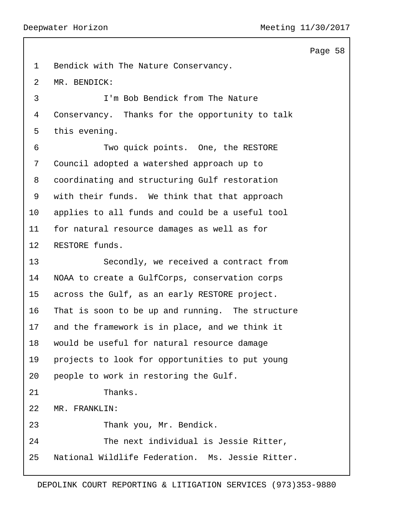Page 58 Bendick with The Nature Conservancy. MR. BENDICK: 3 I'm Bob Bendick from The Nature Conservancy. Thanks for the opportunity to talk this evening. 6 Two quick points. One, the RESTORE Council adopted a watershed approach up to coordinating and structuring Gulf restoration with their funds. We think that that approach applies to all funds and could be a useful tool for natural resource damages as well as for RESTORE funds. 13 Secondly, we received a contract from NOAA to create a GulfCorps, conservation corps across the Gulf, as an early RESTORE project. That is soon to be up and running. The structure and the framework is in place, and we think it would be useful for natural resource damage projects to look for opportunities to put young people to work in restoring the Gulf. 21 Thanks. MR. FRANKLIN: 23 Thank you, Mr. Bendick. 24 The next individual is Jessie Ritter, National Wildlife Federation. Ms. Jessie Ritter.

DEPOLINK COURT REPORTING & LITIGATION SERVICES (973)353-9880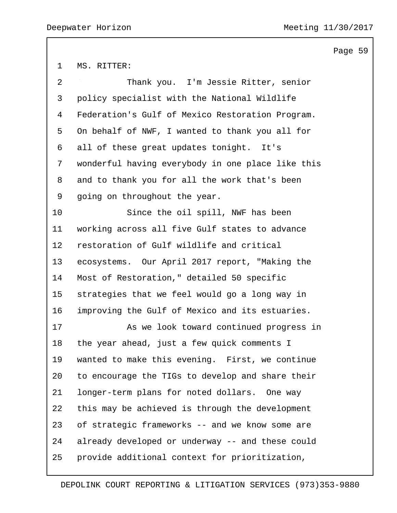MS. RITTER:

| 2               | Thank you. I'm Jessie Ritter, senior              |
|-----------------|---------------------------------------------------|
| $\mathsf{3}$    | policy specialist with the National Wildlife      |
| 4               | Federation's Gulf of Mexico Restoration Program.  |
| 5               | On behalf of NWF, I wanted to thank you all for   |
| 6               | all of these great updates tonight. It's          |
| 7               | wonderful having everybody in one place like this |
| 8               | and to thank you for all the work that's been     |
| 9               | going on throughout the year.                     |
| 10              | Since the oil spill, NWF has been                 |
| 11              | working across all five Gulf states to advance    |
| 12 <sub>2</sub> | restoration of Gulf wildlife and critical         |
| 13              | ecosystems. Our April 2017 report, "Making the    |
| 14              | Most of Restoration," detailed 50 specific        |
| 15              | strategies that we feel would go a long way in    |
| 16              | improving the Gulf of Mexico and its estuaries.   |
| 17              | As we look toward continued progress in           |
| 18              | the year ahead, just a few quick comments I       |
| 19              | wanted to make this evening. First, we continue   |
| 20              | to encourage the TIGs to develop and share their  |
| 21              | longer-term plans for noted dollars. One way      |
| 22              | this may be achieved is through the development   |
| 23              | of strategic frameworks -- and we know some are   |
| 24              | already developed or underway -- and these could  |
| 25              | provide additional context for prioritization,    |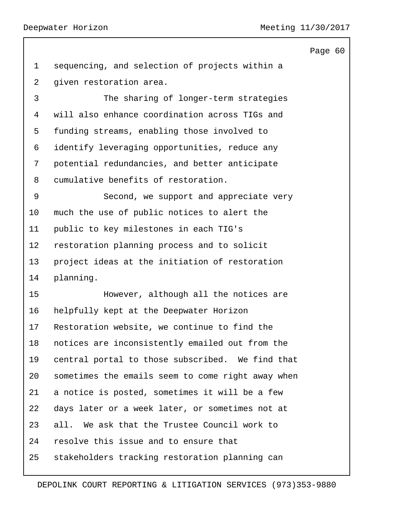```
Page 60
```
 sequencing, and selection of projects within a given restoration area.

3 The sharing of longer-term strategies will also enhance coordination across TIGs and funding streams, enabling those involved to identify leveraging opportunities, reduce any potential redundancies, and better anticipate cumulative benefits of restoration.

9 Second, we support and appreciate very much the use of public notices to alert the public to key milestones in each TIG's restoration planning process and to solicit project ideas at the initiation of restoration planning.

15 However, although all the notices are helpfully kept at the Deepwater Horizon Restoration website, we continue to find the notices are inconsistently emailed out from the central portal to those subscribed. We find that sometimes the emails seem to come right away when a notice is posted, sometimes it will be a few days later or a week later, or sometimes not at all. We ask that the Trustee Council work to resolve this issue and to ensure that stakeholders tracking restoration planning can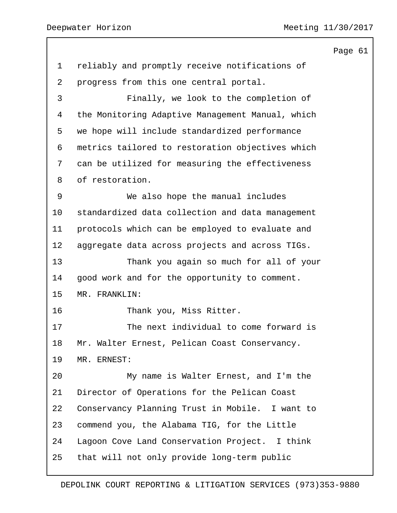reliably and promptly receive notifications of progress from this one central portal. 3 Finally, we look to the completion of the Monitoring Adaptive Management Manual, which we hope will include standardized performance metrics tailored to restoration objectives which can be utilized for measuring the effectiveness of restoration. 9 We also hope the manual includes standardized data collection and data management protocols which can be employed to evaluate and aggregate data across projects and across TIGs. 13 Thank you again so much for all of your good work and for the opportunity to comment. MR. FRANKLIN: 16 Thank you, Miss Ritter. 17 The next individual to come forward is Mr. Walter Ernest, Pelican Coast Conservancy. MR. ERNEST: 20 My name is Walter Ernest, and I'm the Director of Operations for the Pelican Coast Conservancy Planning Trust in Mobile. I want to commend you, the Alabama TIG, for the Little Lagoon Cove Land Conservation Project. I think that will not only provide long-term public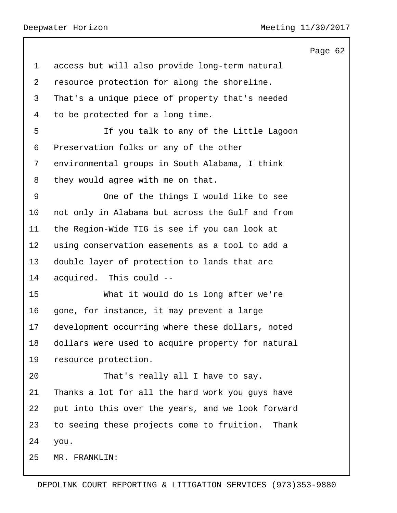Deepwater Horizon Meeting 11/30/2017

|                                                     | Page 62 |  |
|-----------------------------------------------------|---------|--|
| access but will also provide long-term natural      |         |  |
| resource protection for along the shoreline.        |         |  |
| That's a unique piece of property that's needed     |         |  |
| to be protected for a long time.                    |         |  |
| If you talk to any of the Little Lagoon             |         |  |
| Preservation folks or any of the other              |         |  |
| environmental groups in South Alabama, I think      |         |  |
| they would agree with me on that.                   |         |  |
| One of the things I would like to see               |         |  |
| not only in Alabama but across the Gulf and from    |         |  |
| the Region-Wide TIG is see if you can look at       |         |  |
| using conservation easements as a tool to add a     |         |  |
| double layer of protection to lands that are        |         |  |
| acquired. This could --                             |         |  |
| What it would do is long after we're                |         |  |
| gone, for instance, it may prevent a large          |         |  |
| development occurring where these dollars, noted    |         |  |
| dollars were used to acquire property for natural   |         |  |
| resource protection.                                |         |  |
| That's really all I have to say.                    |         |  |
| Thanks a lot for all the hard work you guys have    |         |  |
| put into this over the years, and we look forward   |         |  |
| to seeing these projects come to fruition.<br>Thank |         |  |
| you.                                                |         |  |
| MR. FRANKLIN:                                       |         |  |
|                                                     |         |  |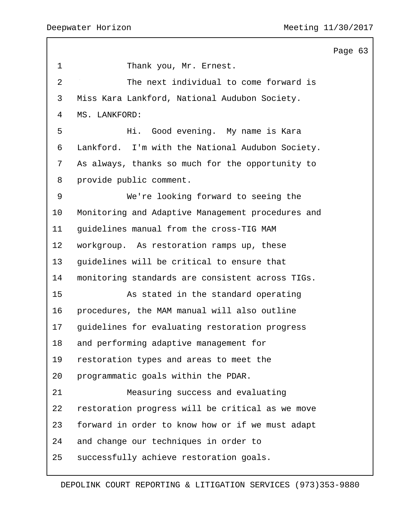Page 63 1 Thank you, Mr. Ernest. 2 The next individual to come forward is Miss Kara Lankford, National Audubon Society. MS. LANKFORD: 5 Hi. Good evening. My name is Kara Lankford. I'm with the National Audubon Society. As always, thanks so much for the opportunity to provide public comment. 9 We're looking forward to seeing the Monitoring and Adaptive Management procedures and guidelines manual from the cross-TIG MAM workgroup. As restoration ramps up, these guidelines will be critical to ensure that monitoring standards are consistent across TIGs. 15 As stated in the standard operating procedures, the MAM manual will also outline guidelines for evaluating restoration progress and performing adaptive management for restoration types and areas to meet the programmatic goals within the PDAR. 21 Measuring success and evaluating restoration progress will be critical as we move forward in order to know how or if we must adapt and change our techniques in order to successfully achieve restoration goals.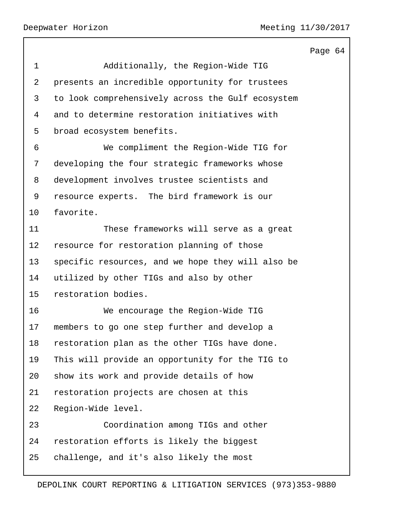|             |                                                   | Page 64 |  |
|-------------|---------------------------------------------------|---------|--|
| $\mathbf 1$ | Additionally, the Region-Wide TIG                 |         |  |
| 2           | presents an incredible opportunity for trustees   |         |  |
| 3           | to look comprehensively across the Gulf ecosystem |         |  |
| 4           | and to determine restoration initiatives with     |         |  |
| 5           | broad ecosystem benefits.                         |         |  |
| 6           | We compliment the Region-Wide TIG for             |         |  |
| 7           | developing the four strategic frameworks whose    |         |  |
| 8           | development involves trustee scientists and       |         |  |
| 9           | resource experts. The bird framework is our       |         |  |
| 10          | favorite.                                         |         |  |
| 11          | These frameworks will serve as a great            |         |  |
| 12          | resource for restoration planning of those        |         |  |
| 13          | specific resources, and we hope they will also be |         |  |
| 14          | utilized by other TIGs and also by other          |         |  |
| 15          | restoration bodies.                               |         |  |
| 16          | We encourage the Region-Wide TIG                  |         |  |
| 17          | members to go one step further and develop a      |         |  |
| 18          | restoration plan as the other TIGs have done.     |         |  |
| 19          | This will provide an opportunity for the TIG to   |         |  |
| 20          | show its work and provide details of how          |         |  |
| 21          | restoration projects are chosen at this           |         |  |
| 22          | Region-Wide level.                                |         |  |
| 23          | Coordination among TIGs and other                 |         |  |
| 24          | restoration efforts is likely the biggest         |         |  |
| 25          | challenge, and it's also likely the most          |         |  |
|             |                                                   |         |  |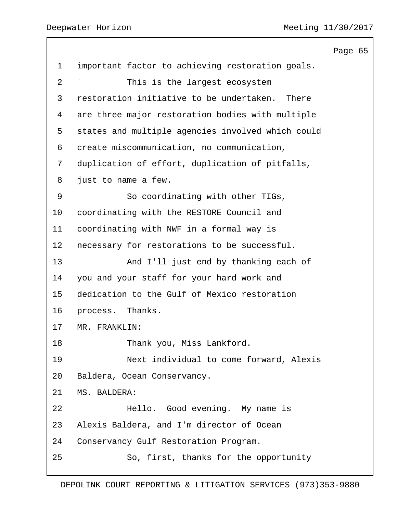|                |                                                   | Page 65 |  |
|----------------|---------------------------------------------------|---------|--|
| $\mathbf 1$    | important factor to achieving restoration goals.  |         |  |
| $\overline{2}$ | This is the largest ecosystem                     |         |  |
| 3              | restoration initiative to be undertaken.<br>There |         |  |
| 4              | are three major restoration bodies with multiple  |         |  |
| 5              | states and multiple agencies involved which could |         |  |
| 6              | create miscommunication, no communication,        |         |  |
| 7              | duplication of effort, duplication of pitfalls,   |         |  |
| 8              | just to name a few.                               |         |  |
| 9              | So coordinating with other TIGs,                  |         |  |
| 10             | coordinating with the RESTORE Council and         |         |  |
| 11             | coordinating with NWF in a formal way is          |         |  |
| 12             | necessary for restorations to be successful.      |         |  |
| 13             | And I'll just end by thanking each of             |         |  |
| 14             | you and your staff for your hard work and         |         |  |
| 15             | dedication to the Gulf of Mexico restoration      |         |  |
| 16             | process. Thanks.                                  |         |  |
| 17             | MR. FRANKLIN:                                     |         |  |
| 18             | Thank you, Miss Lankford.                         |         |  |
| 19             | Next individual to come forward, Alexis           |         |  |
| 20             | Baldera, Ocean Conservancy.                       |         |  |
| 21             | MS. BALDERA:                                      |         |  |
| 22             | Hello. Good evening. My name is                   |         |  |
| 23             | Alexis Baldera, and I'm director of Ocean         |         |  |
| 24             | Conservancy Gulf Restoration Program.             |         |  |
| 25             | So, first, thanks for the opportunity             |         |  |
|                |                                                   |         |  |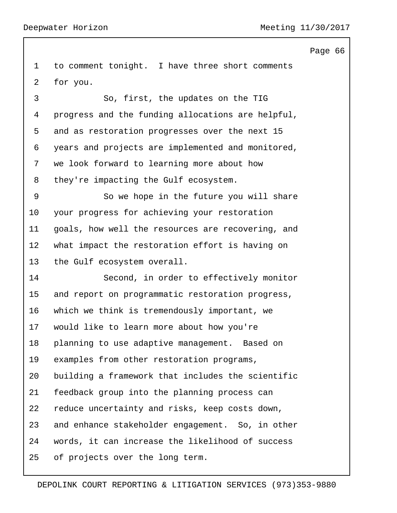for you.

 to comment tonight. I have three short comments 3 So, first, the updates on the TIG progress and the funding allocations are helpful, and as restoration progresses over the next 15 years and projects are implemented and monitored, we look forward to learning more about how they're impacting the Gulf ecosystem.

9 So we hope in the future you will share your progress for achieving your restoration goals, how well the resources are recovering, and what impact the restoration effort is having on the Gulf ecosystem overall.

14 Second, in order to effectively monitor and report on programmatic restoration progress, which we think is tremendously important, we would like to learn more about how you're planning to use adaptive management. Based on examples from other restoration programs, building a framework that includes the scientific feedback group into the planning process can reduce uncertainty and risks, keep costs down, and enhance stakeholder engagement. So, in other words, it can increase the likelihood of success of projects over the long term.

## Page 66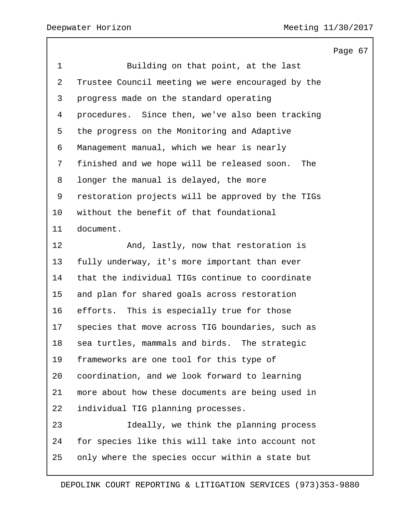Page 67 1 Building on that point, at the last Trustee Council meeting we were encouraged by the progress made on the standard operating procedures. Since then, we've also been tracking the progress on the Monitoring and Adaptive Management manual, which we hear is nearly finished and we hope will be released soon. The longer the manual is delayed, the more restoration projects will be approved by the TIGs without the benefit of that foundational document. 12 And, lastly, now that restoration is fully underway, it's more important than ever that the individual TIGs continue to coordinate and plan for shared goals across restoration efforts. This is especially true for those species that move across TIG boundaries, such as sea turtles, mammals and birds. The strategic frameworks are one tool for this type of coordination, and we look forward to learning more about how these documents are being used in individual TIG planning processes. 23 Ideally, we think the planning process for species like this will take into account not only where the species occur within a state but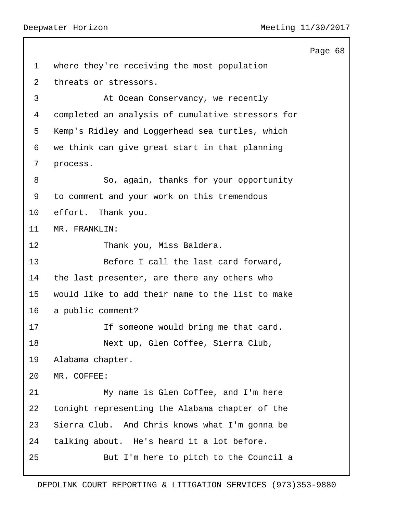Page 68 where they're receiving the most population threats or stressors. 3 At Ocean Conservancy, we recently completed an analysis of cumulative stressors for Kemp's Ridley and Loggerhead sea turtles, which we think can give great start in that planning process. 8 So, again, thanks for your opportunity to comment and your work on this tremendous effort. Thank you. MR. FRANKLIN: 12 Thank you, Miss Baldera. 13 Before I call the last card forward, the last presenter, are there any others who would like to add their name to the list to make a public comment? 17 17 If someone would bring me that card. 18 Next up, Glen Coffee, Sierra Club, Alabama chapter. MR. COFFEE: 21 My name is Glen Coffee, and I'm here tonight representing the Alabama chapter of the Sierra Club. And Chris knows what I'm gonna be talking about. He's heard it a lot before. 25 But I'm here to pitch to the Council a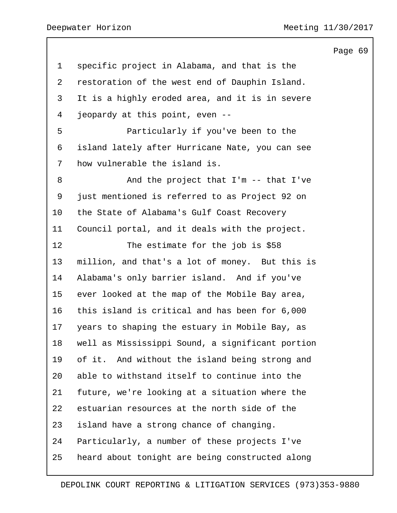|                                                  | Page 69 |  |
|--------------------------------------------------|---------|--|
| specific project in Alabama, and that is the     |         |  |
| restoration of the west end of Dauphin Island.   |         |  |
| It is a highly eroded area, and it is in severe  |         |  |
| jeopardy at this point, even --                  |         |  |
| Particularly if you've been to the               |         |  |
| island lately after Hurricane Nate, you can see  |         |  |
| how vulnerable the island is.                    |         |  |
| And the project that $I'm -- that I've$          |         |  |
| just mentioned is referred to as Project 92 on   |         |  |
| the State of Alabama's Gulf Coast Recovery       |         |  |
| Council portal, and it deals with the project.   |         |  |
| The estimate for the job is \$58                 |         |  |
| million, and that's a lot of money. But this is  |         |  |
| Alabama's only barrier island. And if you've     |         |  |
| ever looked at the map of the Mobile Bay area,   |         |  |
| this island is critical and has been for 6,000   |         |  |
| years to shaping the estuary in Mobile Bay, as   |         |  |
| well as Mississippi Sound, a significant portion |         |  |
| of it. And without the island being strong and   |         |  |
| able to withstand itself to continue into the    |         |  |
| future, we're looking at a situation where the   |         |  |
| estuarian resources at the north side of the     |         |  |
| island have a strong chance of changing.         |         |  |
| Particularly, a number of these projects I've    |         |  |
| heard about tonight are being constructed along  |         |  |
|                                                  |         |  |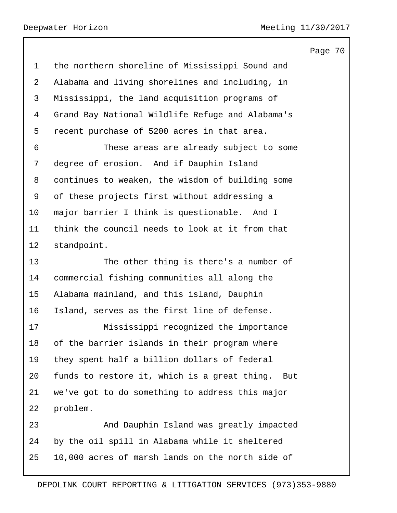Page 70 the northern shoreline of Mississippi Sound and Alabama and living shorelines and including, in Mississippi, the land acquisition programs of Grand Bay National Wildlife Refuge and Alabama's recent purchase of 5200 acres in that area. 6 These areas are already subject to some degree of erosion. And if Dauphin Island continues to weaken, the wisdom of building some of these projects first without addressing a major barrier I think is questionable. And I think the council needs to look at it from that standpoint. 13 The other thing is there's a number of commercial fishing communities all along the Alabama mainland, and this island, Dauphin Island, serves as the first line of defense. 17 Mississippi recognized the importance of the barrier islands in their program where they spent half a billion dollars of federal funds to restore it, which is a great thing. But we've got to do something to address this major problem. 23 And Dauphin Island was greatly impacted by the oil spill in Alabama while it sheltered 10,000 acres of marsh lands on the north side of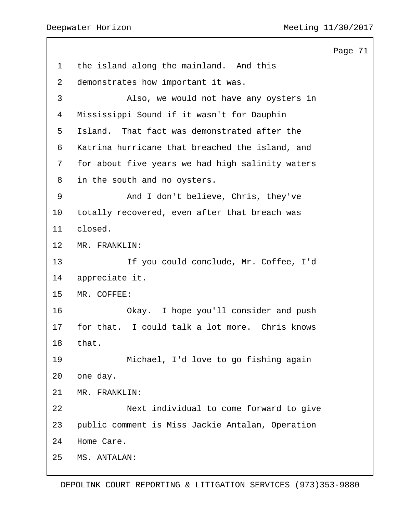Page 71 the island along the mainland. And this demonstrates how important it was. 3 Also, we would not have any oysters in Mississippi Sound if it wasn't for Dauphin Island. That fact was demonstrated after the Katrina hurricane that breached the island, and for about five years we had high salinity waters in the south and no oysters. 9 And I don't believe, Chris, they've totally recovered, even after that breach was closed. MR. FRANKLIN: 13 If you could conclude, Mr. Coffee, I'd appreciate it. MR. COFFEE: 16 Okay. I hope you'll consider and push for that. I could talk a lot more. Chris knows that. 19 Michael, I'd love to go fishing again one day. MR. FRANKLIN: 22 Next individual to come forward to give public comment is Miss Jackie Antalan, Operation Home Care. MS. ANTALAN: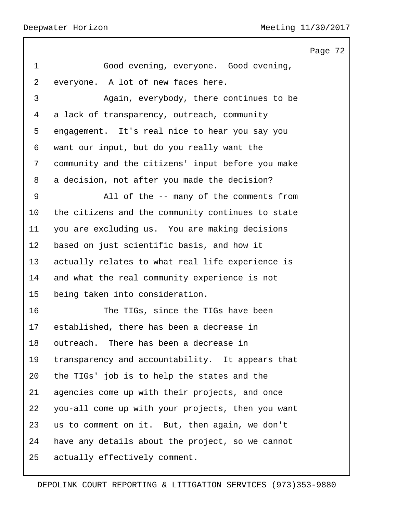Page 72 1 Good evening, everyone. Good evening, everyone. A lot of new faces here. 3 Again, everybody, there continues to be a lack of transparency, outreach, community engagement. It's real nice to hear you say you want our input, but do you really want the community and the citizens' input before you make a decision, not after you made the decision? 9 All of the -- many of the comments from the citizens and the community continues to state you are excluding us. You are making decisions based on just scientific basis, and how it actually relates to what real life experience is and what the real community experience is not being taken into consideration. 16 The TIGs, since the TIGs have been established, there has been a decrease in outreach. There has been a decrease in transparency and accountability. It appears that the TIGs' job is to help the states and the agencies come up with their projects, and once you-all come up with your projects, then you want us to comment on it. But, then again, we don't have any details about the project, so we cannot actually effectively comment.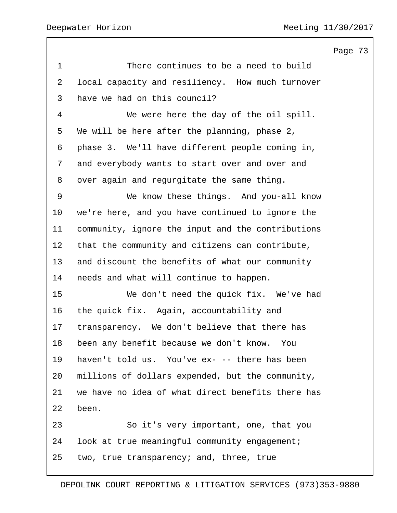Page 73 1 There continues to be a need to build local capacity and resiliency. How much turnover have we had on this council? 4 We were here the day of the oil spill. We will be here after the planning, phase 2, phase 3. We'll have different people coming in, and everybody wants to start over and over and over again and regurgitate the same thing. 9 We know these things. And you-all know we're here, and you have continued to ignore the community, ignore the input and the contributions that the community and citizens can contribute, and discount the benefits of what our community needs and what will continue to happen. 15 We don't need the quick fix. We've had the quick fix. Again, accountability and transparency. We don't believe that there has been any benefit because we don't know. You haven't told us. You've ex- -- there has been millions of dollars expended, but the community, we have no idea of what direct benefits there has been. 23 So it's very important, one, that you look at true meaningful community engagement; two, true transparency; and, three, true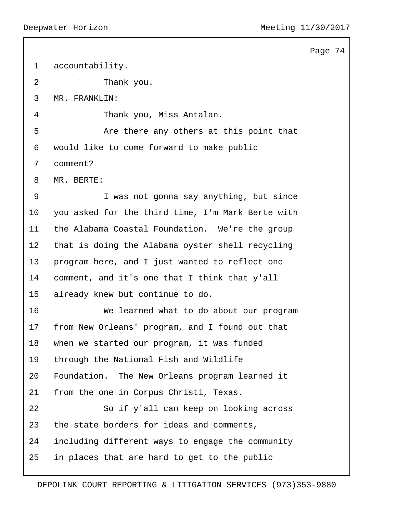```
Page 74
```

| 1              | accountability.                                   |
|----------------|---------------------------------------------------|
| $\overline{2}$ | Thank you.                                        |
| 3              | MR. FRANKLIN:                                     |
| 4              | Thank you, Miss Antalan.                          |
| 5              | Are there any others at this point that           |
| 6              | would like to come forward to make public         |
| 7              | comment?                                          |
| 8              | MR. BERTE:                                        |
| $\mathsf 9$    | I was not gonna say anything, but since           |
| 10             | you asked for the third time, I'm Mark Berte with |
| 11             | the Alabama Coastal Foundation. We're the group   |
| 12             | that is doing the Alabama oyster shell recycling  |
| 13             | program here, and I just wanted to reflect one    |
| 14             | comment, and it's one that I think that y'all     |
| 15             | already knew but continue to do.                  |
| 16             | We learned what to do about our program           |
| 17             | from New Orleans' program, and I found out that   |
| 18             | when we started our program, it was funded        |
| 19             | through the National Fish and Wildlife            |
| 20             | Foundation. The New Orleans program learned it    |
| 21             | from the one in Corpus Christi, Texas.            |
| 22             | So if y'all can keep on looking across            |
| 23             | the state borders for ideas and comments,         |
| 24             | including different ways to engage the community  |
| 25             | in places that are hard to get to the public      |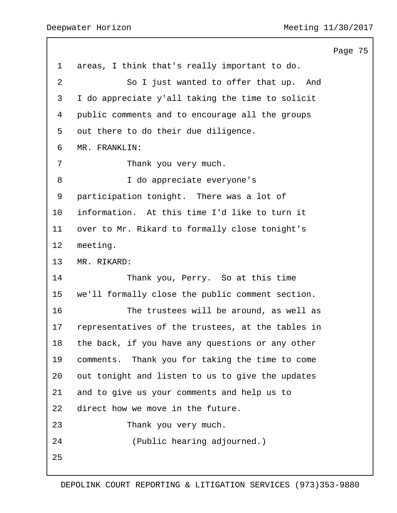|                |                                                   | Page 75 |  |
|----------------|---------------------------------------------------|---------|--|
| $\mathbf 1$    | areas, I think that's really important to do.     |         |  |
| $\overline{2}$ | So I just wanted to offer that up. And            |         |  |
| 3              | I do appreciate y'all taking the time to solicit  |         |  |
| 4              | public comments and to encourage all the groups   |         |  |
| 5              | out there to do their due diligence.              |         |  |
| 6              | MR. FRANKLIN:                                     |         |  |
| 7              | Thank you very much.                              |         |  |
| 8              | I do appreciate everyone's                        |         |  |
| 9              | participation tonight. There was a lot of         |         |  |
| 10             | information. At this time I'd like to turn it     |         |  |
| 11             | over to Mr. Rikard to formally close tonight's    |         |  |
| 12             | meeting.                                          |         |  |
| 13             | MR. RIKARD:                                       |         |  |
| 14             | Thank you, Perry. So at this time                 |         |  |
| 15             | we'll formally close the public comment section.  |         |  |
| 16             | The trustees will be around, as well as           |         |  |
| 17             | representatives of the trustees, at the tables in |         |  |
| 18             | the back, if you have any questions or any other  |         |  |
| 19             | comments. Thank you for taking the time to come   |         |  |
| 20             | out tonight and listen to us to give the updates  |         |  |
| 21             | and to give us your comments and help us to       |         |  |
| 22             | direct how we move in the future.                 |         |  |
| 23             | Thank you very much.                              |         |  |
| 24             | (Public hearing adjourned.)                       |         |  |
| 25             |                                                   |         |  |
|                |                                                   |         |  |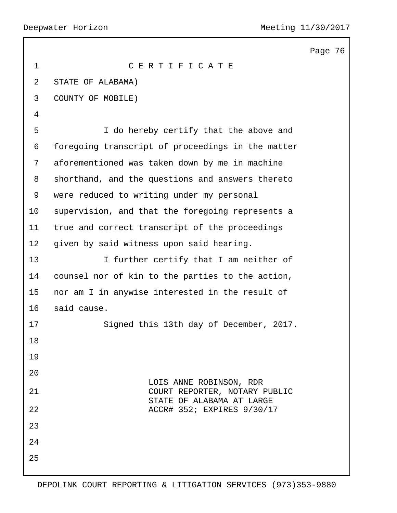|                |                                                         | Page 76 |  |
|----------------|---------------------------------------------------------|---------|--|
| $\mathbf 1$    | CERTIFICATE                                             |         |  |
| $\overline{a}$ | STATE OF ALABAMA)                                       |         |  |
| 3              | COUNTY OF MOBILE)                                       |         |  |
| 4              |                                                         |         |  |
| 5              | I do hereby certify that the above and                  |         |  |
| 6              | foregoing transcript of proceedings in the matter       |         |  |
| 7              | aforementioned was taken down by me in machine          |         |  |
| 8              | shorthand, and the questions and answers thereto        |         |  |
| 9              | were reduced to writing under my personal               |         |  |
| 10             | supervision, and that the foregoing represents a        |         |  |
| 11             | true and correct transcript of the proceedings          |         |  |
| 12             | given by said witness upon said hearing.                |         |  |
| 13             | I further certify that I am neither of                  |         |  |
| 14             | counsel nor of kin to the parties to the action,        |         |  |
| 15             | nor am I in anywise interested in the result of         |         |  |
| 16             | said cause.                                             |         |  |
| 17             | Signed this 13th day of December, 2017.                 |         |  |
| 18             |                                                         |         |  |
| 19             |                                                         |         |  |
| 20             | LOIS ANNE ROBINSON, RDR                                 |         |  |
| 21             | COURT REPORTER, NOTARY PUBLIC                           |         |  |
| 22             | STATE OF ALABAMA AT LARGE<br>ACCR# 352; EXPIRES 9/30/17 |         |  |
| 23             |                                                         |         |  |
| 24             |                                                         |         |  |
| 25             |                                                         |         |  |
|                |                                                         |         |  |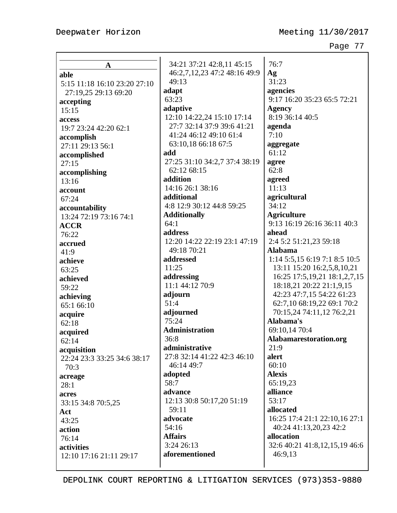| A                            |
|------------------------------|
| able                         |
| 5:15 11:18 16:10 23:20 27:10 |
| 27:19,25 29:13 69:20         |
| accepting                    |
| 15:15                        |
| access                       |
| 19:7 23:24 42:20 62:1        |
|                              |
| accomplish                   |
| 27:11 29:13 56:1             |
| accomplished                 |
| 27:15                        |
| accomplishing                |
| 13:16                        |
| account                      |
| 67:24                        |
| accountability               |
| 13:24 72:19 73:16 74:1       |
| <b>ACCR</b>                  |
| 76:22                        |
| accrued                      |
| 41:9                         |
| achieve                      |
| 63:25                        |
| achieved                     |
| 59:22                        |
| achieving                    |
| 65:1 66:10                   |
|                              |
| acquire<br>62:18             |
|                              |
| acquired                     |
| 62:14                        |
| acquisition                  |
| 22:24 23:3 33:25 34:6 38:17  |
| 70:3                         |
| acreage                      |
| 28:1                         |
| acres                        |
| 33:15 34:8 70:5,25           |
| Act                          |
| 43:25                        |
| action                       |
| 76:14                        |
| activities                   |
| 12:10 17:16 21:11 29:17      |
|                              |

34:21 37:21 42:8,11 45:15 46:2,7,12,23 47:2 48:16 49:9 49:13 **adapt** 63:23 **adaptive** 12:10 14:22,24 15:10 17:14 27:7 32:14 37:9 39:6 41:21 41:24 46:12 49:10 61:4 63:10,18 66:18 67:5 **add** 27:25 31:10 34:2,7 37:4 38:19 62:12 68:15 **addition** 14:16 26:1 38:16 **additional** 4:8 12:9 30:12 44:8 59:25 **Additionally** 64:1 **address** 12:20 14:22 22:19 23:1 47:19 49:18 70:21 **addressed** 11:25 **addressing** 11:1 44:12 70:9 **adjourn** 51:4 **adjourned** 75:24 **Administration** 36:8 **administrative** 27:8 32:14 41:22 42:3 46:10 46:14 49:7 **adopted** 58:7 **advance** 12:13 30:8 50:17,20 51:19 59:11 **advocate** 54:16 **Affairs** 3:24 26:13 **aforementioned**

76:7 **Ag** 31:23 **agencies** 9:17 16:20 35:23 65:5 72:21 **Agency** 8:19 36:14 40:5 **agenda** 7:10 **aggregate** 61:12 **agree** 62:8 **agreed** 11:13 **agricultural** 34:12 **Agriculture** 9:13 16:19 26:16 36:11 40:3 **ahead** 2:4 5:2 51:21,23 59:18 **Alabama** 1:14 5:5,15 6:19 7:1 8:5 10:5 13:11 15:20 16:2,5,8,10,21 16:25 17:5,19,21 18:1,2,7,15 18:18,21 20:22 21:1,9,15 42:23 47:7,15 54:22 61:23 62:7,10 68:19,22 69:1 70:2 70:15,24 74:11,12 76:2,21 **Alabama's** 69:10,14 70:4 **Alabamarestoration.org** 21:9 **alert** 60:10 **Alexis** 65:19,23 **alliance** 53:17 **allocated** 16:25 17:4 21:1 22:10,16 27:1 40:24 41:13,20,23 42:2 **allocation** 32:6 40:21 41:8,12,15,19 46:6 46:9,13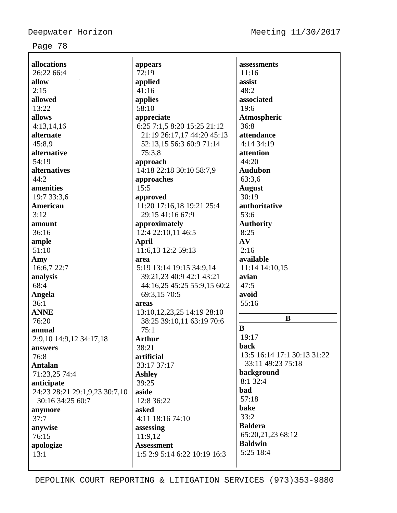| allocations                   | appears                              | assessments                 |
|-------------------------------|--------------------------------------|-----------------------------|
| 26:22 66:4                    | 72:19                                | 11:16                       |
| allow<br>2:15                 | applied<br>41:16                     | assist<br>48:2              |
| allowed                       |                                      | associated                  |
|                               | applies                              |                             |
| 13:22                         | 58:10                                | 19:6                        |
| allows                        | appreciate                           | Atmospheric<br>36:8         |
| 4:13,14,16<br>alternate       | 6:25 7:1,5 8:20 15:25 21:12          | attendance                  |
| 45:8,9                        | 21:19 26:17,17 44:20 45:13           | 4:14 34:19                  |
| alternative                   | 52:13,15 56:3 60:9 71:14<br>75:3,8   | attention                   |
| 54:19                         |                                      | 44:20                       |
| alternatives                  | approach<br>14:18 22:18 30:10 58:7,9 | <b>Audubon</b>              |
| 44:2                          |                                      | 63:3,6                      |
| amenities                     | approaches<br>15:5                   | <b>August</b>               |
| 19:7 33:3,6                   | approved                             | 30:19                       |
| American                      | 11:20 17:16,18 19:21 25:4            | authoritative               |
| 3:12                          | 29:15 41:16 67:9                     | 53:6                        |
| amount                        | approximately                        | <b>Authority</b>            |
| 36:16                         | 12:4 22:10,11 46:5                   | 8:25                        |
| ample                         | <b>April</b>                         | AV                          |
| 51:10                         | 11:6,13 12:2 59:13                   | 2:16                        |
| Amy                           | area                                 | available                   |
| 16:6,7 22:7                   | 5:19 13:14 19:15 34:9,14             | 11:14 14:10,15              |
| analysis                      | 39:21,23 40:9 42:1 43:21             | avian                       |
| 68:4                          | 44:16,25 45:25 55:9,15 60:2          | 47:5                        |
| Angela                        | 69:3,15 70:5                         | avoid                       |
| 36:1                          | areas                                | 55:16                       |
| <b>ANNE</b>                   | 13:10, 12, 23, 25 14:19 28:10        |                             |
| 76:20                         | 38:25 39:10,11 63:19 70:6            | $\bf{B}$                    |
| annual                        | 75:1                                 | $\bf{B}$                    |
| 2:9,10 14:9,12 34:17,18       | <b>Arthur</b>                        | 19:17                       |
| answers                       | 38:21                                | back                        |
| 76:8                          | artificial                           | 13:5 16:14 17:1 30:13 31:22 |
| <b>Antalan</b>                | 33:17 37:17                          | 33:11 49:23 75:18           |
| 71:23,25 74:4                 | <b>Ashley</b>                        | background                  |
| anticipate                    | 39:25                                | 8:1 32:4                    |
| 24:23 28:21 29:1,9,23 30:7,10 | aside                                | bad                         |
| 30:16 34:25 60:7              | 12:8 36:22                           | 57:18                       |
| anymore                       | asked                                | bake                        |
| 37:7                          | 4:11 18:16 74:10                     | 33:2                        |
| anywise                       | assessing                            | <b>Baldera</b>              |
| 76:15                         | 11:9,12                              | 65:20,21,23 68:12           |
| apologize                     | <b>Assessment</b>                    | <b>Baldwin</b>              |
| 13:1                          | 1:5 2:9 5:14 6:22 10:19 16:3         | 5:25 18:4                   |
|                               |                                      |                             |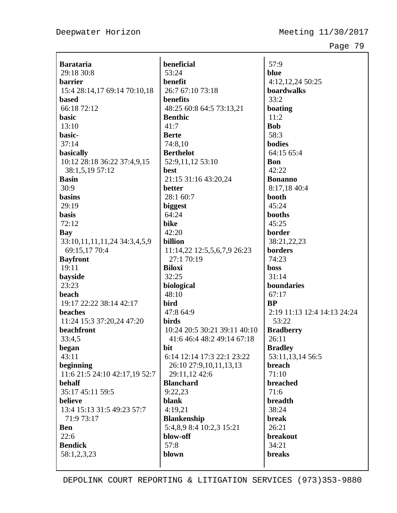| <b>Barataria</b>              | beı            |
|-------------------------------|----------------|
| 29:18 30:8                    | 53             |
| barrier                       | beı            |
| 15:4 28:14,17 69:14 70:10,18  | 26             |
| based                         | beı            |
| 66:18 72:12                   | 48             |
| basic                         | Be             |
| 13:10                         | 41             |
| basic-                        | Bei            |
| 37:14                         | 74             |
| basically                     | Be             |
| 10:12 28:18 36:22 37:4,9,15   | 52             |
| 38:1,5,19 57:12               | bes            |
| <b>Basin</b>                  | 21             |
| 30:9                          | bet            |
| basins                        | 28             |
| 29:19                         | big            |
| <b>basis</b>                  | 64             |
| 72:12                         | bik            |
| Bay                           | 42             |
| 33:10,11,11,11,24 34:3,4,5,9  | bill           |
| 69:15,17 70:4                 | 11             |
| <b>Bayfront</b>               | 2              |
| 19:11                         | Bil            |
| bayside                       | 32             |
| 23:23                         | bio            |
| beach                         | 48             |
| 19:17 22:22 38:14 42:17       | bir            |
| beaches                       | 47             |
| 11:24 15:3 37:20,24 47:20     | bir            |
| beachfront                    | 10             |
|                               | 4              |
| 33:4,5                        |                |
| began<br>43:11                | bit<br>6:1     |
|                               |                |
| beginning                     | $\overline{c}$ |
| 11:6 21:5 24:10 42:17,19 52:7 | $\overline{2}$ |
| behalf                        | Bla            |
| 35:17 45:11 59:5              | 9:2            |
| believe                       | bla            |
| 13:4 15:13 31:5 49:23 57:7    | 4:1            |
| 71:9 73:17                    | Bla            |
| Ben                           | 5:4            |
| 22:6                          | blo            |
| <b>Bendick</b>                | 57             |
| 58:1,2,3,23                   | blo            |
|                               |                |

**beneficial**  $:24$ **benefit**  $2:767:1073:18$ **benefits** 48:25 60:8 64:5 73:13,21 **Benthic** 41:7 **Berte** 74:8,10 **Berthelot** 52:9,11,12 53:10 **best** 21:15 31:16 43:20,24 **better**  $:1,60:7$ **biggest**  $:24$ **bike** 42:20 **billion** 11:14,22 12:5,5,6,7,9 26:23 27:1 70:19 **Biloxi**  $:25$ **biological**  $:10$ **bird** 47:8 64:9 **birds** :24 20:5 30:21 39:11 40:10 41:6 46:4 48:2 49:14 67:18 6:14 12:14 17:3 22:1 23:22 26:10 27:9,10,11,13,13 29:11,12 42:6 **Blanchard** 9:22,23  $n**k**$ 4:19,21 **Blankenship** 5:4,8,9 8:4 10:2,3 15:21 **blow-off** 57:8  $b$ **wn** 

57:9 **blue** 4:12,12,24 50:25 **boardwalks** 33:2 **boating** 11:2 **Bob** 58:3 **bodies** 64:15 65:4 **Bon** 42:22 **Bonanno** 8:17,18 40:4 **booth** 45:24 **booths** 45:25 **border** 38:21,22,23 **borders** 74:23 **boss** 31:14 **boundaries** 67:17 **BP** 2:19 11:13 12:4 14:13 24:24 53:22 **Bradberry** 26:11 **Bradley** 53:11,13,14 56:5 **breach** 71:10 **breached** 71:6 **breadth** 38:24 **break** 26:21 **breakout** 34:21 **breaks**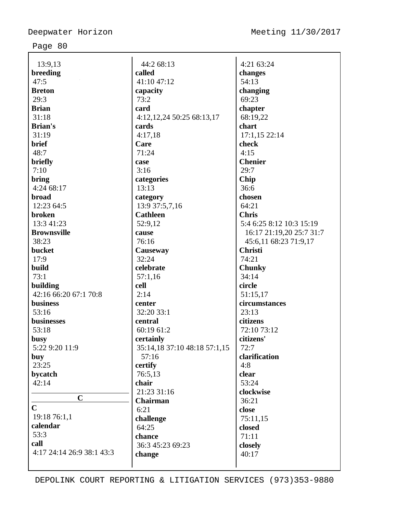| 13:9,13                   | 44:2 68:13                   | 4:21 63:24               |
|---------------------------|------------------------------|--------------------------|
| breeding                  | called                       | changes                  |
| 47:5                      | 41:10 47:12                  | 54:13                    |
| <b>Breton</b>             | capacity                     | changing                 |
| 29:3                      | 73:2                         | 69:23                    |
| <b>Brian</b>              | card                         | chapter                  |
| 31:18                     | 4:12, 12, 24 50:25 68:13, 17 | 68:19,22                 |
| <b>Brian's</b>            | cards                        | chart                    |
| 31:19                     | 4:17,18                      | 17:1,15 22:14            |
| brief                     | Care                         | check                    |
| 48:7                      | 71:24                        | 4:15                     |
| briefly                   | case                         | <b>Chenier</b>           |
| 7:10                      | 3:16                         | 29:7                     |
| bring                     | categories                   | Chip                     |
| 4:24 68:17                | 13:13                        | 36:6                     |
| <b>broad</b>              | category                     | chosen                   |
| 12:23 64:5                | 13:9 37:5,7,16               | 64:21                    |
| broken                    | <b>Cathleen</b>              | <b>Chris</b>             |
| 13:3 41:23                | 52:9,12                      | 5:4 6:25 8:12 10:3 15:19 |
| <b>Brownsville</b>        | cause                        | 16:17 21:19,20 25:7 31:7 |
| 38:23                     | 76:16                        | 45:6,11 68:23 71:9,17    |
| bucket                    | Causeway                     | <b>Christi</b>           |
| 17:9                      | 32:24                        | 74:21                    |
| build                     | celebrate                    | <b>Chunky</b>            |
| 73:1                      | 57:1,16                      | 34:14                    |
| building                  | cell                         | circle                   |
| 42:16 66:20 67:1 70:8     | 2:14                         | 51:15,17                 |
| <b>business</b>           | center                       | circumstances            |
| 53:16                     | 32:20 33:1                   | 23:13                    |
| businesses                | central                      | citizens                 |
| 53:18                     | 60:19 61:2                   | 72:10 73:12              |
| busy                      | certainly                    | citizens'                |
| 5:22 9:20 11:9            | 35:14,18 37:10 48:18 57:1,15 | 72:7                     |
| buy                       | 57:16                        | clarification            |
| 23:25                     | certify                      | 4:8                      |
| bycatch                   | 76:5,13                      | clear                    |
| 42:14                     | chair                        | 53:24                    |
|                           | 21:23 31:16                  | clockwise                |
| $\mathbf C$               | Chairman                     | 36:21                    |
| $\mathbf C$               | 6:21                         | close                    |
| 19:18 76:1,1              | challenge                    | 75:11,15                 |
| calendar                  | 64:25                        | closed                   |
| 53:3                      | chance                       | 71:11                    |
| call                      | 36:3 45:23 69:23             | closely                  |
| 4:17 24:14 26:9 38:1 43:3 | change                       | 40:17                    |
|                           |                              |                          |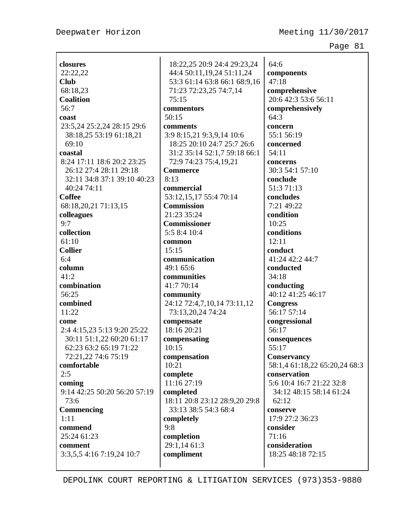Deepwater Horizon Meeting 11/30/2017

Page 81

| closures                                                 | 18:22,25 20:9 24:4 29:23,24   | 64:6                          |
|----------------------------------------------------------|-------------------------------|-------------------------------|
| 22:22,22                                                 | 44:4 50:11,19,24 51:11,24     | components                    |
| <b>Club</b>                                              | 53:3 61:14 63:8 66:1 68:9,16  | 47:18                         |
| 68:18,23                                                 | 71:23 72:23,25 74:7,14        | comprehensive                 |
| <b>Coalition</b>                                         | 75:15                         | 20:6 42:3 53:6 56:11          |
| 56:7                                                     | commentors                    | comprehensively               |
| coast                                                    | 50:15                         | 64:3                          |
| 23:5,24 25:2,24 28:15 29:6                               | comments                      | concern                       |
| 38:18,25 53:19 61:18,21                                  | 3:9 8:15,21 9:3,9,14 10:6     | 55:1 56:19                    |
| 69:10                                                    | 18:25 20:10 24:7 25:7 26:6    | concerned                     |
| coastal                                                  | 31:2 35:14 52:1,7 59:18 66:1  | 54:11                         |
| 8:24 17:11 18:6 20:2 23:25                               | 72:9 74:23 75:4,19,21         | concerns                      |
| 26:12 27:4 28:11 29:18                                   | <b>Commerce</b>               | 30:3 54:1 57:10               |
| 32:11 34:8 37:1 39:10 40:23                              | 8:13                          | conclude                      |
| 40:24 74:11                                              | commercial                    | 51:3 71:13                    |
| <b>Coffee</b>                                            | 53:12,15,17 55:4 70:14        | concludes                     |
| 68:18,20,21 71:13,15                                     | <b>Commission</b>             | 7:21 49:22                    |
| colleagues                                               | 21:23 35:24                   | condition                     |
| 9:7                                                      | <b>Commissioner</b>           | 10:25                         |
| collection                                               | 5:5 8:4 10:4                  | conditions                    |
| 61:10                                                    | common                        | 12:11                         |
| <b>Collier</b>                                           | 15:15                         | conduct                       |
| 6:4                                                      | communication                 | 41:24 42:2 44:7               |
| column                                                   | 49:1 65:6                     | conducted                     |
| 41:2                                                     | communities                   | 34:18                         |
| combination                                              | 41:7 70:14                    | conducting                    |
| 56:25                                                    | community                     | 40:12 41:25 46:17             |
| combined                                                 | 24:12 72:4,7,10,14 73:11,12   | <b>Congress</b>               |
| 11:22                                                    | 73:13,20,24 74:24             | 56:17 57:14                   |
| come                                                     | compensate<br>18:16 20:21     | congressional<br>56:17        |
| 2:4 4:15,23 5:13 9:20 25:22<br>30:11 51:1,22 60:20 61:17 |                               |                               |
| 62:23 63:2 65:19 71:22                                   | compensating<br>10:15         | consequences<br>55:17         |
| 72:21,22 74:6 75:19                                      | compensation                  | Conservancy                   |
| comfortable                                              | 10:21                         | 58:1,4 61:18,22 65:20,24 68:3 |
| 2:5                                                      | complete                      | conservation                  |
| coming                                                   | 11:16 27:19                   | 5:6 10:4 16:7 21:22 32:8      |
| 9:14 42:25 50:20 56:20 57:19                             | completed                     | 34:12 48:15 58:14 61:24       |
| 73:6                                                     | 18:11 20:8 23:12 28:9,20 29:8 | 62:12                         |
| Commencing                                               | 33:13 38:5 54:3 68:4          | conserve                      |
| 1:11                                                     | completely                    | 17:9 27:2 36:23               |
| commend                                                  | 9:8                           | consider                      |
| 25:24 61:23                                              | completion                    | 71:16                         |
| comment                                                  | 29:1,14 61:3                  | consideration                 |
| 3:3,5,5 4:16 7:19,24 10:7                                | compliment                    | 18:25 48:18 72:15             |
|                                                          |                               |                               |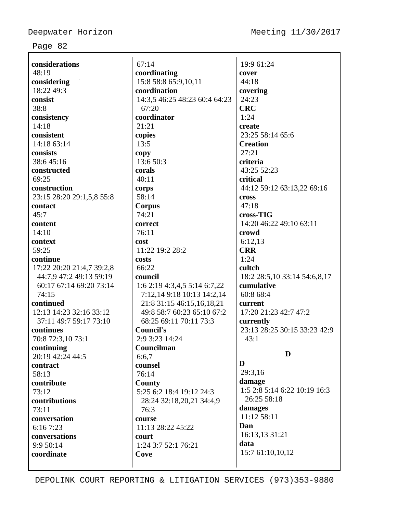$\overline{\phantom{a}}$ 

| considerations            | 67:14                         | 19:9 61:24                      |
|---------------------------|-------------------------------|---------------------------------|
| 48:19                     | coordinating                  | cover                           |
| considering               | 15:8 58:8 65:9,10,11          | 44:18                           |
| 18:22 49:3                | coordination                  | covering                        |
| consist                   | 14:3,5 46:25 48:23 60:4 64:23 | 24:23                           |
| 38:8                      | 67:20                         | <b>CRC</b>                      |
| consistency               | coordinator                   | 1:24                            |
| 14:18                     | 21:21                         | create                          |
| consistent                | copies                        | 23:25 58:14 65:6                |
| 14:18 63:14               | 13:5                          | <b>Creation</b>                 |
| consists                  | copy                          | 27:21                           |
| 38:645:16                 | 13:6 50:3                     | criteria                        |
| constructed               | corals                        | 43:25 52:23                     |
| 69:25                     | 40:11                         | critical                        |
| construction              | corps                         | 44:12 59:12 63:13,22 69:16      |
| 23:15 28:20 29:1,5,8 55:8 | 58:14                         | <b>cross</b>                    |
| contact                   | Corpus                        | 47:18                           |
| 45:7                      | 74:21                         | cross-TIG                       |
| content                   | correct                       | 14:20 46:22 49:10 63:11         |
| 14:10                     | 76:11                         | crowd                           |
| context                   | cost                          | 6:12,13                         |
| 59:25                     | 11:22 19:2 28:2               | <b>CRR</b>                      |
| continue                  | costs                         | 1:24                            |
| 17:22 20:20 21:4,7 39:2,8 | 66:22                         | cultch                          |
| 44:7,9 47:2 49:13 59:19   | council                       | 18:2 28:5, 10 33:14 54:6, 8, 17 |
| 60:17 67:14 69:20 73:14   | 1:6 2:19 4:3,4,5 5:14 6:7,22  | cumulative                      |
| 74:15                     | 7:12,14 9:18 10:13 14:2,14    | 60:8 68:4                       |
| continued                 | 21:8 31:15 46:15,16,18,21     | current                         |
| 12:13 14:23 32:16 33:12   | 49:8 58:7 60:23 65:10 67:2    | 17:20 21:23 42:7 47:2           |
| 37:11 49:7 59:17 73:10    | 68:25 69:11 70:11 73:3        | currently                       |
| continues                 | <b>Council's</b>              | 23:13 28:25 30:15 33:23 42:9    |
| 70:8 72:3,10 73:1         | 2:9 3:23 14:24                | 43:1                            |
| continuing                | Councilman                    |                                 |
| 20:19 42:24 44:5          | 6:6,7                         | D                               |
| contract                  | counsel                       | D                               |
| 58:13                     | 76:14                         | 29:3,16                         |
| contribute                | County                        | damage                          |
| 73:12                     | 5:25 6:2 18:4 19:12 24:3      | 1:5 2:8 5:14 6:22 10:19 16:3    |
| contributions             | 28:24 32:18,20,21 34:4,9      | 26:25 58:18                     |
| 73:11                     | 76:3                          | damages                         |
| conversation              | course                        | 11:12 58:11                     |
| 6:16 7:23                 | 11:13 28:22 45:22             | Dan                             |
| conversations             | court                         | 16:13,13 31:21                  |
| 9:9 50:14                 | 1:24 3:7 52:1 76:21           | data                            |
| coordinate                | Cove                          | 15:7 61:10,10,12                |
|                           |                               |                                 |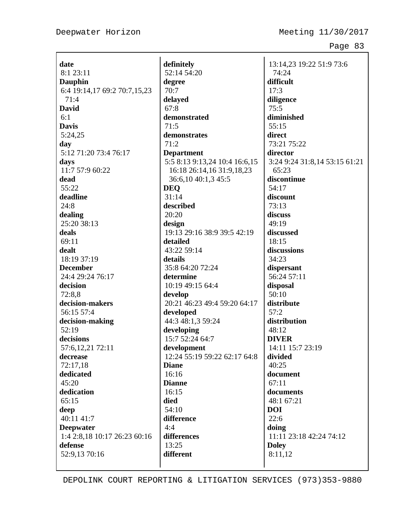Deepwater Horizon Meeting 11/30/2017

Page 83

**date** 8:1 23:11 **Dauphin** 6:4 19:14,17 69:2 70:7,15,23 71:4 **David** 6:1 **Davis** 5:24,25 **day** 5:12 71:20 73:4 76:17 **days** 11:7 57:9 60:22 **dead** 55:22 **deadline** 24:8 **dealing** 25:20 38:13 **deals** 69:11 **dealt** 18:19 37:19 **December** 24:4 29:24 76:17 **decision** 72:8,8 **decision-makers** 56:15 57:4 **decision-making** 52:19 **decisions** 57:6,12,21 72:11 **decrease** 72:17,18 **dedicated** 45:20 **dedication** 65:15 **deep** 40:11 41:7 **Deepwater** 1:4 2:8,18 10:17 26:23 60:16 **defense** 52:9,13 70:16

**definitely** 52:14 54:20 **degree** 70:7 **delayed** 67:8 **demonstrated** 71:5 **demonstrates**  $71:2$ **Department** 5:5 8:13 9:13,24 10:4 16:6,15 16:18 26:14,16 31:9,18,23 36:6,10 40:1,3 45:5 **DEQ** 31:14 **described** 20:20 **design** 19:13 29:16 38:9 39:5 42:19 **detailed** 43:22 59:14 **details** 35:8 64:20 72:24 **determine** 10:19 49:15 64:4 **develop** 20:21 46:23 49:4 59:20 64:17 **developed** 44:3 48:1,3 59:24 **developing** 15:7 52:24 64:7 **development** 12:24 55:19 59:22 62:17 64:8 **Diane** 16:16 **Dianne** 16:15 **died** 54:10 **difference** 4:4 **differences** 13:25 **different**

13:14,23 19:22 51:9 73:6 74:24 **difficult** 17:3 **diligence** 75:5 **diminished** 55:15 **direct** 73:21 75:22 **director** 3:24 9:24 31:8,14 53:15 61:21 65:23 **discontinue** 54:17 **discount** 73:13 **discuss** 49:19 **discussed** 18:15 **discussions** 34:23 **dispersant** 56:24 57:11 **disposal** 50:10 **distribute** 57:2 **distribution**  $48:12$ **DIVER** 14:11 15:7 23:19 **divided**  $40:25$ **document** 67:11 **documents** 48:1 67:21 **DOI** 22:6 **doing** 11:11 23:18 42:24 74:12 **Doley** 8:11,12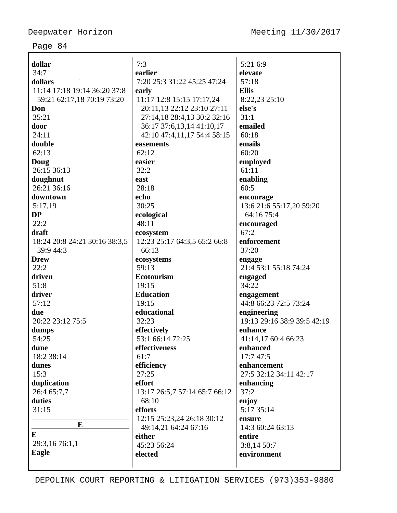| dollar                        | 7:3                           | 5:21 6:9                    |
|-------------------------------|-------------------------------|-----------------------------|
| 34:7                          | earlier                       | elevate                     |
| dollars                       | 7:20 25:3 31:22 45:25 47:24   | 57:18                       |
| 11:14 17:18 19:14 36:20 37:8  | early                         | <b>Ellis</b>                |
| 59:21 62:17,18 70:19 73:20    | 11:17 12:8 15:15 17:17,24     | 8:22,23 25:10               |
| Don                           | 20:11,13 22:12 23:10 27:11    | else's                      |
| 35:21                         | 27:14,18 28:4,13 30:2 32:16   | 31:1                        |
| door                          | 36:17 37:6,13,14 41:10,17     | emailed                     |
| 24:11                         | 42:10 47:4,11,17 54:4 58:15   | 60:18                       |
| double                        | easements                     | emails                      |
| 62:13                         | 62:12                         | 60:20                       |
| Doug                          | easier                        | employed                    |
| 26:15 36:13                   | 32:2                          | 61:11                       |
| doughnut                      | east                          | enabling                    |
| 26:21 36:16                   | 28:18                         | 60:5                        |
| downtown                      | echo                          | encourage                   |
| 5:17,19                       | 30:25                         | 13:6 21:6 55:17,20 59:20    |
| <b>DP</b>                     | ecological                    | 64:16 75:4                  |
| 22:2                          | 48:11                         | encouraged                  |
| draft                         | ecosystem                     | 67:2                        |
| 18:24 20:8 24:21 30:16 38:3,5 | 12:23 25:17 64:3,5 65:2 66:8  | enforcement                 |
| 39:9 44:3                     | 66:13                         | 37:20                       |
| <b>Drew</b>                   | ecosystems                    | engage                      |
| 22:2                          | 59:13                         | 21:4 53:1 55:18 74:24       |
| driven                        | <b>Ecotourism</b>             | engaged                     |
| 51:8                          | 19:15                         | 34:22                       |
| driver                        | <b>Education</b>              | engagement                  |
| 57:12                         | 19:15                         | 44:8 66:23 72:5 73:24       |
| due                           | educational                   | engineering                 |
| 20:22 23:12 75:5              | 32:23                         | 19:13 29:16 38:9 39:5 42:19 |
| dumps                         | effectively                   | enhance                     |
| 54:25                         | 53:1 66:14 72:25              | 41:14,17 60:4 66:23         |
| dune                          | effectiveness                 | enhanced                    |
| 18:2 38:14                    | 61:7                          | 17:7 47:5                   |
| dunes                         | efficiency                    | enhancement                 |
| 15:3                          | 27:25                         | 27:5 32:12 34:11 42:17      |
| duplication                   | effort                        | enhancing                   |
| 26:4 65:7,7                   | 13:17 26:5,7 57:14 65:7 66:12 | 37:2                        |
| duties                        | 68:10                         | enjoy                       |
| 31:15                         | efforts                       | 5:17 35:14                  |
|                               | 12:15 25:23,24 26:18 30:12    | ensure                      |
| E                             | 49:14,21 64:24 67:16          | 14:3 60:24 63:13            |
| E                             | either                        | entire                      |
| 29:3,16 76:1,1                | 45:23 56:24                   | 3:8,14 50:7                 |
| Eagle                         | elected                       | environment                 |
|                               |                               |                             |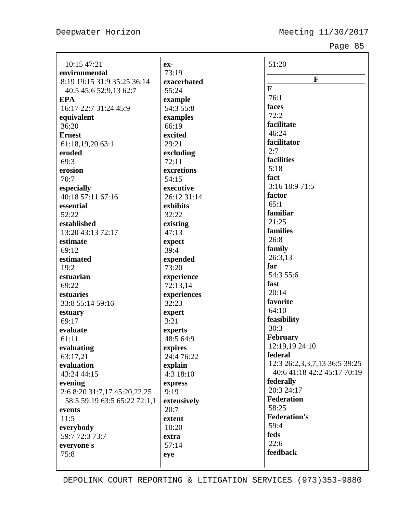| 10:15 47:21                  | ex-         | 51:20                                                        |
|------------------------------|-------------|--------------------------------------------------------------|
| environmental                | 73:19       |                                                              |
| 8:19 19:15 31:9 35:25 36:14  | exacerbated | F                                                            |
| 40:5 45:6 52:9,13 62:7       | 55:24       | $\mathbf{F}$                                                 |
| <b>EPA</b>                   | example     | 76:1                                                         |
| 16:17 22:7 31:24 45:9        | 54:3 55:8   | faces                                                        |
| equivalent                   | examples    | 72:2                                                         |
| 36:20                        | 66:19       | facilitate                                                   |
| <b>Ernest</b>                | excited     | 46:24                                                        |
| 61:18,19,20 63:1             | 29:21       | facilitator                                                  |
| eroded                       | excluding   | 2:7                                                          |
| 69:3                         | 72:11       | facilities                                                   |
| erosion                      | excretions  | 5:18                                                         |
| 70:7                         | 54:15       | fact                                                         |
| especially                   | executive   | 3:16 18:9 71:5                                               |
| 40:18 57:11 67:16            | 26:12 31:14 | factor                                                       |
| essential                    | exhibits    | 65:1                                                         |
| 52:22                        | 32:22       | familiar                                                     |
| established                  | existing    | 21:25                                                        |
| 13:20 43:13 72:17            | 47:13       | families                                                     |
| estimate                     | expect      | 26:8                                                         |
| 69:12                        | 39:4        | family                                                       |
| estimated                    | expended    | 26:3,13                                                      |
| 19:2                         | 73:20       | far                                                          |
| estuarian                    | experience  | 54:3 55:6                                                    |
| 69:22                        | 72:13,14    | fast                                                         |
| estuaries                    | experiences | 20:14                                                        |
| 33:8 55:14 59:16             | 32:23       | favorite                                                     |
| estuary                      | expert      | 64:10                                                        |
| 69:17                        | 3:21        | feasibility                                                  |
| evaluate                     | experts     | 30:3                                                         |
| 61:11                        | 48:5 64:9   | February                                                     |
| evaluating                   | expires     | 12:19,19 24:10<br>federal                                    |
| 63:17,21                     | 24:4 76:22  |                                                              |
| evaluation                   | explain     | 12:3 26:2,3,3,7,13 36:5 39:25<br>40:6 41:18 42:2 45:17 70:19 |
| 43:24 44:15                  | 4:3 18:10   |                                                              |
| evening                      | express     | federally<br>20:3 24:17                                      |
| 2:6 8:20 31:7,17 45:20,22,25 | 9:19        | <b>Federation</b>                                            |
| 58:5 59:19 63:5 65:22 72:1,1 | extensively | 58:25                                                        |
| events                       | 20:7        | <b>Federation's</b>                                          |
| 11:5                         | extent      | 59:4                                                         |
| everybody                    | 10:20       | feds                                                         |
| 59:7 72:3 73:7               | extra       | 22:6                                                         |
| everyone's                   | 57:14       | feedback                                                     |
| 75:8                         | eye         |                                                              |
|                              |             |                                                              |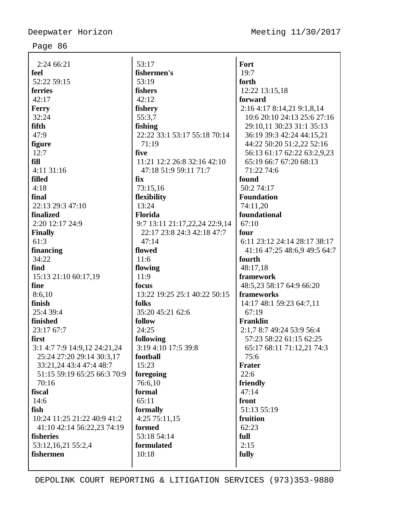| 2:24 66:21                   | 53:17                         | Fort                         |
|------------------------------|-------------------------------|------------------------------|
| feel                         | fishermen's                   | 19:7                         |
| 52:22 59:15                  | 53:19                         | forth                        |
| ferries                      | fishers                       | 12:22 13:15,18               |
| 42:17                        | 42:12                         | forward                      |
| Ferry                        | fishery                       | 2:16 4:17 8:14,21 9:1,8,14   |
| 32:24                        | 55:3,7                        | 10:6 20:10 24:13 25:6 27:16  |
| fifth                        | fishing                       | 29:10,11 30:23 31:1 35:13    |
| 47:9                         | 22:22 33:1 53:17 55:18 70:14  | 36:19 39:3 42:24 44:15,21    |
| figure                       | 71:19                         | 44:22 50:20 51:2,22 52:16    |
| 12:7                         | five                          | 56:13 61:17 62:22 63:2,9,23  |
| fill                         | 11:21 12:2 26:8 32:16 42:10   | 65:19 66:7 67:20 68:13       |
| 4:11 31:16                   | 47:18 51:9 59:11 71:7         | 71:22 74:6                   |
| filled                       | fix                           | found                        |
| 4:18                         | 73:15,16                      | 50:2 74:17                   |
| final                        | flexibility                   | <b>Foundation</b>            |
| 22:13 29:3 47:10             | 13:24                         | 74:11,20                     |
| finalized                    | Florida                       | foundational                 |
| 2:20 12:17 24:9              | 9:7 13:11 21:17,22,24 22:9,14 | 67:10                        |
| <b>Finally</b>               | 22:17 23:8 24:3 42:18 47:7    | four                         |
| 61:3                         | 47:14                         | 6:11 23:12 24:14 28:17 38:17 |
| financing                    | flowed                        | 41:16 47:25 48:6,9 49:5 64:7 |
| 34:22                        | 11:6                          | fourth                       |
| find                         | flowing                       | 48:17,18                     |
| 15:13 21:10 60:17,19         | 11:9                          | framework                    |
| fine                         | focus                         | 48:5,23 58:17 64:9 66:20     |
| 8:6,10                       | 13:22 19:25 25:1 40:22 50:15  | frameworks                   |
| finish                       | folks                         | 14:17 48:1 59:23 64:7,11     |
| 25:4 39:4                    | 35:20 45:21 62:6              | 67:19                        |
| finished                     | follow                        | <b>Franklin</b>              |
| 23:17 67:7                   | 24:25                         | 2:1,7 8:7 49:24 53:9 56:4    |
| first                        | following                     | 57:23 58:22 61:15 62:25      |
| 3:1 4:7 7:9 14:9,12 24:21,24 | 3:19 4:10 17:5 39:8           | 65:17 68:11 71:12,21 74:3    |
| 25:24 27:20 29:14 30:3,17    | football                      | 75:6                         |
| 33:21,24 43:4 47:4 48:7      | 15:23                         | <b>Frater</b>                |
| 51:15 59:19 65:25 66:3 70:9  | foregoing                     | 22:6                         |
| 70:16                        | 76:6,10                       | friendly                     |
| fiscal                       | formal                        | 47:14                        |
| 14:6                         | 65:11                         | front                        |
| fish                         | formally                      | 51:13 55:19                  |
| 10:24 11:25 21:22 40:9 41:2  | 4:25 75:11,15                 | fruition                     |
| 41:10 42:14 56:22,23 74:19   | formed                        | 62:23                        |
| fisheries                    | 53:18 54:14                   | full                         |
| 53:12,16,21 55:2,4           | formulated                    | 2:15                         |
| fishermen                    | 10:18                         | fully                        |
|                              |                               |                              |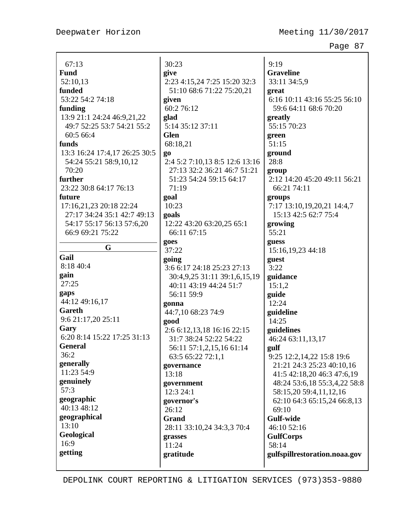| 67:13                         | 30:23                                | 9:19                          |
|-------------------------------|--------------------------------------|-------------------------------|
| <b>Fund</b>                   | give                                 | <b>Graveline</b>              |
| 52:10,13                      | 2:23 4:15,24 7:25 15:20 32:3         | 33:11 34:5,9                  |
| funded                        | 51:10 68:6 71:22 75:20,21            | great                         |
| 53:22 54:2 74:18              | given                                | 6:16 10:11 43:16 55:25 56:10  |
| funding                       | 60:2 76:12                           | 59:6 64:11 68:6 70:20         |
| 13:9 21:1 24:24 46:9,21,22    | glad                                 | greatly                       |
| 49:7 52:25 53:7 54:21 55:2    | 5:14 35:12 37:11                     | 55:15 70:23                   |
| 60:5 66:4                     | <b>Glen</b>                          | green                         |
| funds                         | 68:18,21                             | 51:15                         |
| 13:3 16:24 17:4,17 26:25 30:5 | go                                   | ground                        |
| 54:24 55:21 58:9,10,12        | 2:4 5:2 7:10,13 8:5 12:6 13:16       | 28:8                          |
| 70:20                         | 27:13 32:2 36:21 46:7 51:21          | group                         |
| further                       | 51:23 54:24 59:15 64:17              | 2:12 14:20 45:20 49:11 56:21  |
| 23:22 30:8 64:17 76:13        | 71:19                                | 66:21 74:11                   |
| future                        | goal                                 | groups                        |
| 17:16,21,23 20:18 22:24       | 10:23                                | 7:17 13:10,19,20,21 14:4,7    |
| 27:17 34:24 35:1 42:7 49:13   | goals                                | 15:13 42:5 62:7 75:4          |
| 54:17 55:17 56:13 57:6,20     | 12:22 43:20 63:20,25 65:1            | growing                       |
| 66:9 69:21 75:22              | 66:11 67:15                          | 55:21                         |
| G                             | goes                                 | guess                         |
| Gail                          | 37:22                                | 15:16,19,23 44:18             |
| 8:18 40:4                     | going                                | guest                         |
| gain                          | 3:6 6:17 24:18 25:23 27:13           | 3:22                          |
| 27:25                         | 30:4,9,25 31:11 39:1,6,15,19         | guidance                      |
| gaps                          | 40:11 43:19 44:24 51:7<br>56:11 59:9 | 15:1,2                        |
| 44:12 49:16,17                |                                      | guide<br>12:24                |
| Gareth                        | gonna<br>44:7,10 68:23 74:9          | guideline                     |
| 9:6 21:17,20 25:11            | good                                 | 14:25                         |
| Gary                          | 2:6 6:12,13,18 16:16 22:15           | guidelines                    |
| 6:20 8:14 15:22 17:25 31:13   | 31:7 38:24 52:22 54:22               | 46:24 63:11,13,17             |
| <b>General</b>                | 56:11 57:1,2,15,16 61:14             | gulf                          |
| 36:2                          | 63:5 65:22 72:1,1                    | 9:25 12:2,14,22 15:8 19:6     |
| generally                     | governance                           | 21:21 24:3 25:23 40:10,16     |
| 11:23 54:9                    | 13:18                                | 41:5 42:18,20 46:3 47:6,19    |
| genuinely                     | government                           | 48:24 53:6,18 55:3,4,22 58:8  |
| 57:3                          | 12:3 24:1                            | 58:15,20 59:4,11,12,16        |
| geographic                    | governor's                           | 62:10 64:3 65:15,24 66:8,13   |
| 40:13 48:12                   | 26:12                                | 69:10                         |
| geographical                  | <b>Grand</b>                         | <b>Gulf-wide</b>              |
| 13:10                         | 28:11 33:10,24 34:3,3 70:4           | 46:10 52:16                   |
| Geological                    | grasses                              | <b>GulfCorps</b>              |
| 16:9                          | 11:24                                | 58:14                         |
| getting                       | gratitude                            | gulfspillrestoration.noaa.gov |
|                               |                                      |                               |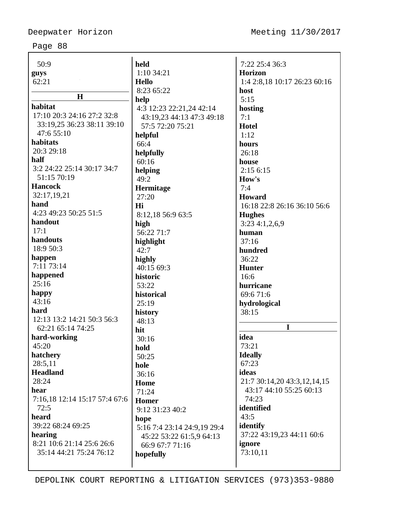| 50:9                          | held                        | 7:22 25:4 36:3               |
|-------------------------------|-----------------------------|------------------------------|
| guys                          | $1:10$ 34:21                | <b>Horizon</b>               |
| 62:21                         | <b>Hello</b>                | 1:4 2:8,18 10:17 26:23 60:16 |
|                               | 8:23 65:22                  | host                         |
| $\mathbf H$                   | help                        | 5:15                         |
| habitat                       | 4:3 12:23 22:21,24 42:14    | hosting                      |
| 17:10 20:3 24:16 27:2 32:8    | 43:19,23 44:13 47:3 49:18   | 7:1                          |
| 33:19,25 36:23 38:11 39:10    | 57:5 72:20 75:21            | <b>Hotel</b>                 |
| 47:6 55:10                    | helpful                     | 1:12                         |
| habitats                      | 66:4                        | hours                        |
| 20:3 29:18                    | helpfully                   | 26:18                        |
| half                          | 60:16                       | house                        |
| 3:2 24:22 25:14 30:17 34:7    | helping                     | 2:156:15                     |
| 51:15 70:19                   | 49:2                        | How's                        |
| <b>Hancock</b>                | Hermitage                   | 7:4                          |
| 32:17,19,21                   | 27:20                       | <b>Howard</b>                |
| hand                          | Hi                          | 16:18 22:8 26:16 36:10 56:6  |
| 4:23 49:23 50:25 51:5         | 8:12,18 56:9 63:5           | <b>Hughes</b>                |
| handout                       | high                        | 3:234:1,2,6,9                |
| 17:1                          | 56:22 71:7                  | human                        |
| handouts                      | highlight                   | 37:16                        |
| 18:9 50:3                     | 42:7                        | hundred                      |
| happen                        | highly                      | 36:22                        |
| 7:11 73:14                    | 40:15 69:3                  | <b>Hunter</b>                |
| happened                      | historic                    | 16:6                         |
| 25:16                         | 53:22                       | hurricane                    |
| happy                         | historical                  | 69:6 71:6                    |
| 43:16                         | 25:19                       | hydrological                 |
| hard                          | history                     | 38:15                        |
| 12:13 13:2 14:21 50:3 56:3    | 48:13                       |                              |
| 62:21 65:14 74:25             | hit                         | I                            |
| hard-working                  | 30:16                       | idea                         |
| 45:20                         | hold                        | 73:21                        |
| hatchery                      | 50:25                       | <b>Ideally</b>               |
| 28:5,11                       | hole                        | 67:23                        |
| <b>Headland</b>               | 36:16                       | ideas                        |
| 28:24                         | Home                        | 21:7 30:14,20 43:3,12,14,15  |
| hear                          | 71:24                       | 43:17 44:10 55:25 60:13      |
| 7:16,18 12:14 15:17 57:4 67:6 | <b>Homer</b>                | 74:23                        |
| 72:5<br>heard                 | 9:12 31:23 40:2             | identified<br>43:5           |
| 39:22 68:24 69:25             | hope                        | identify                     |
| hearing                       | 5:16 7:4 23:14 24:9,19 29:4 | 37:22 43:19,23 44:11 60:6    |
| 8:21 10:6 21:14 25:6 26:6     | 45:22 53:22 61:5,9 64:13    | ignore                       |
| 35:14 44:21 75:24 76:12       | 66:9 67:7 71:16             | 73:10,11                     |
|                               | hopefully                   |                              |
|                               |                             |                              |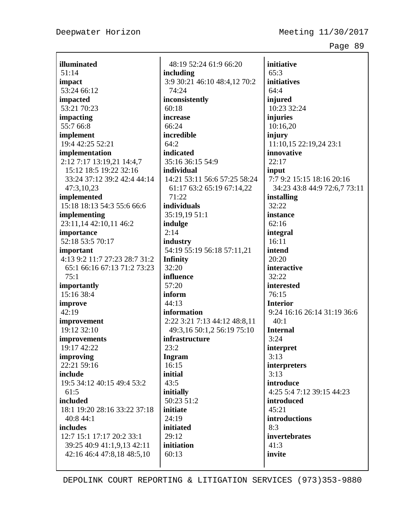**illuminated** 51:14 **impact** 53:24 66:12 **impacted** 53:21 70:23 **impacting** 55:7 66:8 **implement** 19:4 42:25 52:21 **implementation** 2:12 7:17 13:19,21 14:4,7 15:12 18:5 19:22 32:16 33:24 37:12 39:2 42:4 44:14 47:3,10,23 **implemented** 15:18 18:13 54:3 55:6 66:6 **implementing** 23:11,14 42:10,11 46:2 **importance** 52:18 53:5 70:17 **important** 4:13 9:2 11:7 27:23 28:7 31:2 65:1 66:16 67:13 71:2 73:23 75:1 **importantly** 15:16 38:4 **improve** 42:19 **improvement** 19:12 32:10 **improvements** 19:17 42:22 **improving** 22:21 59:16 **include** 19:5 34:12 40:15 49:4 53:2 61:5 **included** 18:1 19:20 28:16 33:22 37:18 40:8 44:1 **includes** 12:7 15:1 17:17 20:2 33:1 39:25 40:9 41:1,9,13 42:11 42:16 46:4 47:8,18 48:5,10

48:19 52:24 61:9 66:20 **including** 3:9 30:21 46:10 48:4,12 70:2 74:24 **inconsistently**  $60:18$ **increase** 66:24 **incredible**  $64:2$ **indicated** 35:16 36:15 54:9 **individual** 14:21 53:11 56:6 57:25 58:24 61:17 63:2 65:19 67:14,22 71:22 **individuals** 35:19,19 51:1 **indulge** 2:14 **industry** 54:19 55:19 56:18 57:11,21 **Infinity** 32:20 **influence** 57:20 **inform** 44:13 **information** 2:22 3:21 7:13 44:12 48:8,11 49:3,16 50:1,2 56:19 75:10 **infrastructure** 23:2 **Ingram** 16:15 **initial** 43:5 **initially** 50:23 51:2 **initiate** 24:19 **initiated**  $29:12$ **initiation** 60:13

**initiative** 65:3 **initiatives** 64:4 **injured** 10:23 32:24 **injuries** 10:16,20 **injury** 11:10,15 22:19,24 23:1 **innovative** 22:17 **input** 7:7 9:2 15:15 18:16 20:16 34:23 43:8 44:9 72:6,7 73:11 **installing** 32:22 **instance** 62:16 **integral** 16:11 **intend** 20:20 **interactive** 32:22 **interested** 76:15 **Interior** 9:24 16:16 26:14 31:19 36:6  $40:1$ **Internal** 3:24 **interpret** 3:13 **interpreters** 3:13 **introduce** 4:25 5:4 7:12 39:15 44:23 **introduced** 45:21 **introductions** 8:3 **invertebrates** 41:3 **invite**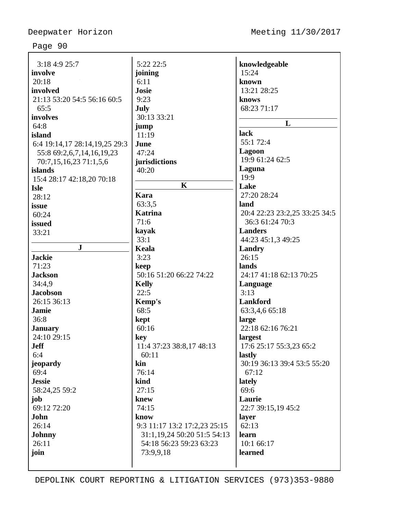| 3:18 4:9 25:7                 | 5:22 22:5                        | knowledgeable                 |
|-------------------------------|----------------------------------|-------------------------------|
| involve                       | joining                          | 15:24                         |
| 20:18                         | 6:11                             | known                         |
| involved                      | <b>Josie</b>                     | 13:21 28:25                   |
| 21:13 53:20 54:5 56:16 60:5   | 9:23                             | knows                         |
| 65:5                          | July                             | 68:23 71:17                   |
| involves                      | 30:13 33:21                      |                               |
| 64:8                          | jump                             | L                             |
| island                        | 11:19                            | lack                          |
| 6:4 19:14,17 28:14,19,25 29:3 | June                             | 55:1 72:4                     |
| 55:8 69:2,6,7,14,16,19,23     | 47:24                            | Lagoon                        |
| 70:7,15,16,23 71:1,5,6        | jurisdictions                    | 19:9 61:24 62:5               |
| islands                       | 40:20                            | Laguna                        |
| 15:4 28:17 42:18,20 70:18     |                                  | 19:9                          |
| <b>Isle</b>                   | $\mathbf K$                      | Lake                          |
| 28:12                         | <b>Kara</b>                      | 27:20 28:24                   |
| issue                         | 63:3,5                           | land                          |
| 60:24                         | <b>Katrina</b>                   | 20:4 22:23 23:2,25 33:25 34:5 |
| issued                        | 71:6                             | 36:3 61:24 70:3               |
| 33:21                         | kayak                            | <b>Landers</b>                |
|                               | 33:1                             | 44:23 45:1,3 49:25            |
| $\mathbf{J}$                  | Keala                            | <b>Landry</b>                 |
| <b>Jackie</b>                 | 3:23                             | 26:15                         |
| 71:23                         | keep                             | lands                         |
| <b>Jackson</b>                | 50:16 51:20 66:22 74:22          | 24:17 41:18 62:13 70:25       |
| 34:4,9                        | <b>Kelly</b>                     | Language                      |
| <b>Jacobson</b>               | 22:5                             | 3:13                          |
| 26:15 36:13                   | Kemp's                           | Lankford                      |
| <b>Jamie</b>                  | 68:5                             | 63:3,4,6 65:18                |
| 36:8                          | kept                             | large                         |
| <b>January</b>                | 60:16                            | 22:18 62:16 76:21             |
| 24:10 29:15                   | key                              | largest                       |
| <b>Jeff</b>                   | 11:4 37:23 38:8,17 48:13         | 17:6 25:17 55:3,23 65:2       |
| 6:4                           | 60:11                            | lastly                        |
| jeopardy                      | kin                              | 30:19 36:13 39:4 53:5 55:20   |
| 69:4                          | 76:14                            | 67:12                         |
| <b>Jessie</b>                 | kind                             | lately                        |
| 58:24,25 59:2                 | 27:15                            | 69:6                          |
| job                           | knew                             | Laurie                        |
| 69:12 72:20                   | 74:15                            | 22:7 39:15,19 45:2            |
| John                          | know                             | layer                         |
| 26:14                         | 9:3 11:17 13:2 17:2,23 25:15     | 62:13                         |
| <b>Johnny</b>                 | 31:1, 19, 24 50: 20 51: 5 54: 13 | learn                         |
| 26:11                         | 54:18 56:23 59:23 63:23          | 10:1 66:17                    |
| join                          | 73:9,9,18                        | learned                       |
|                               |                                  |                               |
|                               |                                  |                               |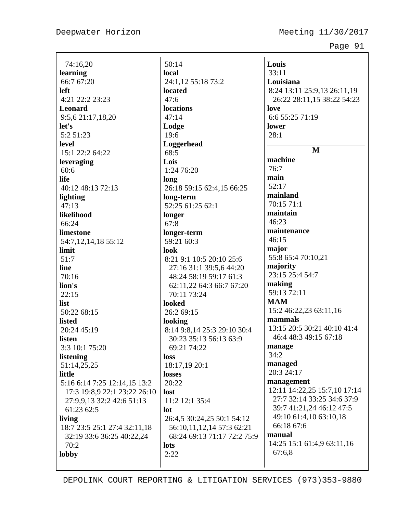Deepwater Horizon Meeting 11/30/2017

Page 91

74:16,20 **learning** 66:7 67:20 **left** 4:21 22:2 23:23 **Leonard** 9:5,6 21:17,18,20 **let's** 5:2 51:23 **level** 15:1 22:2 64:22 **leveraging** 60:6 **life** 40:12 48:13 72:13 **lighting** 47:13 **likelihood** 66:24 **limestone** 54:7,12,14,18 55:12 **limit** 51:7 **line** 70:16 **lion's** 22:15 **list** 50:22 68:15 **listed**  $20:24$  45:19 **listen** 3:3 10:1 75:20 **listening** 51:14,25,25 **little** 5:16 6:14 7:25 12:14,15 13:2 17:3 19:8,9 22:1 23:22 26:10 27:9,9,13 32:2 42:6 51:13 61:23 62:5 **living** 18:7 23:5 25:1 27:4 32:11,18 32:19 33:6 36:25 40:22,24 70:2 **lobby**

50:14 **local** 24:1,12 55:18 73:2 **located** 47:6 **locations** 47:14 **Lodge** 19:6 **Loggerhead** 68:5 **Lois** 1:24 76:20 **long** 26:18 59:15 62:4,15 66:25 **long-term** 52:25 61:25 62:1 **longer** 67:8 **longer-term** 59:21 60:3 **look** 8:21 9:1 10:5 20:10 25:6 27:16 31:1 39:5,6 44:20 48:24 58:19 59:17 61:3 62:11,22 64:3 66:7 67:20 70:11 73:24 **looked** 26:2 69:15 **looking** 8:14 9:8,14 25:3 29:10 30:4 30:23 35:13 56:13 63:9 69:21 74:22 **loss** 18:17,19 20:1 **losses** 20:22 **lost** 11:2 12:1 35:4 **lot** 26:4,5 30:24,25 50:1 54:12 56:10,11,12,14 57:3 62:21 68:24 69:13 71:17 72:2 75:9 **lots** 2:22

**Louis** 33:11 **Louisiana** 8:24 13:11 25:9,13 26:11,19 26:22 28:11,15 38:22 54:23 **love** 6:6 55:25 71:19 **lower** 28:1 **M machine** 76:7 **main** 52:17 **mainland** 70:15 71:1 **maintain** 46:23 **maintenance** 46:15 **major** 55:8 65:4 70:10,21 **majority** 23:15 25:4 54:7 **making** 59:13 72:11 **MAM** 15:2 46:22,23 63:11,16 **mammals** 13:15 20:5 30:21 40:10 41:4 46:4 48:3 49:15 67:18 **manage** 34:2 **managed** 20:3 24:17 **management** 12:11 14:22,25 15:7,10 17:14 27:7 32:14 33:25 34:6 37:9 39:7 41:21,24 46:12 47:5 49:10 61:4,10 63:10,18 66:18 67:6 **manual** 14:25 15:1 61:4,9 63:11,16 67:6,8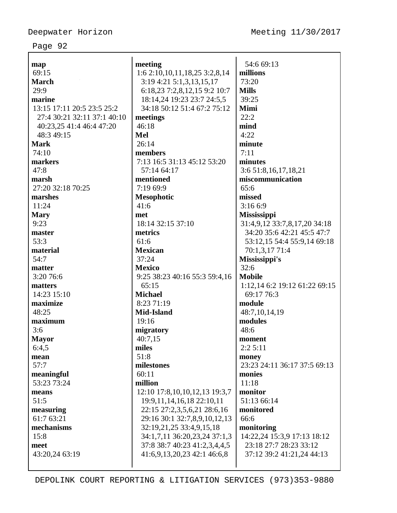| map                         | meeting                             | 54:6 69:13                    |
|-----------------------------|-------------------------------------|-------------------------------|
| 69:15                       | 1:6 2:10, 10, 11, 18, 25 3:2, 8, 14 | millions                      |
| <b>March</b>                | 3:19 4:21 5:1,3,13,15,17            | 73:20                         |
| 29:9                        | 6:18,23 7:2,8,12,15 9:2 10:7        | <b>Mills</b>                  |
| marine                      | 18:14,24 19:23 23:7 24:5,5          | 39:25                         |
| 13:15 17:11 20:5 23:5 25:2  | 34:18 50:12 51:4 67:2 75:12         | Mimi                          |
| 27:4 30:21 32:11 37:1 40:10 | meetings                            | 22:2                          |
| 40:23,25 41:4 46:4 47:20    | 46:18                               | mind                          |
| 48:3 49:15                  | Mel                                 | 4:22                          |
| <b>Mark</b>                 | 26:14                               | minute                        |
| 74:10                       | members                             | 7:11                          |
| markers                     | 7:13 16:5 31:13 45:12 53:20         | minutes                       |
| 47:8                        | 57:14 64:17                         | 3:6 51:8,16,17,18,21          |
| marsh                       | mentioned                           | miscommunication              |
| 27:20 32:18 70:25           | 7:19 69:9                           | 65:6                          |
| marshes                     | <b>Mesophotic</b>                   | missed                        |
| 11:24                       | 41:6                                | 3:166:9                       |
| <b>Mary</b>                 | met                                 | <b>Mississippi</b>            |
| 9:23                        | 18:14 32:15 37:10                   | 31:4,9,12 33:7,8,17,20 34:18  |
| master                      | metrics                             | 34:20 35:6 42:21 45:5 47:7    |
| 53:3                        | 61:6                                | 53:12,15 54:4 55:9,14 69:18   |
| material                    | <b>Mexican</b>                      | 70:1,3,17 71:4                |
| 54:7                        | 37:24                               | Mississippi's                 |
| matter                      | <b>Mexico</b>                       | 32:6                          |
| 3:20 76:6                   | 9:25 38:23 40:16 55:3 59:4,16       | <b>Mobile</b>                 |
| matters                     | 65:15                               | 1:12,14 6:2 19:12 61:22 69:15 |
| 14:23 15:10                 | <b>Michael</b>                      | 69:17 76:3                    |
| maximize                    | 8:23 71:19                          | module                        |
| 48:25                       | Mid-Island                          | 48:7,10,14,19                 |
| maximum                     | 19:16                               | modules                       |
|                             |                                     | 48:6                          |
| 3:6                         | migratory                           |                               |
| <b>Mayor</b>                | 40:7,15                             | moment                        |
| 6:4,5                       | miles                               | 2:25:11                       |
| mean                        | 51:8                                | money                         |
| 57:7                        | milestones                          | 23:23 24:11 36:17 37:5 69:13  |
| meaningful                  | 60:11                               | monies                        |
| 53:23 73:24                 | million                             | 11:18                         |
| means                       | 12:10 17:8, 10, 10, 12, 13 19:3, 7  | monitor                       |
| 51:5                        | 19:9,11,14,16,18 22:10,11           | 51:13 66:14                   |
| measuring                   | 22:15 27:2,3,5,6,21 28:6,16         | monitored                     |
| 61:7 63:21                  | 29:16 30:1 32:7,8,9,10,12,13        | 66:6                          |
| mechanisms                  | 32:19,21,25 33:4,9,15,18            | monitoring                    |
| 15:8                        | 34:1,7,11 36:20,23,24 37:1,3        | 14:22,24 15:3,9 17:13 18:12   |
| meet                        | 37:8 38:7 40:23 41:2,3,4,4,5        | 23:18 27:7 28:23 33:12        |
| 43:20,24 63:19              | 41:6,9,13,20,23 42:1 46:6,8         | 37:12 39:2 41:21,24 44:13     |
|                             |                                     |                               |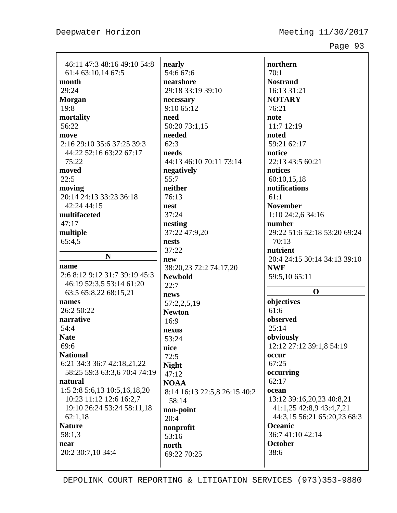| 46:11 47:3 48:16 49:10 54:8<br>61:4 63:10,14 67:5<br>month<br>29:24<br><b>Morgan</b><br>19:8<br>mortality<br>56:22<br>move<br>2:16 29:10 35:6 37:25 39:3<br>44:22 52:16 63:22 67:17<br>75:22<br>moved<br>22:5<br>moving<br>20:14 24:13 33:23 36:18<br>42:24 44:15<br>multifaceted<br>47:17<br>multiple<br>65:4,5<br>N<br>name<br>2:6 8:12 9:12 31:7 39:19 45:3<br>46:19 52:3,5 53:14 61:20<br>63:5 65:8,22 68:15,21<br>names<br>26:2 50:22<br>narrative<br>54:4<br><b>Nate</b><br>69:6<br><b>National</b><br>6:21 34:3 36:7 42:18,21,22<br>58:25 59:3 63:3,6 70:4 74:19<br>natural<br>1:5 2:8 5:6,13 10:5,16,18,20<br>10:23 11:12 12:6 16:2,7<br>19:10 26:24 53:24 58:11,18<br>62:1,18<br><b>Nature</b><br>58:1,3<br>near | nearly<br>54:6 67:6<br>nearshore<br>29:18 33:19 39:10<br>necessary<br>9:10 65:12<br>need<br>50:20 73:1,15<br>needed<br>62:3<br>needs<br>44:13 46:10 70:11 73:14<br>negatively<br>55:7<br>neither<br>76:13<br>nest<br>37:24<br>nesting<br>37:22 47:9,20<br>nests<br>37:22<br>new<br>38:20,23 72:2 74:17,20<br><b>Newbold</b><br>22:7<br>news<br>57:2,2,5,19<br><b>Newton</b><br>16:9<br>nexus<br>53:24<br>nice<br>72:5<br><b>Night</b><br>47:12<br><b>NOAA</b><br>8:14 16:13 22:5,8 26:15 40:2<br>58:14<br>non-point<br>20:4<br>nonprofit<br>53:16 |
|---------------------------------------------------------------------------------------------------------------------------------------------------------------------------------------------------------------------------------------------------------------------------------------------------------------------------------------------------------------------------------------------------------------------------------------------------------------------------------------------------------------------------------------------------------------------------------------------------------------------------------------------------------------------------------------------------------------------------|---------------------------------------------------------------------------------------------------------------------------------------------------------------------------------------------------------------------------------------------------------------------------------------------------------------------------------------------------------------------------------------------------------------------------------------------------------------------------------------------------------------------------------------------------|
| 20:2 30:7,10 34:4                                                                                                                                                                                                                                                                                                                                                                                                                                                                                                                                                                                                                                                                                                         | north<br>69:22 70:25                                                                                                                                                                                                                                                                                                                                                                                                                                                                                                                              |
|                                                                                                                                                                                                                                                                                                                                                                                                                                                                                                                                                                                                                                                                                                                           |                                                                                                                                                                                                                                                                                                                                                                                                                                                                                                                                                   |

**northern** 70:1 **Nostrand** 16:13 31:21 **NOTARY** 76:21 **note** 11:7 12:19 **noted** 59:21 62:17 **notice** 22:13 43:5 60:21 **notices** 60:10,15,18 **notifications** 61:1 **November** 1:10 24:2,6 34:16 **number** 29:22 51:6 52:18 53:20 69:24 70:13 **nutrient** 20:4 24:15 30:14 34:13 39:10 **NWF** 59:5,10 65:11 **O objectives** 61:6 **observed** 25:14 **obviously** 12:12 27:12 39:1,8 54:19 **occur** 67:25 **occurring**

62:17 **ocean** 13:12 39:16,20,23 40:8,21 41:1,25 42:8,9 43:4,7,21 44:3,15 56:21 65:20,23 68:3 **Oceanic** 36:7 41:10 42:14 **October** 38:6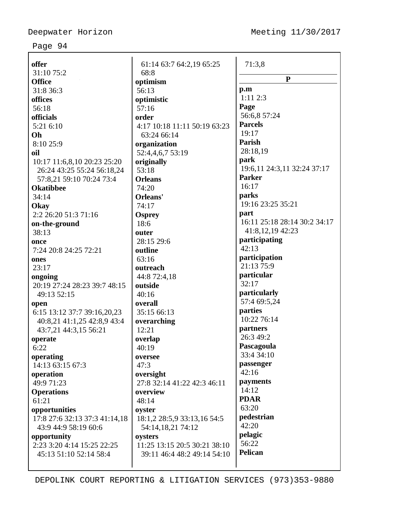$\overline{\phantom{a}}$ 

## Page 94

| offer                         | 61:14 63:7 64:2,19 65:25     | 71:3,8                       |
|-------------------------------|------------------------------|------------------------------|
| 31:10 75:2                    | 68:8                         | ${\bf P}$                    |
| <b>Office</b>                 | optimism                     |                              |
| 31:8 36:3                     | 56:13                        | p.m                          |
| offices                       | optimistic                   | 1:112:3                      |
| 56:18                         | 57:16                        | Page                         |
| officials                     | order                        | 56:6,8 57:24                 |
| 5:21 6:10                     | 4:17 10:18 11:11 50:19 63:23 | <b>Parcels</b>               |
| Oh                            | 63:24 66:14                  | 19:17                        |
| 8:10 25:9                     | organization                 | Parish                       |
| oil                           | 52:4,4,6,7 53:19             | 28:18,19                     |
| 10:17 11:6,8,10 20:23 25:20   | originally                   | park                         |
| 26:24 43:25 55:24 56:18,24    | 53:18                        | 19:6,11 24:3,11 32:24 37:17  |
| 57:8,21 59:10 70:24 73:4      | <b>Orleans</b>               | <b>Parker</b>                |
| <b>Okatibbee</b>              | 74:20                        | 16:17                        |
| 34:14                         | Orleans'                     | parks                        |
| Okay                          | 74:17                        | 19:16 23:25 35:21            |
| 2:2 26:20 51:3 71:16          | <b>Osprey</b>                | part                         |
| on-the-ground                 | 18:6                         | 16:11 25:18 28:14 30:2 34:17 |
| 38:13                         | outer                        | 41:8,12,19 42:23             |
| once                          | 28:15 29:6                   | participating                |
| 7:24 20:8 24:25 72:21         | outline                      | 42:13                        |
| ones                          | 63:16                        | participation                |
| 23:17                         | outreach                     | 21:13 75:9                   |
| ongoing                       | 44:8 72:4,18                 | particular                   |
| 20:19 27:24 28:23 39:7 48:15  | outside                      | 32:17                        |
| 49:13 52:15                   | 40:16                        | particularly                 |
| open                          | overall                      | 57:4 69:5,24                 |
| 6:15 13:12 37:7 39:16,20,23   | 35:15 66:13                  | parties                      |
| 40:8,21 41:1,25 42:8,9 43:4   | overarching                  | 10:22 76:14                  |
| 43:7,21 44:3,15 56:21         | 12:21                        | partners                     |
| operate                       | overlap                      | 26:3 49:2                    |
| 6:22                          | 40:19                        | Pascagoula                   |
| operating                     | oversee                      | 33:4 34:10                   |
| 14:13 63:15 67:3              | 47:3                         | passenger                    |
| operation                     | oversight                    | 42:16                        |
| 49:9 71:23                    | 27:8 32:14 41:22 42:3 46:11  | payments                     |
| <b>Operations</b>             | overview                     | 14:12                        |
| 61:21                         | 48:14                        | <b>PDAR</b>                  |
| opportunities                 | oyster                       | 63:20                        |
| 17:8 27:6 32:13 37:3 41:14,18 | 18:1,2 28:5,9 33:13,16 54:5  | pedestrian                   |
| 43:9 44:9 58:19 60:6          | 54:14,18,21 74:12            | 42:20                        |
| opportunity                   | oysters                      | pelagic                      |
| 2:23 3:20 4:14 15:25 22:25    | 11:25 13:15 20:5 30:21 38:10 | 56:22                        |
| 45:13 51:10 52:14 58:4        | 39:11 46:4 48:2 49:14 54:10  | Pelican                      |
|                               |                              |                              |
|                               |                              |                              |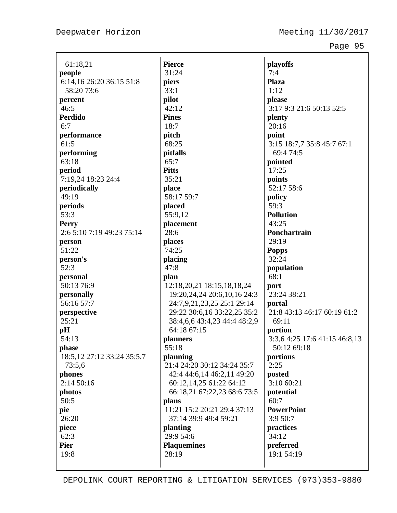| 61:18,21                     | <b>Pierce</b>                | playoffs                      |
|------------------------------|------------------------------|-------------------------------|
| people                       | 31:24                        | 7:4                           |
| 6:14, 16 26:20 36:15 51:8    | piers                        | <b>Plaza</b>                  |
| 58:20 73:6                   | 33:1                         | 1:12                          |
| percent                      | pilot                        | please                        |
| 46:5                         | 42:12                        | 3:17 9:3 21:6 50:13 52:5      |
| Perdido                      | <b>Pines</b>                 | plenty                        |
| 6:7                          | 18:7                         | 20:16                         |
| performance                  | pitch                        | point                         |
| 61:5                         | 68:25                        | 3:15 18:7,7 35:8 45:7 67:1    |
| performing                   | pitfalls                     | 69:4 74:5                     |
| 63:18                        | 65:7                         | pointed                       |
| period                       | <b>Pitts</b>                 | 17:25                         |
| 7:19,24 18:23 24:4           | 35:21                        | points                        |
| periodically                 | place                        | 52:17 58:6                    |
| 49:19                        | 58:17 59:7                   | policy                        |
| periods                      | placed                       | 59:3                          |
| 53:3                         | 55:9,12                      | <b>Pollution</b>              |
| <b>Perry</b>                 | placement                    | 43:25                         |
| 2:6 5:10 7:19 49:23 75:14    | 28:6                         | Ponchartrain                  |
| person                       | places                       | 29:19                         |
| 51:22                        | 74:25                        | <b>Popps</b>                  |
| person's                     | placing                      | 32:24                         |
| 52:3                         | 47:8                         | population                    |
| personal                     | plan                         | 68:1                          |
| 50:13 76:9                   | 12:18,20,21 18:15,18,18,24   | port                          |
| personally                   | 19:20,24,24 20:6,10,16 24:3  | 23:24 38:21                   |
| 56:16 57:7                   | 24:7,9,21,23,25 25:1 29:14   | portal                        |
| perspective                  | 29:22 30:6,16 33:22,25 35:2  | 21:8 43:13 46:17 60:19 61:2   |
| 25:21                        | 38:4,6,6 43:4,23 44:4 48:2,9 | 69:11                         |
| pH                           | 64:18 67:15                  | portion                       |
| 54:13                        | planners                     | 3:3,6 4:25 17:6 41:15 46:8,13 |
| phase                        | 55:18                        | 50:12 69:18                   |
| 18:5, 12 27:12 33:24 35:5, 7 | planning                     | portions                      |
| 73:5,6                       | 21:4 24:20 30:12 34:24 35:7  | 2:25                          |
| phones                       | 42:4 44:6,14 46:2,11 49:20   | posted                        |
| 2:1450:16                    | 60:12,14,25 61:22 64:12      | 3:10 60:21                    |
| photos                       | 66:18,21 67:22,23 68:6 73:5  | potential                     |
| 50:5                         | plans                        | 60:7                          |
| pie                          | 11:21 15:2 20:21 29:4 37:13  | <b>PowerPoint</b>             |
| 26:20                        | 37:14 39:9 49:4 59:21        | 3:9 50:7                      |
| piece                        | planting                     | practices                     |
| 62:3                         | 29:9 54:6                    | 34:12                         |
| <b>Pier</b>                  | <b>Plaquemines</b>           | preferred                     |
| 19:8                         | 28:19                        | 19:1 54:19                    |
|                              |                              |                               |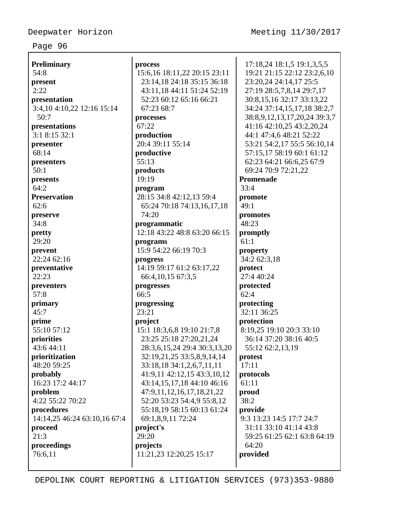| <b>Preliminary</b>           | process                      | 17:18,24 18:1,5 19:1,3,5,5   |
|------------------------------|------------------------------|------------------------------|
| 54:8                         | 15:6,16 18:11,22 20:15 23:11 | 19:21 21:15 22:12 23:2,6,10  |
| present                      | 23:14,18 24:18 35:15 36:18   | 23:20,24 24:14,17 25:5       |
| 2:22                         | 43:11,18 44:11 51:24 52:19   | 27:19 28:5,7,8,14 29:7,17    |
| presentation                 | 52:23 60:12 65:16 66:21      | 30:8,15,16 32:17 33:13,22    |
| 3:4, 10 4:10, 22 12:16 15:14 | 67:23 68:7                   | 34:24 37:14,15,17,18 38:2,7  |
| 50:7                         | processes                    | 38:8,9,12,13,17,20,24 39:3,7 |
| presentations                | 67:22                        | 41:16 42:10,25 43:2,20,24    |
| 3:1 8:15 32:1                | production                   | 44:1 47:4,6 48:21 52:22      |
| presenter                    | 20:4 39:11 55:14             | 53:21 54:2,17 55:5 56:10,14  |
| 68:14                        | productive                   | 57:15,17 58:19 60:1 61:12    |
| presenters                   | 55:13                        | 62:23 64:21 66:6,25 67:9     |
| 50:1                         | products                     | 69:24 70:9 72:21,22          |
| presents                     | 19:19                        | Promenade                    |
| 64:2                         | program                      | 33:4                         |
| <b>Preservation</b>          | 28:15 34:8 42:12,13 59:4     | promote                      |
| 62:6                         | 65:24 70:18 74:13,16,17,18   | 49:1                         |
| preserve                     | 74:20                        | promotes                     |
| 34:8                         | programmatic                 | 48:23                        |
| pretty                       | 12:18 43:22 48:8 63:20 66:15 | promptly                     |
| 29:20                        | programs                     | 61:1                         |
| prevent                      | 15:9 54:22 66:19 70:3        | property                     |
| 22:24 62:16                  | progress                     | 34:2 62:3,18                 |
| preventative                 | 14:19 59:17 61:2 63:17,22    | protect                      |
| 22:23                        | 66:4, 10, 15 67:3, 5         | 27:4 40:24                   |
| preventers                   | progresses                   | protected                    |
| 57:8                         | 66:5                         | 62:4                         |
| primary                      | progressing                  | protecting                   |
| 45:7                         | 23:21                        | 32:11 36:25                  |
| prime                        | project                      | protection                   |
| 55:10 57:12                  | 15:1 18:3,6,8 19:10 21:7,8   | 8:19,25 19:10 20:3 33:10     |
| priorities                   | 23:25 25:18 27:20,21,24      | 36:14 37:20 38:16 40:5       |
| 43:6 44:11                   | 28:3,6,15,24 29:4 30:3,13,20 | 55:12 62:2,13,19             |
| prioritization               | 32:19,21,25 33:5,8,9,14,14   | protest                      |
| 48:20 59:25                  | 33:18,18 34:1,2,6,7,11,11    | 17:11                        |
| probably                     | 41:9,11 42:12,15 43:3,10,12  | protocols                    |
| 16:23 17:2 44:17             | 43:14,15,17,18 44:10 46:16   | 61:11                        |
| problem                      | 47:9,11,12,16,17,18,21,22    | proud                        |
| 4:22 55:22 70:22             | 52:20 53:23 54:4,9 55:8,12   | 38:2                         |
| procedures                   | 55:18,19 58:15 60:13 61:24   | provide                      |
| 14:14,25 46:24 63:10,16 67:4 | 69:1,8,9,11 72:24            | 9:3 13:23 14:5 17:7 24:7     |
| proceed                      | project's                    | 31:11 33:10 41:14 43:8       |
| 21:3                         | 29:20                        | 59:25 61:25 62:1 63:8 64:19  |
| proceedings                  | projects                     | 64:20                        |
| 76:6,11                      | 11:21,23 12:20,25 15:17      | provided                     |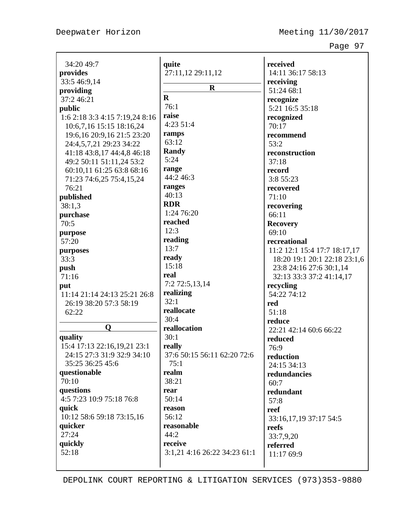| 34:20 49:7                     | quite                        | received                        |
|--------------------------------|------------------------------|---------------------------------|
| provides                       | 27:11,12 29:11,12            | 14:11 36:17 58:13               |
| 33:5 46:9,14                   |                              | receiving                       |
| providing                      | $\mathbf R$                  | 51:24 68:1                      |
| 37:246:21                      | $\mathbf{R}$                 | recognize                       |
| public                         | 76:1                         | 5:21 16:5 35:18                 |
| 1:6 2:18 3:3 4:15 7:19,24 8:16 | raise                        | recognized                      |
| 10:6,7,16 15:15 18:16,24       | 4:23 51:4                    | 70:17                           |
| 19:6, 16 20:9, 16 21:5 23:20   | ramps                        | recommend                       |
| 24:4,5,7,21 29:23 34:22        | 63:12                        | 53:2                            |
| 41:18 43:8,17 44:4,8 46:18     | <b>Randy</b>                 | reconstruction                  |
| 49:2 50:11 51:11,24 53:2       | 5:24                         | 37:18                           |
| 60:10,11 61:25 63:8 68:16      | range                        | record                          |
|                                | 44:2 46:3                    |                                 |
| 71:23 74:6,25 75:4,15,24       | ranges                       | 3:8 55:23                       |
| 76:21                          | 40:13                        | recovered                       |
| published                      | <b>RDR</b>                   | 71:10                           |
| 38:1,3                         | 1:24 76:20                   | recovering                      |
| purchase                       | reached                      | 66:11                           |
| 70:5                           |                              | <b>Recovery</b>                 |
| purpose                        | 12:3                         | 69:10                           |
| 57:20                          | reading                      | recreational                    |
| purposes                       | 13:7                         | 11:2 12:1 15:4 17:7 18:17,17    |
| 33:3                           | ready                        | 18:20 19:1 20:1 22:18 23:1,6    |
| push                           | 15:18                        | 23:8 24:16 27:6 30:1,14         |
| 71:16                          | real                         | 32:13 33:3 37:2 41:14,17        |
| put                            | 7:2 72:5,13,14               | recycling                       |
| 11:14 21:14 24:13 25:21 26:8   | realizing                    | 54:22 74:12                     |
| 26:19 38:20 57:3 58:19         | 32:1                         | red                             |
| 62:22                          | reallocate                   | 51:18                           |
|                                | 30:4                         | reduce                          |
| $\mathbf 0$                    | reallocation                 | 22:21 42:14 60:6 66:22          |
| quality                        | 30:1                         | reduced                         |
| 15:4 17:13 22:16,19,21 23:1    | really                       | 76:9                            |
| 24:15 27:3 31:9 32:9 34:10     | 37:6 50:15 56:11 62:20 72:6  | reduction                       |
| 35:25 36:25 45:6               | 75:1                         | 24:15 34:13                     |
| questionable                   | realm                        | redundancies                    |
| 70:10                          | 38:21                        | 60:7                            |
| questions                      | rear                         | redundant                       |
| 4:5 7:23 10:9 75:18 76:8       | 50:14                        | 57:8                            |
| quick                          | reason                       | reef                            |
| 10:12 58:6 59:18 73:15,16      | 56:12                        |                                 |
| quicker                        | reasonable                   | 33:16,17,19 37:17 54:5<br>reefs |
| 27:24                          | 44:2                         |                                 |
| quickly                        | receive                      | 33:7,9,20                       |
| 52:18                          | 3:1,21 4:16 26:22 34:23 61:1 | referred                        |
|                                |                              | 11:17 69:9                      |
|                                |                              |                                 |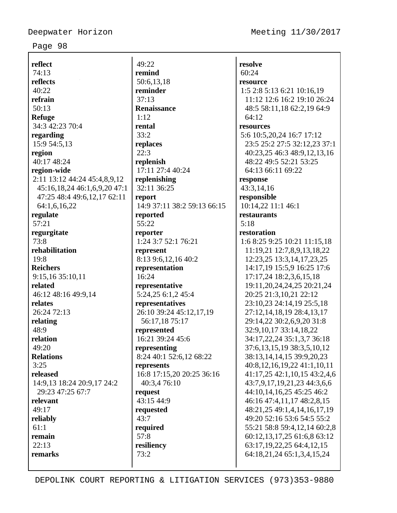**reflect** 74:13 **reflects** 40:22 **refrain**  $50:13$ **Refuge** 34:3 42:23 70:4 **regarding** 15:9 54:5,13 **region** 40:17 48:24 **region-wide** 2:11 13:12 44:24 45:4,8,9,12 45:16,18,24 46:1,6,9,20 47:1 47:25 48:4 49:6,12,17 62:11 64:1,6,16,22 **regulate** 57:21 **regurgitate** 73:8 **rehabilitation** 19:8 **Reichers** 9:15,16 35:10,11 **related** 46:12 48:16 49:9,14 **relates** 26:24 72:13 **relating** 48:9 **relation**  $49.20$ **Relations** 3:25 **released** 14:9,13 18:24 20:9,17 24:2 29:23 47:25 67:7 **relevant** 49:17 **reliably** 61:1 **remain** 22:13 **remarks**

49:22 **remind** 50:6,13,18 **reminder** 37:13 **Renaissance** 1:12 **rental** 33:2 **replaces** 22:3 **replenish** 17:11 27:4 40:24 **replenishing** 32:11 36:25 **report** 14:9 37:11 38:2 59:13 66:15 **reported** 55:22 **reporter** 1:24 3:7 52:1 76:21 **represent** 8:13 9:6,12,16 40:2 **representation** 16:24 **representative** 5:24,25 6:1,2 45:4 **representatives** 26:10 39:24 45:12,17,19 56:17,18 75:17 **represented** 16:21 39:24 45:6 **representing** 8:24 40:1 52:6,12 68:22 **represents** 16:8 17:15,20 20:25 36:16 40:3,4 76:10 **request** 43:15 44:9 **requested** 43:7 **required** 57:8 **resiliency** 73:2

**resolve** 60:24 **resource** 1:5 2:8 5:13 6:21 10:16,19 11:12 12:6 16:2 19:10 26:24 48:5 58:11,18 62:2,19 64:9 64:12 **resources** 5:6 10:5,20,24 16:7 17:12 23:5 25:2 27:5 32:12,23 37:1 40:23,25 46:3 48:9,12,13,16 48:22 49:5 52:21 53:25 64:13 66:11 69:22 **response** 43:3,14,16 **responsible** 10:14,22 11:1 46:1 **restaurants** 5:18 **restoration** 1:6 8:25 9:25 10:21 11:15,18 11:19,21 12:7,8,9,13,18,22 12:23,25 13:3,14,17,23,25 14:17,19 15:5,9 16:25 17:6 17:17,24 18:2,3,6,15,18 19:11,20,24,24,25 20:21,24 20:25 21:3,10,21 22:12 23:10,23 24:14,19 25:5,18 27:12,14,18,19 28:4,13,17 29:14,22 30:2,6,9,20 31:8 32:9,10,17 33:14,18,22 34:17,22,24 35:1,3,7 36:18 37:6,13,15,19 38:3,5,10,12 38:13,14,14,15 39:9,20,23 40:8,12,16,19,22 41:1,10,11 41:17,25 42:1,10,15 43:2,4,6 43:7,9,17,19,21,23 44:3,6,6 44:10,14,16,25 45:25 46:2 46:16 47:4,11,17 48:2,8,15 48:21,25 49:1,4,14,16,17,19 49:20 52:16 53:6 54:5 55:2 55:21 58:8 59:4,12,14 60:2,8 60:12,13,17,25 61:6,8 63:12 63:17,19,22,25 64:4,12,15 64:18,21,24 65:1,3,4,15,24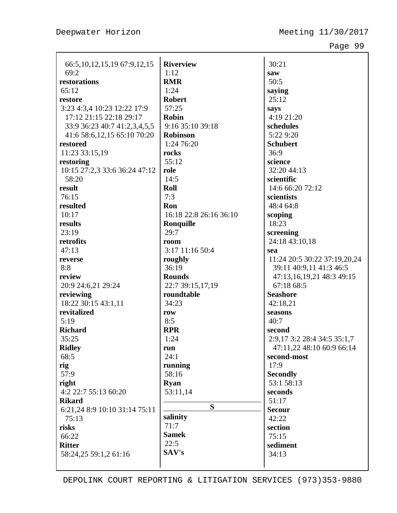| 66:5, 10, 12, 15, 19 67: 9, 12, 15 | <b>Riverview</b>       | 30:21                        |
|------------------------------------|------------------------|------------------------------|
| 69:2                               | 1:12                   | saw                          |
| restorations                       | <b>RMR</b>             | 50:5                         |
| 65:12                              | 1:24                   | saying                       |
| restore                            | <b>Robert</b>          | 25:12                        |
| 3:23 4:3,4 10:23 12:22 17:9        | 57:25                  | says                         |
| 17:12 21:15 22:18 29:17            | <b>Robin</b>           | 4:19 21:20                   |
| 33:9 36:23 40:7 41:2,3,4,5,5       | 9:16 35:10 39:18       | schedules                    |
| 41:6 58:6, 12, 15 65:10 70:20      | <b>Robinson</b>        | 5:22 9:20                    |
| restored                           | 1:24 76:20             | <b>Schubert</b>              |
| 11:23 33:15,19                     | rocks                  | 36:9                         |
| restoring                          | 55:12                  | science                      |
| 10:15 27:2,3 33:6 36:24 47:12      | role                   | 32:20 44:13                  |
| 58:20                              | 14:5                   | scientific                   |
| result                             | Roll                   | 14:6 66:20 72:12             |
| 76:15                              | 7:3                    | scientists                   |
| resulted                           | Ron                    | 48:4 64:8                    |
| 10:17                              | 16:18 22:8 26:16 36:10 | scoping                      |
| results                            | Ronquille              | 18:23                        |
| 23:19                              | 29:7                   | screening                    |
| retrofits                          | room                   | 24:18 43:10,18               |
| 47:13                              | 3:17 11:16 50:4        | sea                          |
| reverse                            | roughly                | 11:24 20:5 30:22 37:19,20,24 |
| 8:8                                | 36:19                  | 39:11 40:9,11 41:3 46:5      |
| review                             | <b>Rounds</b>          | 47:13,16,19,21 48:3 49:15    |
| 20:9 24:6,21 29:24                 | 22:7 39:15,17,19       | 67:18 68:5                   |
| reviewing                          | roundtable             | <b>Seashore</b>              |
| 18:22 30:15 43:1,11                | 34:23                  | 42:18,21                     |
| revitalized                        | row                    | seasons                      |
| 5:19                               | 8:5                    | 40:7                         |
| <b>Richard</b>                     | <b>RPR</b>             | second                       |
| 35:25                              | 1:24                   | 2:9,17 3:2 28:4 34:5 35:1,7  |
| <b>Ridley</b>                      | run                    | 47:11,22 48:10 60:9 66:14    |
| 68:5                               | 24:1                   | second-most                  |
| rig                                | running                | 17:9                         |
| 57:9                               | 58:16                  | <b>Secondly</b>              |
| right                              | <b>Ryan</b>            | 53:1 58:13                   |
| 4:2 22:7 55:13 60:20               | 53:11,14               | seconds                      |
| <b>Rikard</b>                      |                        | 51:17                        |
| 6:21,24 8:9 10:10 31:14 75:11      | S                      | <b>Secour</b>                |
| 75:13                              | salinity               | 42:22                        |
| risks                              | 71:7                   | section                      |
| 66:22                              | <b>Samek</b>           | 75:15                        |
| <b>Ritter</b>                      | 22:5                   | sediment                     |
| 58:24,25 59:1,2 61:16              | SAV's                  | 34:13                        |
|                                    |                        |                              |
|                                    |                        |                              |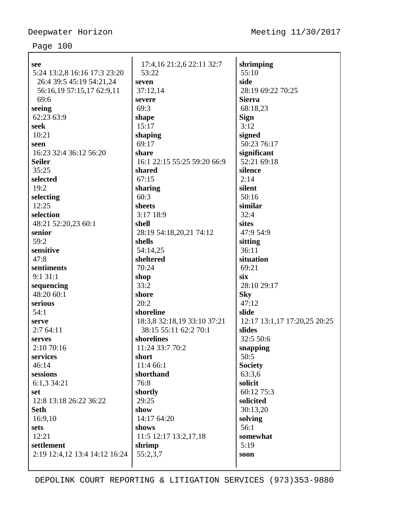| see                           | 17:4,16 21:2,6 22:11 32:7   | shrimping                    |
|-------------------------------|-----------------------------|------------------------------|
| 5:24 13:2,8 16:16 17:3 23:20  | 53:22                       | 55:10                        |
| 26:4 39:5 45:19 54:21,24      | seven                       | side                         |
| 56:16,19 57:15,17 62:9,11     | 37:12,14                    | 28:19 69:22 70:25            |
| 69:6                          | severe                      | <b>Sierra</b>                |
| seeing                        | 69:3                        | 68:18,23                     |
| 62:23 63:9                    | shape                       | <b>Sign</b>                  |
| seek                          | 15:17                       | 3:12                         |
| 10:21                         | shaping                     | signed                       |
| seen                          | 69:17                       | 50:23 76:17                  |
| 16:23 32:4 36:12 56:20        | share                       | significant                  |
| <b>Seiler</b>                 | 16:1 22:15 55:25 59:20 66:9 | 52:21 69:18                  |
| 35:25                         | shared                      | silence                      |
| selected                      | 67:15                       | 2:14                         |
| 19:2                          | sharing                     | silent                       |
| selecting                     | 60:3                        | 50:16                        |
| 12:25                         | sheets                      | similar                      |
| selection                     | 3:17 18:9                   | 32:4                         |
| 48:21 52:20,23 60:1           | shell                       | sites                        |
| senior                        | 28:19 54:18,20,21 74:12     | 47:9 54:9                    |
| 59:2                          | shells                      | sitting                      |
| sensitive                     | 54:14,25                    | 36:11                        |
| 47:8                          | sheltered                   | situation                    |
| sentiments                    | 70:24                       | 69:21                        |
| 9:131:1                       | shop                        | six                          |
| sequencing                    | 33:2                        | 28:10 29:17                  |
| 48:20 60:1                    | shore                       | <b>Sky</b>                   |
| serious                       | 20:2                        | 47:12                        |
| 54:1                          | shoreline                   | slide                        |
| serve                         | 18:3,8 32:18,19 33:10 37:21 | 12:17 13:1,17 17:20,25 20:25 |
| 2:764:11                      | 38:15 55:11 62:2 70:1       | slides                       |
| serves                        | shorelines                  | 32:5 50:6                    |
| 2:10 70:16                    | 11:24 33:7 70:2             | snapping                     |
| services                      | short                       | 50:5                         |
| 46:14                         | 11:4 66:1                   | <b>Society</b>               |
| sessions                      | shorthand                   | 63:3.6                       |
| 6:1,3 34:21                   | 76:8                        | solicit                      |
| set                           | shortly                     | 60:12 75:3                   |
| 12:8 13:18 26:22 36:22        | 29:25                       | solicited                    |
| <b>Seth</b>                   | show                        | 30:13,20                     |
| 16:9,10                       | 14:17 64:20                 | solving                      |
| sets                          | shows                       | 56:1                         |
| 12:21                         | 11:5 12:17 13:2,17,18       | somewhat                     |
| settlement                    | shrimp                      | 5:19                         |
| 2:19 12:4,12 13:4 14:12 16:24 | 55:2,3,7                    | soon                         |
|                               |                             |                              |
|                               |                             |                              |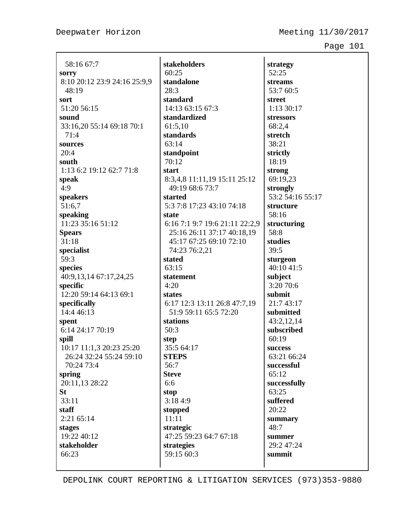Deepwater Horizon Meeting 11/30/2017

**strategy**

Page 101

| 58:16 67:7                                          |
|-----------------------------------------------------|
| sorry                                               |
| 8:10 20:12 23:9 24:16 25:9,9                        |
| 48:19                                               |
| sort                                                |
| 51:20 56:15                                         |
| sound                                               |
| 33:16,20 55:14 69:18 70:1                           |
| 71:4                                                |
| sources                                             |
| 20:4                                                |
| south                                               |
| 1:13 6:2 19:12 62:7 71:8                            |
| speak                                               |
| 4:9                                                 |
| speakers                                            |
| 51:6,7                                              |
| speaking                                            |
| 11:23 35:16 51:12                                   |
| <b>Spears</b>                                       |
| 31:18                                               |
| specialist                                          |
| 59:3                                                |
| species                                             |
| 40:9,13,14 67:17,24,25                              |
| specific                                            |
| 12:20 59:14 64:13 69:1                              |
| specifically                                        |
| 14:4 46:13                                          |
| spent                                               |
| 6:14 24:17 70:19                                    |
| spill                                               |
| 10:17 11:1,3 20:23 25:20<br>26:24 32:24 55:24 59:10 |
| 70:24 73:4                                          |
| spring                                              |
| 20:11,13 28:22                                      |
| St                                                  |
| 33:11                                               |
| staff                                               |
| 2:21 65:14                                          |
| stages                                              |
| 19:22 40:12                                         |
| stakeholder                                         |
| 66:23                                               |
|                                                     |

**stakeholders** 60:25 **standalone** 28:3 **standard** 14:13 63:15 67:3 **standardized** 61:5,10 **standards** 63:14 **standpoint** 70:12 **start** 8:3,4,8 11:11,19 15:11 25:12 49:19 68:6 73:7 **started** 5:3 7:8 17:23 43:10 74:18 **state** 6:16 7:1 9:7 19:6 21:11 22:2,9 25:16 26:11 37:17 40:18,19 45:17 67:25 69:10 72:10 74:23 76:2,21 **stated** 63:15 **statement** 4:20 **states** 6:17 12:3 13:11 26:8 47:7,19 51:9 59:11 65:5 72:20 **stations** 50:3 **step** 35:5 64:17 **STEPS** 56:7 **Steve** 6:6 **stop** 3:18 4:9 **stopped** 11:11 **strategic** 47:25 59:23 64:7 67:18 **strategies** 59:15 60:3

52:25 **streams** 53:7 60:5 **street** 1:13 30:17 **stressors** 68:2,4 **stretch** 38:21 **strictly** 18:19 **strong** 69:19,23 **strongly** 53:2 54:16 55:17 **structure** 58:16 **structuring** 58:8 **studies** 39:5 **sturgeon** 40:10 41:5 **subject** 3:20 70:6 **submit** 21:7 43:17 **submitted** 43:2,12,14 **subscribed** 60:19 **success** 63:21 66:24 **successful** 65:12 **successfully** 63:25 **suffered** 20:22 **summary** 48:7 **summer** 29:2 47:24 **summit**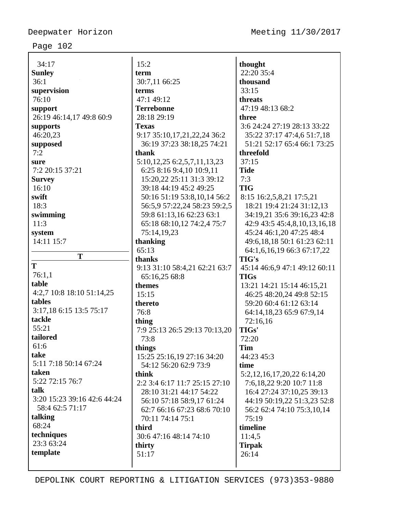| 34:17                       | 15:2                                | thought                           |
|-----------------------------|-------------------------------------|-----------------------------------|
| <b>Sunley</b>               | term                                | 22:20 35:4                        |
| 36:1                        | 30:7,11 66:25                       | thousand                          |
| supervision                 | terms                               | 33:15                             |
| 76:10                       | 47:1 49:12                          | threats                           |
| support                     | <b>Terrebonne</b>                   | 47:19 48:13 68:2                  |
| 26:19 46:14,17 49:8 60:9    | 28:18 29:19                         | three                             |
| supports                    | <b>Texas</b>                        | 3:6 24:24 27:19 28:13 33:22       |
| 46:20,23                    | 9:17 35:10,17,21,22,24 36:2         | 35:22 37:17 47:4,6 51:7,18        |
| supposed                    | 36:19 37:23 38:18,25 74:21          | 51:21 52:17 65:4 66:1 73:25       |
| 7:2                         | thank                               | threefold                         |
| sure                        | 5:10, 12, 25 6: 2, 5, 7, 11, 13, 23 | 37:15                             |
| 7:2 20:15 37:21             | 6:25 8:16 9:4,10 10:9,11            | <b>Tide</b>                       |
| <b>Survey</b>               | 15:20,22 25:11 31:3 39:12           | 7:3                               |
| 16:10                       | 39:18 44:19 45:2 49:25              | <b>TIG</b>                        |
| swift                       | 50:16 51:19 53:8,10,14 56:2         | 8:15 16:2,5,8,21 17:5,21          |
| 18:3                        | 56:5,9 57:22,24 58:23 59:2,5        | 18:21 19:4 21:24 31:12,13         |
| swimming                    | 59:8 61:13,16 62:23 63:1            | 34:19,21 35:6 39:16,23 42:8       |
| 11:3                        | 65:18 68:10,12 74:2,4 75:7          | 42:9 43:5 45:4,8,10,13,16,18      |
| system                      | 75:14,19,23                         | 45:24 46:1,20 47:25 48:4          |
| 14:11 15:7                  | thanking                            | 49:6,18,18 50:1 61:23 62:11       |
|                             | 65:13                               | 64:1,6,16,19 66:3 67:17,22        |
| T                           | thanks                              | <b>TIG's</b>                      |
| T                           | 9:13 31:10 58:4,21 62:21 63:7       | 45:14 46:6,9 47:1 49:12 60:11     |
| 76:1,1                      | 65:16,25 68:8                       | <b>TIGs</b>                       |
| table                       | themes                              | 13:21 14:21 15:14 46:15,21        |
| 4:2,7 10:8 18:10 51:14,25   | 15:15                               | 46:25 48:20,24 49:8 52:15         |
| tables                      | thereto                             | 59:20 60:4 61:12 63:14            |
| 3:17,18 6:15 13:5 75:17     | 76:8                                | 64:14,18,23 65:9 67:9,14          |
| tackle                      | thing                               | 72:16,16                          |
| 55:21                       | 7:9 25:13 26:5 29:13 70:13,20       | TIGs'                             |
| tailored                    | 73:8                                | 72:20                             |
| 61:6                        | things                              | <b>Tim</b>                        |
| take                        | 15:25 25:16,19 27:16 34:20          | 44:23 45:3                        |
| 5:11 7:18 50:14 67:24       | 54:12 56:20 62:9 73:9               | time                              |
| taken                       | think                               | 5:2, 12, 16, 17, 20, 22 6: 14, 20 |
| 5:22 72:15 76:7             | 2:2 3:4 6:17 11:7 25:15 27:10       | 7:6, 18, 22 9: 20 10: 7 11: 8     |
| talk                        | 28:10 31:21 44:17 54:22             | 16:4 27:24 37:10,25 39:13         |
| 3:20 15:23 39:16 42:6 44:24 | 56:10 57:18 58:9,17 61:24           | 44:19 50:19,22 51:3,23 52:8       |
| 58:4 62:5 71:17             | 62:7 66:16 67:23 68:6 70:10         | 56:2 62:4 74:10 75:3,10,14        |
| talking                     | 70:11 74:14 75:1                    | 75:19                             |
| 68:24                       | third                               | timeline                          |
| techniques                  | 30:6 47:16 48:14 74:10              | 11:4,5                            |
| 23:3 63:24                  | thirty                              | <b>Tirpak</b>                     |
| template                    | 51:17                               | 26:14                             |
|                             |                                     |                                   |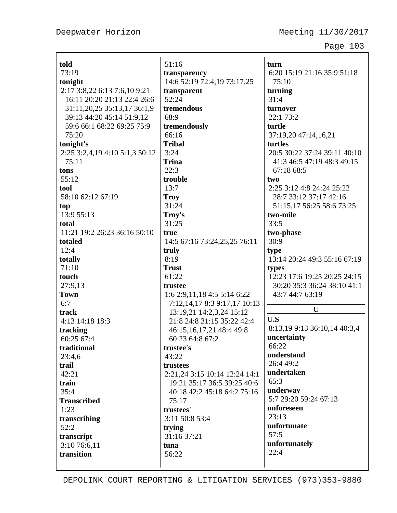| told                                   | 51:16                                                                          | turn                                                                           |
|----------------------------------------|--------------------------------------------------------------------------------|--------------------------------------------------------------------------------|
| 73:19                                  | transparency                                                                   | 6:20 15:19 21:16 35:9 51:18                                                    |
| tonight                                | 14:6 52:19 72:4,19 73:17,25                                                    | 75:10                                                                          |
| 2:17 3:8,22 6:13 7:6,10 9:21           | transparent                                                                    | turning                                                                        |
| 16:11 20:20 21:13 22:4 26:6            | 52:24                                                                          | 31:4                                                                           |
| 31:11,20,25 35:13,17 36:1,9            | tremendous                                                                     | turnover                                                                       |
| 39:13 44:20 45:14 51:9,12              | 68:9                                                                           | 22:1 73:2                                                                      |
| 59:6 66:1 68:22 69:25 75:9             | tremendously                                                                   | turtle                                                                         |
| 75:20                                  | 66:16                                                                          | 37:19,20 47:14,16,21                                                           |
| tonight's                              | <b>Tribal</b>                                                                  | turtles                                                                        |
| 2:25 3:2,4,19 4:10 5:1,3 50:12         | 3:24                                                                           | 20:5 30:22 37:24 39:11 40:10                                                   |
| 75:11                                  | <b>Trina</b>                                                                   | 41:3 46:5 47:19 48:3 49:15                                                     |
| tons                                   | 22:3                                                                           | 67:18 68:5                                                                     |
| 55:12                                  | trouble                                                                        | two                                                                            |
| tool                                   | 13:7                                                                           | 2:25 3:12 4:8 24:24 25:22                                                      |
| 58:10 62:12 67:19                      | <b>Troy</b>                                                                    | 28:7 33:12 37:17 42:16                                                         |
| top                                    | 31:24                                                                          | 51:15,17 56:25 58:6 73:25                                                      |
| 13:9 55:13                             | Troy's                                                                         | two-mile                                                                       |
| total                                  | 31:25                                                                          | 33:5                                                                           |
| 11:21 19:2 26:23 36:16 50:10           | true                                                                           | two-phase                                                                      |
| totaled                                | 14:5 67:16 73:24,25,25 76:11                                                   | 30:9                                                                           |
| 12:4                                   | truly                                                                          | type                                                                           |
| totally                                | 8:19                                                                           | 13:14 20:24 49:3 55:16 67:19                                                   |
| 71:10                                  | <b>Trust</b>                                                                   | types                                                                          |
| touch<br>27:9,13<br><b>Town</b><br>6:7 | 61:22<br>trustee<br>1:62:9,11,184:55:146:22<br>7:12, 14, 17 8:3 9:17, 17 10:13 | 12:23 17:6 19:25 20:25 24:15<br>30:20 35:3 36:24 38:10 41:1<br>43:7 44:7 63:19 |
| track                                  | 13:19,21 14:2,3,24 15:12                                                       | U                                                                              |
| 4:13 14:18 18:3                        | 21:8 24:8 31:15 35:22 42:4                                                     | U.S                                                                            |
| tracking                               | 46:15, 16, 17, 21 48:4 49:8                                                    | 8:13,19 9:13 36:10,14 40:3,4                                                   |
| 60:25 67:4                             | 60:23 64:8 67:2                                                                | uncertainty                                                                    |
| traditional                            | trustee's                                                                      | 66:22                                                                          |
| 23:4,6                                 | 43:22                                                                          | understand                                                                     |
| trail                                  | trustees                                                                       | 26:4 49:2                                                                      |
| 42:21                                  | 2:21,24 3:15 10:14 12:24 14:1                                                  | undertaken                                                                     |
| train                                  | 19:21 35:17 36:5 39:25 40:6                                                    | 65:3                                                                           |
| 35:4                                   | 40:18 42:2 45:18 64:2 75:16                                                    | underway                                                                       |
| <b>Transcribed</b>                     | 75:17                                                                          | 5:7 29:20 59:24 67:13                                                          |
| 1:23                                   | trustees'                                                                      | unforeseen                                                                     |
| transcribing                           | 3:11 50:8 53:4                                                                 | 23:13                                                                          |
| 52:2                                   | trying                                                                         | unfortunate                                                                    |
| transcript                             | 31:16 37:21                                                                    | 57:5                                                                           |
| 3:10 76:6,11                           | tuna                                                                           | unfortunately                                                                  |
| transition                             | 56:22                                                                          | 22:4                                                                           |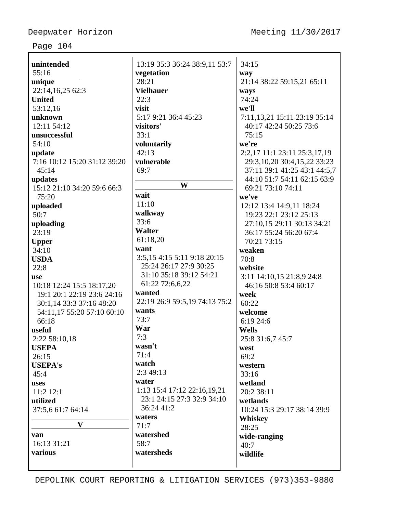| unintended                                                                                                                                                                                                               | 13:19 35:3 36:24 38:9,11 53:7                                                                                                                                                                               | 34:15                                                                                                                                                                                                           |
|--------------------------------------------------------------------------------------------------------------------------------------------------------------------------------------------------------------------------|-------------------------------------------------------------------------------------------------------------------------------------------------------------------------------------------------------------|-----------------------------------------------------------------------------------------------------------------------------------------------------------------------------------------------------------------|
| 55:16                                                                                                                                                                                                                    | vegetation                                                                                                                                                                                                  | way                                                                                                                                                                                                             |
| unique                                                                                                                                                                                                                   | 28:21                                                                                                                                                                                                       | 21:14 38:22 59:15,21 65:11                                                                                                                                                                                      |
| 22:14,16,25 62:3                                                                                                                                                                                                         | <b>Vielhauer</b>                                                                                                                                                                                            | ways                                                                                                                                                                                                            |
| <b>United</b>                                                                                                                                                                                                            | 22:3                                                                                                                                                                                                        | 74:24                                                                                                                                                                                                           |
| 53:12,16                                                                                                                                                                                                                 | visit                                                                                                                                                                                                       | we'll                                                                                                                                                                                                           |
| unknown                                                                                                                                                                                                                  | 5:17 9:21 36:4 45:23                                                                                                                                                                                        | 7:11, 13, 21 15:11 23:19 35:14                                                                                                                                                                                  |
| 12:11 54:12                                                                                                                                                                                                              | visitors'                                                                                                                                                                                                   | 40:17 42:24 50:25 73:6                                                                                                                                                                                          |
| unsuccessful                                                                                                                                                                                                             | 33:1                                                                                                                                                                                                        | 75:15                                                                                                                                                                                                           |
| 54:10                                                                                                                                                                                                                    | voluntarily                                                                                                                                                                                                 | we're                                                                                                                                                                                                           |
| update                                                                                                                                                                                                                   | 42:13                                                                                                                                                                                                       | 2:2,17 11:1 23:11 25:3,17,19                                                                                                                                                                                    |
| 7:16 10:12 15:20 31:12 39:20                                                                                                                                                                                             | vulnerable                                                                                                                                                                                                  | 29:3, 10, 20 30:4, 15, 22 33: 23                                                                                                                                                                                |
| 45:14                                                                                                                                                                                                                    | 69:7                                                                                                                                                                                                        | 37:11 39:1 41:25 43:1 44:5,7                                                                                                                                                                                    |
| updates                                                                                                                                                                                                                  | W                                                                                                                                                                                                           | 44:10 51:7 54:11 62:15 63:9                                                                                                                                                                                     |
| 15:12 21:10 34:20 59:6 66:3                                                                                                                                                                                              | wait                                                                                                                                                                                                        | 69:21 73:10 74:11                                                                                                                                                                                               |
| 75:20                                                                                                                                                                                                                    | 11:10                                                                                                                                                                                                       | we've                                                                                                                                                                                                           |
| uploaded                                                                                                                                                                                                                 | walkway                                                                                                                                                                                                     | 12:12 13:4 14:9,11 18:24                                                                                                                                                                                        |
| 50:7                                                                                                                                                                                                                     | 33:6                                                                                                                                                                                                        | 19:23 22:1 23:12 25:13                                                                                                                                                                                          |
| uploading<br>23:19<br><b>Upper</b><br>34:10<br><b>USDA</b><br>22:8<br><b>use</b><br>10:18 12:24 15:5 18:17,20<br>19:1 20:1 22:19 23:6 24:16<br>30:1,14 33:3 37:16 48:20<br>54:11,17 55:20 57:10 60:10<br>66:18<br>useful | <b>Walter</b><br>61:18,20<br>want<br>3:5,15 4:15 5:11 9:18 20:15<br>25:24 26:17 27:9 30:25<br>31:10 35:18 39:12 54:21<br>61:22 72:6,6,22<br>wanted<br>22:19 26:9 59:5,19 74:13 75:2<br>wants<br>73:7<br>War | 27:10,15 29:11 30:13 34:21<br>36:17 55:24 56:20 67:4<br>70:21 73:15<br>weaken<br>70:8<br>website<br>3:11 14:10,15 21:8,9 24:8<br>46:16 50:8 53:4 60:17<br>week<br>60:22<br>welcome<br>6:19 24:6<br><b>Wells</b> |
| 2:22 58:10,18<br><b>USEPA</b><br>26:15<br><b>USEPA's</b><br>45:4<br>uses<br>11:2 12:1<br>utilized<br>37:5,6 61:7 64:14<br>$\mathbf{V}$<br>van<br>16:13 31:21<br>various                                                  | 7:3<br>wasn't<br>71:4<br>watch<br>2:349:13<br>water<br>1:13 15:4 17:12 22:16,19,21<br>23:1 24:15 27:3 32:9 34:10<br>36:24 41:2<br>waters<br>71:7<br>watershed<br>58:7<br>watersheds                         | 25:8 31:6,7 45:7<br>west<br>69:2<br>western<br>33:16<br>wetland<br>20:2 38:11<br>wetlands<br>10:24 15:3 29:17 38:14 39:9<br><b>Whiskey</b><br>28:25<br>wide-ranging<br>40:7<br>wildlife                         |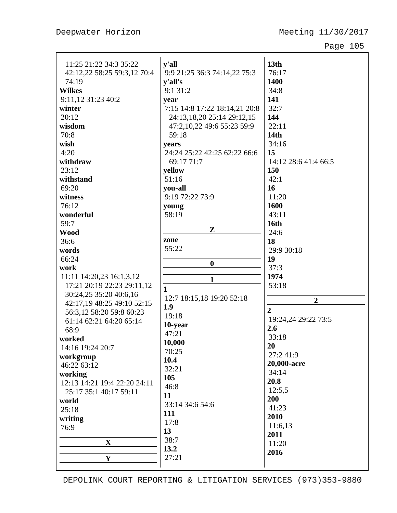| 11:25 21:22 34:3 35:22       | y'all                                                       | 13 <sub>th</sub>     |
|------------------------------|-------------------------------------------------------------|----------------------|
| 42:12,22 58:25 59:3,12 70:4  | 9:9 21:25 36:3 74:14,22 75:3                                | 76:17                |
| 74:19                        | y'all's                                                     | 1400                 |
| <b>Wilkes</b>                | 9:1 31:2                                                    | 34:8                 |
| 9:11,12 31:23 40:2           | year                                                        | 141<br>32:7          |
| winter<br>20:12              | 7:15 14:8 17:22 18:14,21 20:8<br>24:13,18,20 25:14 29:12,15 | 144                  |
| wisdom                       | 47:2,10,22 49:6 55:23 59:9                                  | 22:11                |
| 70:8                         | 59:18                                                       | 14 <sub>th</sub>     |
| wish                         | years                                                       | 34:16                |
| 4:20                         | 24:24 25:22 42:25 62:22 66:6                                | 15                   |
| withdraw                     | 69:17 71:7                                                  | 14:12 28:6 41:4 66:5 |
| 23:12                        | yellow                                                      | 150                  |
| withstand                    | 51:16                                                       | 42:1                 |
| 69:20                        | you-all                                                     | 16                   |
| witness                      | 9:19 72:22 73:9                                             | 11:20                |
| 76:12                        | young                                                       | 1600                 |
| wonderful                    | 58:19                                                       | 43:11                |
| 59:7                         |                                                             | 16th                 |
| <b>Wood</b>                  | Z                                                           | 24:6                 |
| 36:6                         | zone                                                        | 18                   |
| words                        | 55:22                                                       | 29:9 30:18           |
| 66:24                        | $\boldsymbol{0}$                                            | 19                   |
| work                         |                                                             | 37:3                 |
| 11:11 14:20,23 16:1,3,12     | 1                                                           | 1974                 |
| 17:21 20:19 22:23 29:11,12   | $\mathbf{1}$                                                | 53:18                |
| 30:24,25 35:20 40:6,16       | 12:7 18:15,18 19:20 52:18                                   |                      |
| 42:17,19 48:25 49:10 52:15   | 1.9                                                         | $\overline{2}$       |
| 56:3,12 58:20 59:8 60:23     | 19:18                                                       | $\overline{2}$       |
| 61:14 62:21 64:20 65:14      | 10-year                                                     | 19:24,24 29:22 73:5  |
| 68:9                         | 47:21                                                       | 2.6                  |
| worked                       | 10,000                                                      | 33:18                |
| 14:16 19:24 20:7             | 70:25                                                       | 20<br>27:241:9       |
| workgroup                    | 10.4                                                        | 20,000-acre          |
| 46:22 63:12                  | 32:21                                                       | 34:14                |
| working                      | 105                                                         | 20.8                 |
| 12:13 14:21 19:4 22:20 24:11 | 46:8                                                        | 12:5,5               |
| 25:17 35:1 40:17 59:11       | 11                                                          | 200                  |
| world                        | 33:14 34:6 54:6                                             | 41:23                |
| 25:18                        | 111                                                         | 2010                 |
| writing<br>76:9              | 17:8                                                        | 11:6,13              |
|                              | 13                                                          | 2011                 |
| $\mathbf X$                  | 38:7                                                        | 11:20                |
|                              | 13.2                                                        | 2016                 |
| $\mathbf Y$                  | 27:21                                                       |                      |
|                              |                                                             |                      |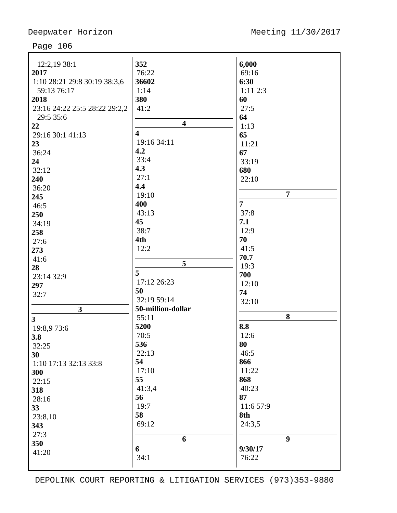| 12:2,19 38:1                  | 352                     | 6,000            |
|-------------------------------|-------------------------|------------------|
| 2017                          | 76:22                   | 69:16            |
| 1:10 28:21 29:8 30:19 38:3,6  | 36602                   | 6:30             |
| 59:13 76:17                   | 1:14                    | $1:11$ $2:3$     |
| 2018                          | 380                     | 60               |
| 23:16 24:22 25:5 28:22 29:2,2 | 41:2                    | 27:5             |
| 29:5 35:6                     |                         | 64               |
| 22                            | $\overline{\mathbf{4}}$ | 1:13             |
| 29:16 30:1 41:13              | $\overline{\mathbf{4}}$ | 65               |
| 23                            | 19:16 34:11             | 11:21            |
| 36:24                         | 4.2                     | 67               |
|                               | 33:4                    | 33:19            |
| 24                            | 4.3                     |                  |
| 32:12                         | 27:1                    | 680              |
| 240                           | 4.4                     | 22:10            |
| 36:20                         | 19:10                   | $\overline{7}$   |
| 245                           | 400                     | $\overline{7}$   |
| 46:5                          | 43:13                   | 37:8             |
| 250                           | 45                      | 7.1              |
| 34:19                         |                         |                  |
| 258                           | 38:7                    | 12:9             |
| 27:6                          | 4th                     | 70               |
| 273                           | 12:2                    | 41:5             |
| 41:6                          | 5                       | 70.7             |
| 28                            | 5                       | 19:3             |
| 23:14 32:9                    | 17:12 26:23             | 700              |
| 297                           |                         | 12:10            |
| 32:7                          | 50<br>32:19 59:14       | 74               |
|                               |                         | 32:10            |
| 3                             | 50-million-dollar       | 8                |
| $\mathbf{3}$                  | 55:11                   |                  |
| 19:8,9 73:6                   | 5200                    | 8.8              |
| 3.8                           | 70:5                    | 12:6             |
| 32:25                         | 536                     | 80               |
| 30                            | 22:13                   | 46:5             |
| 1:10 17:13 32:13 33:8         | 54                      | 866              |
| 300                           | 17:10                   | 11:22            |
| 22:15                         | 55                      | 868              |
| 318                           | 41:3,4                  | 40:23            |
| 28:16                         | 56                      | 87               |
| 33                            | 19:7                    | 11:6 57:9        |
| 23:8,10                       | 58                      | 8th              |
| 343                           | 69:12                   | 24:3,5           |
| 27:3                          |                         |                  |
| 350                           | 6                       | $\boldsymbol{9}$ |
| 41:20                         | 6                       | 9/30/17          |
|                               | 34:1                    | 76:22            |
|                               |                         |                  |